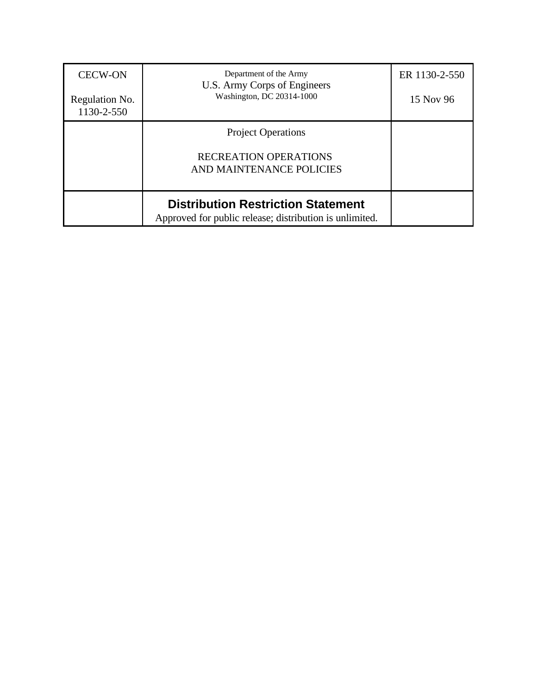| <b>CECW-ON</b>               | Department of the Army<br>U.S. Army Corps of Engineers<br>Washington, DC 20314-1000                  | ER 1130-2-550 |
|------------------------------|------------------------------------------------------------------------------------------------------|---------------|
| Regulation No.<br>1130-2-550 |                                                                                                      | 15 Nov 96     |
|                              | <b>Project Operations</b>                                                                            |               |
|                              | <b>RECREATION OPERATIONS</b><br>AND MAINTENANCE POLICIES                                             |               |
|                              | <b>Distribution Restriction Statement</b><br>Approved for public release; distribution is unlimited. |               |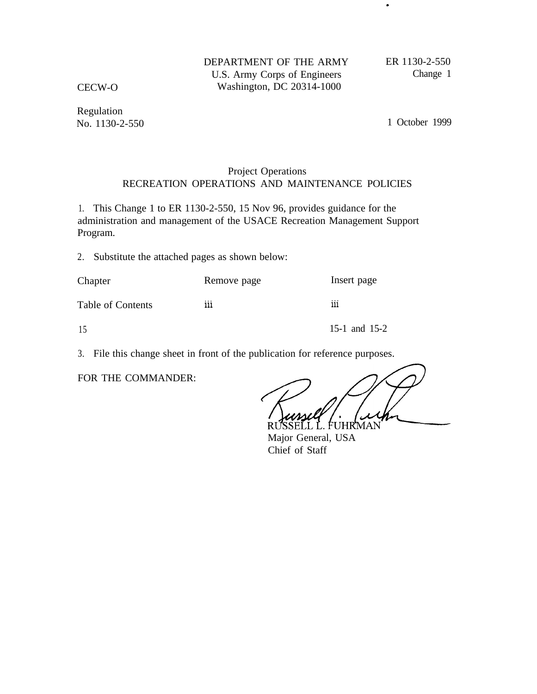CECW-O

Regulation No. 1130-2-550

1 October 1999

ER 1130-2-550

 $\bullet$ 

Change 1

# Project Operations RECREATION OPERATIONS AND MAINTENANCE POLICIES

1. This Change 1 to ER 1130-2-550, 15 Nov 96, provides guidance for the administration and management of the USACE Recreation Management Support Program.

2. Substitute the attached pages as shown below:

| Chapter           | Remove page | Insert page     |
|-------------------|-------------|-----------------|
| Table of Contents | $\cdots$    | $\cdots$<br>111 |
|                   |             |                 |

15 15-1 and 15-2

3. File this change sheet in front of the publication for reference purposes.

FOR THE COMMANDER:

UHRMAN R

Major General, USA Chief of Staff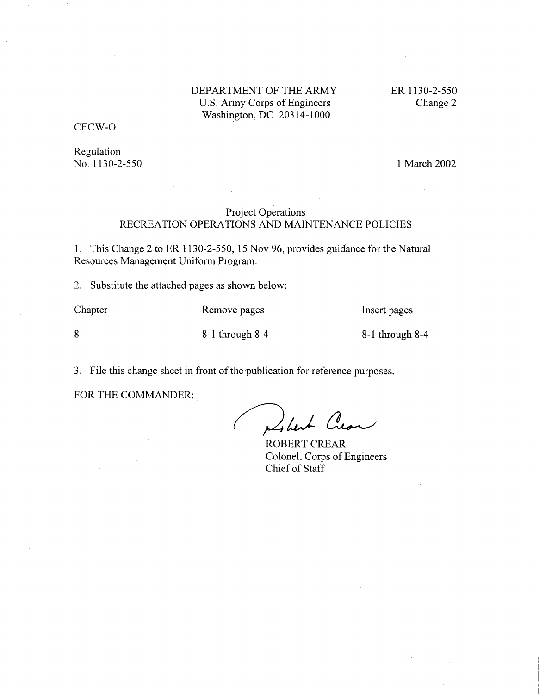## DEPARTMENT OF THE ARMY U.S. Army Corps of Engineers Washington, DC 20314-1000

ER 1130-2-550 Change 2

CECW-0

Regulation No. 1130-2-550

1 March 2002

## Project Operations RECREATION OPERATIONS AND MAINTENANCE POLICIES

1. This Change 2 to ER 1130-2-550, 15 Nov 96, provides guidance for the Natural Resources Management Uniform Program.

2. Substitute the attached pages as shown below:

Chapter Remove pages Insert pages

8 8-1 through 8-4 8-1 through 8-4

3. File this change sheet in front of the publication for reference purposes.

FOR THE COMMANDER:

there  $C_{1}$ 

ROBERT CREAR Colonel, Corps of Engineers Chief of Staff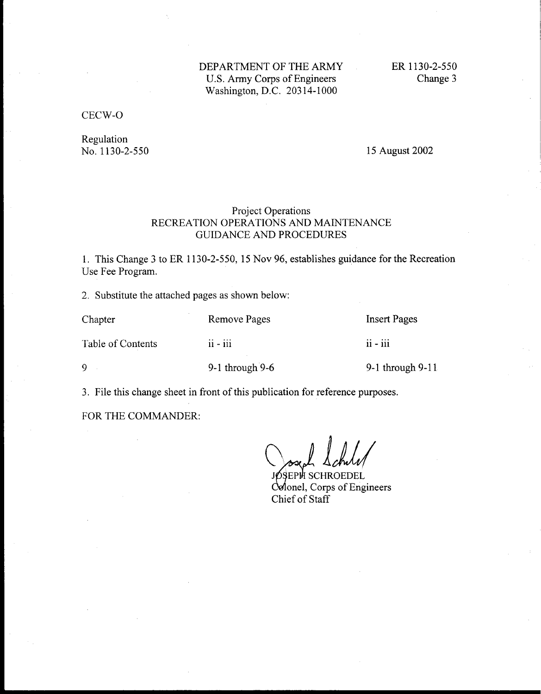DEPARTMENT OF THE ARMY U.S. Army Corps of Engineers Washington, D.C. 20314-1000

ER 1130-2-550 Change 3

CECW-0

Regulation No. 1130-2-550

15 August 2002

# Project Operations RECREATION OPERATIONS AND MAINTENANCE GUIDANCE AND PROCEDURES

1. This Change 3 to ER 1130-2-550, 15 Nov 96, establishes guidance for the Recreation Use Fee Program.

2. Substitute the attached pages as shown below:

| Chapter           | Remove Pages        | <b>Insert Pages</b> |
|-------------------|---------------------|---------------------|
| Table of Contents | $ii - iii$          | $ii - iii$          |
| $\mathbf{Q}$      | $9-1$ through $9-6$ | 9-1 through 9-11    |

3. File this change sheet in front of this publication for reference purposes.

FOR THE COMMANDER:

sach Schulet

SSEPH SCHROEDEL Colonel, Corps of Engineers Chief of Staff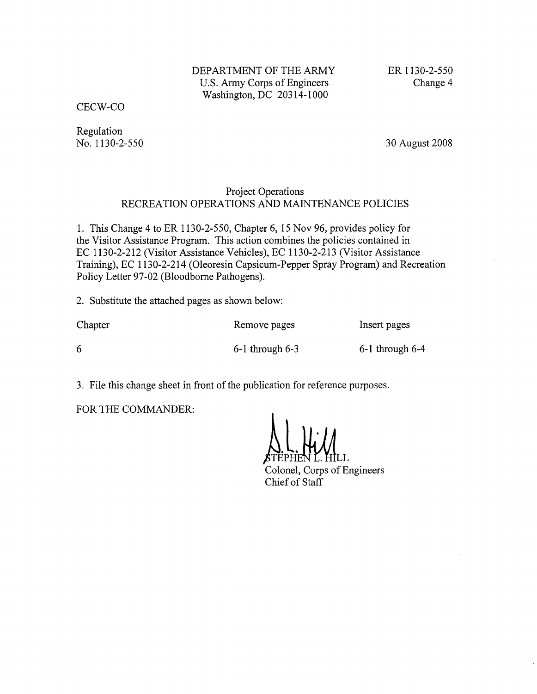ER 1130-2-550 Change 4

CECW-CO

Regulation No. 1130-2-550

30 August 2008

## Project Operations RECREATION OPERATIONS AND MAINTENANCE POLICIES

1. This Change 4 to ER 1130-2-550, Chapter 6, 15 Nov 96, provides policy for the Visitor Assistance Program. This action combines the policies contained in EC 1130-2-212 (Visitor Assistance Vehicles), EC 1130-2-213 (Visitor Assistance Training), EC 1130-2-214 (Oleoresin Capsicum-Pepper Spray Program) and Recreation Policy Letter 97-02 (Bloodborne Pathogens).

2. Substitute the attached pages as shown below:

| Chapter | Remove pages        | Insert pages        |
|---------|---------------------|---------------------|
| 6       | $6-1$ through $6-3$ | $6-1$ through $6-4$ |

3. File this change sheet in front of the publication for reference purposes.

FOR THE COMMANDER:

 $\lambda$  . Hill  $\beta$ TEPHEN L. HILL Colonel, Corps of Engineers Chief of Staff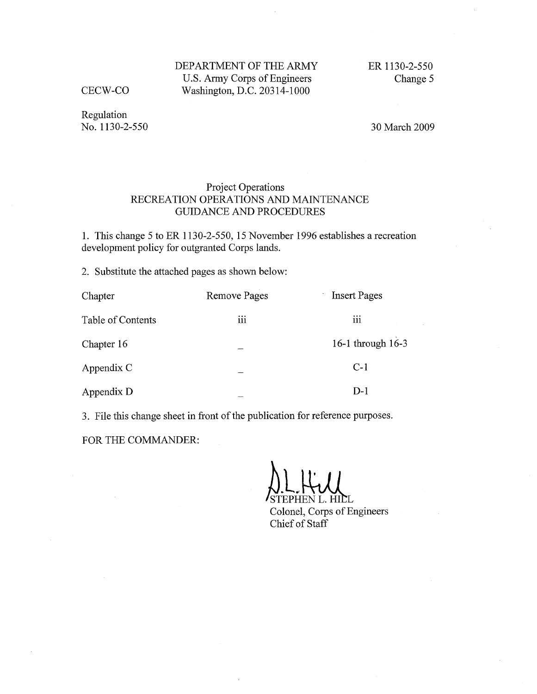# DEPARTMENT OF THE ARMY U.S. Army Corps of Engineers Washington, D.C. 20314-1000

CECW-CO

Regulation No. 1130-2-550

30 March 2009

ER 1130-2-550

Change 5

# Project Operations RECREATION OPERATIONS AND MAINTENANCE GUIDANCE AND PROCEDURES

1. This change 5 to ER 1130-2-550, 15 November 1996 establishes a recreation development policy for outgranted Corps lands.

2. Substitute the attached pages as shown below:

| Chapter           | <b>Remove Pages</b> | <b>Insert Pages</b> |
|-------------------|---------------------|---------------------|
| Table of Contents | iii                 | $\cdots$<br>111     |
| Chapter 16        |                     | 16-1 through 16-3   |
| Appendix C        |                     | $C-1$               |
| Appendix D        |                     | $D-1$               |

3. File this change sheet in front of the publication for reference purposes.

FOR THE COMMANDER:

 $0$  I It  $11$ 

'STEPHEN L. HI**L**L Colonel, Corps of Engineers Chief of Staff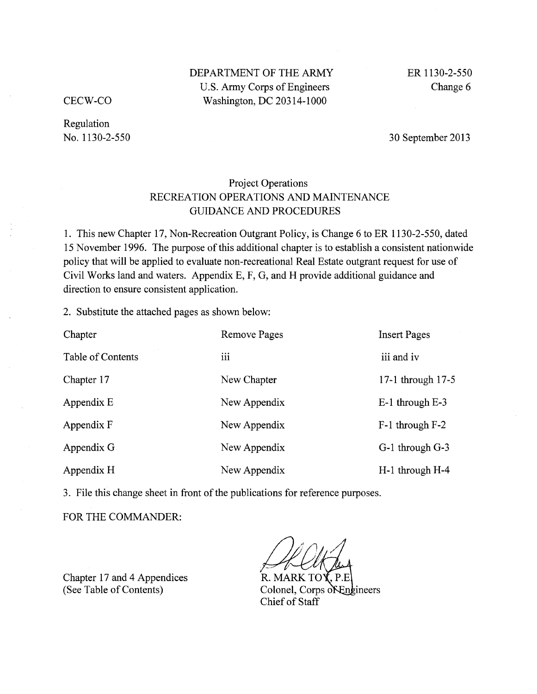# DEPARTMENT OF THE ARMY U.S. Army Corps of Engineers Washington, DC 20314-1000

ER 1130-2-550 Change 6

CECW-CO

Regulation No. 1130-2-550

30 September 2013

# Project Operations RECREATION OPERATIONS AND MAINTENANCE GUIDANCE AND PROCEDURES

1. This new Chapter 17, Non-Recreation Outgrant Policy, is Change 6 to ER 1130-2-550, dated 15 November 1996. The purpose of this additional chapter is to establish a consistent nationwide policy that will be applied to evaluate non-recreational Real Estate outgrant request for use of Civil Works land and waters. Appendix E, F, G, and H provide additional guidance and direction to ensure consistent application.

2. Substitute the attached pages as shown below:

| Chapter           | <b>Remove Pages</b> | <b>Insert Pages</b> |
|-------------------|---------------------|---------------------|
| Table of Contents | $\cdots$<br>111     | iii and iv          |
| Chapter 17        | New Chapter         | 17-1 through 17-5   |
| Appendix E        | New Appendix        | $E-1$ through $E-3$ |
| Appendix F        | New Appendix        | $F-1$ through $F-2$ |
| Appendix G        | New Appendix        | G-1 through G-3     |
| Appendix H        | New Appendix        | H-1 through H-4     |

3. File this change sheet in front of the publications for reference purposes.

FOR THE COMMANDER:

R. MARK TO'  $, P. F$ Colonel, Corps of Engineers Chief of Staff

Chapter 17 and 4 Appendices (See Table of Contents)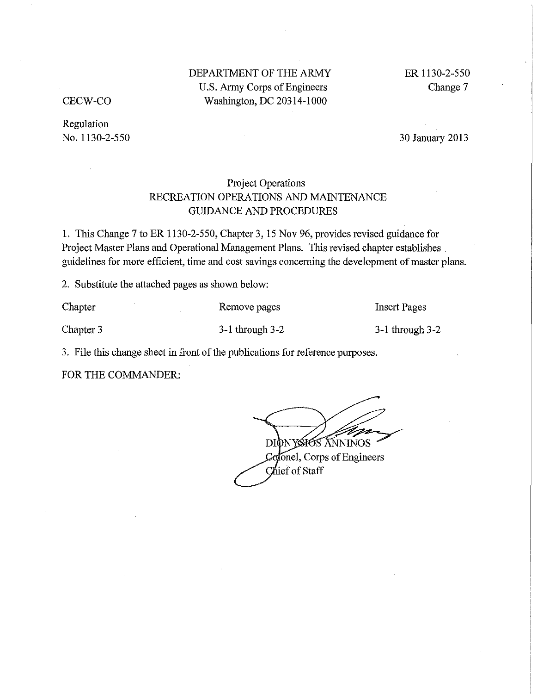# DEPARTMENT OF THE ARMY U.S. Army Corps of Engineers Washington, DC 20314-1000

ER 1130-2-550 Change 7

CECW-CO

Regulation No. 1130-2-550

30 January 2013

# Project Operations RECREATION OPERATIONS AND MAINTENANCE GUIDANCE AND PROCEDURES

1. This Change 7 to ER 1130-2-550, Chapter 3, 15 Nov 96, provides revised guidance for Project Master Plans and Operational Management Plans. This revised chapter establishes . guidelines for more efficient, time and cost savings concerning the development of master plans.

2. Substitute the attached pages as shown below:

| Chapter   | Remove pages        | <b>Insert Pages</b> |
|-----------|---------------------|---------------------|
| Chapter 3 | $3-1$ through $3-2$ | $3-1$ through $3-2$ |

3. File this change sheet in front of the publications for reference purposes.

FOR THE COMMANDER:

DIONYSTOS ANNINOS Colonel, Corps of Engineers Chief of Staff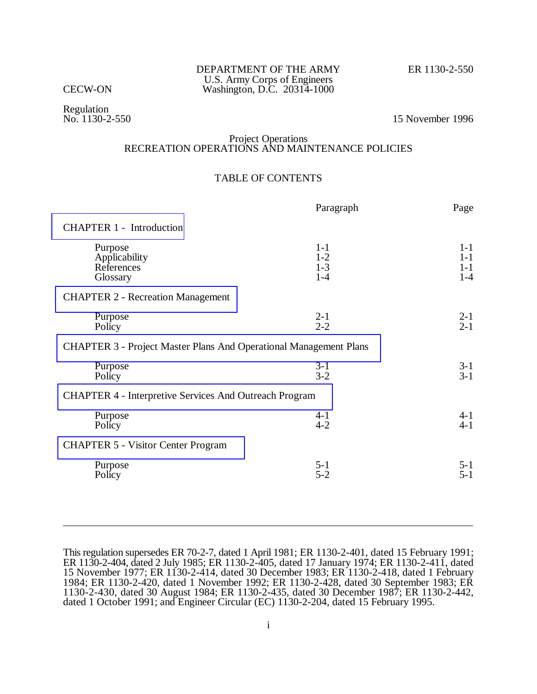DEPARTMENT OF THE ARMY ER 1130-2-550 U.S. Army Corps of Engineers CECW-ON Washington, D.C. 20314-1000

Regulation<br>No. 1130-2-550

15 November 1996

#### Project Operations RECREATION OPERATIONS AND MAINTENANCE POLICIES

## TABLE OF CONTENTS

|                                                                          | Paragraph                            | Page                                   |
|--------------------------------------------------------------------------|--------------------------------------|----------------------------------------|
| <b>CHAPTER 1 - Introduction</b>                                          |                                      |                                        |
| Purpose<br>Applicability<br>References<br>Glossary                       | $1-1$<br>$1 - 2$<br>$1 - 3$<br>$1-4$ | $1 - 1$<br>$1-1$<br>$1 - 1$<br>$1 - 4$ |
| <b>CHAPTER 2 - Recreation Management</b>                                 |                                      |                                        |
| Purpose<br>Policy                                                        | $2 - 1$<br>$2 - 2$                   | $2 - 1$<br>$2 - 1$                     |
| <b>CHAPTER 3 - Project Master Plans And Operational Management Plans</b> |                                      |                                        |
| Purpose<br>Policy                                                        | $3-1$<br>$3 - 2$                     | $3 - 1$<br>$3-1$                       |
| <b>CHAPTER 4 - Interpretive Services And Outreach Program</b>            |                                      |                                        |
| Purpose<br>Policy                                                        | $4-1$<br>$4 - 2$                     | $4 - 1$<br>$4 - 1$                     |
| <b>CHAPTER 5 - Visitor Center Program</b>                                |                                      |                                        |
| Purpose<br>Policy                                                        | $5 - 1$<br>$5 - 2$                   | $5 - 1$<br>$5 - 1$                     |
|                                                                          |                                      |                                        |

This regulation supersedes ER 70-2-7, dated 1 April 1981; ER 1130-2-401, dated 15 February 1991; ER 1130-2-404, dated 2 July 1985; ER 1130-2-405, dated 17 January 1974; ER 1130-2-411, dated 15 November 1977; ER 1130-2-414, dated 30 December 1983; ER 1130-2-418, dated 1 February 1984; ER 1130-2-420, dated 1 November 1992; ER 1130-2-428, dated 30 September 1983; ER 1130-2-430, dated 30 August 1984; ER 1130-2-435, dated 30 December 1987; ER 1130-2-442, dated 1 October 1991; and Engineer Circular (EC) 1130-2-204, dated 15 February 1995.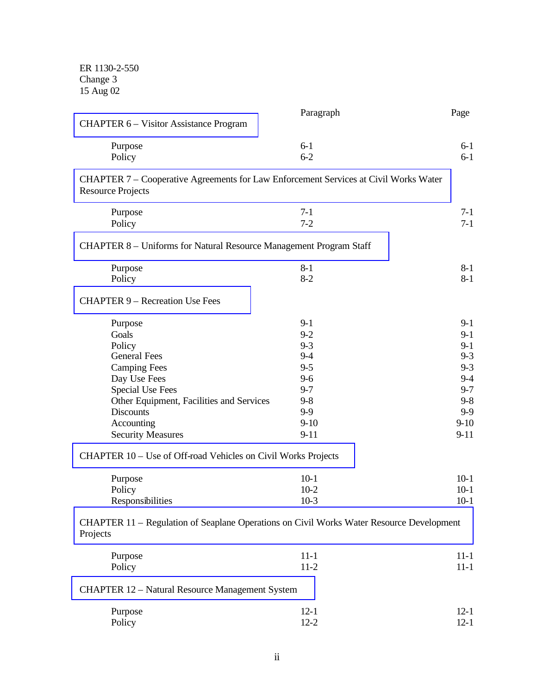ER 1130-2-550 Change 3 15 Aug 02

|                                                                                                                  | Paragraph | Page     |
|------------------------------------------------------------------------------------------------------------------|-----------|----------|
| <b>CHAPTER 6 – Visitor Assistance Program</b>                                                                    |           |          |
| Purpose                                                                                                          | $6 - 1$   | 6-1      |
| Policy                                                                                                           | $6 - 2$   | $6-1$    |
| CHAPTER 7 – Cooperative Agreements for Law Enforcement Services at Civil Works Water<br><b>Resource Projects</b> |           |          |
| Purpose                                                                                                          | $7-1$     | $7-1$    |
| Policy                                                                                                           | $7 - 2$   | $7 - 1$  |
| CHAPTER 8 - Uniforms for Natural Resource Management Program Staff                                               |           |          |
| Purpose                                                                                                          | $8-1$     | $8-1$    |
| Policy                                                                                                           | $8 - 2$   | $8-1$    |
| <b>CHAPTER 9 – Recreation Use Fees</b>                                                                           |           |          |
| Purpose                                                                                                          | $9 - 1$   | $9-1$    |
| Goals                                                                                                            | $9 - 2$   | $9-1$    |
| Policy                                                                                                           | $9 - 3$   | $9-1$    |
| <b>General Fees</b>                                                                                              | $9 - 4$   | $9 - 3$  |
| <b>Camping Fees</b>                                                                                              | $9 - 5$   | $9 - 3$  |
| Day Use Fees                                                                                                     | $9 - 6$   | $9 - 4$  |
| <b>Special Use Fees</b>                                                                                          | $9 - 7$   | $9 - 7$  |
| Other Equipment, Facilities and Services                                                                         | $9 - 8$   | $9 - 8$  |
| <b>Discounts</b>                                                                                                 | $9 - 9$   | $9 - 9$  |
| Accounting                                                                                                       | $9 - 10$  | $9 - 10$ |
| <b>Security Measures</b>                                                                                         | $9 - 11$  | $9 - 11$ |
| CHAPTER 10 - Use of Off-road Vehicles on Civil Works Projects                                                    |           |          |
| Purpose                                                                                                          | $10-1$    | $10-1$   |
| Policy                                                                                                           | $10-2$    | $10-1$   |
| Responsibilities                                                                                                 | $10-3$    | $10-1$   |
| CHAPTER 11 – Regulation of Seaplane Operations on Civil Works Water Resource Development<br>Projects             |           |          |
| Purpose                                                                                                          | $11 - 1$  | $11 - 1$ |
| Policy                                                                                                           | $11-2$    | $11 - 1$ |
| <b>CHAPTER 12 - Natural Resource Management System</b>                                                           |           |          |
| Purpose                                                                                                          | $12 - 1$  | $12 - 1$ |
| Policy                                                                                                           | $12 - 2$  | $12 - 1$ |
|                                                                                                                  |           |          |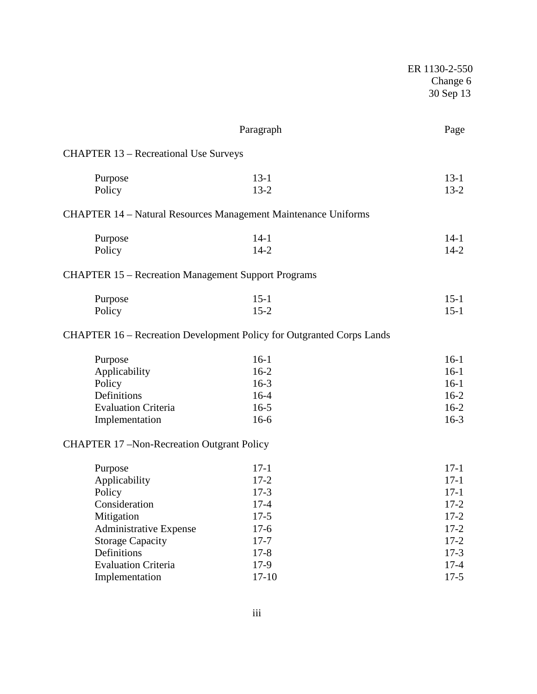| Paragraph                                                             |           | Page     |
|-----------------------------------------------------------------------|-----------|----------|
| <b>CHAPTER 13 – Recreational Use Surveys</b>                          |           |          |
| Purpose                                                               | $13-1$    | $13-1$   |
| Policy                                                                | $13 - 2$  | $13 - 2$ |
| <b>CHAPTER 14 – Natural Resources Management Maintenance Uniforms</b> |           |          |
| Purpose                                                               | $14-1$    | $14 - 1$ |
| Policy                                                                | $14 - 2$  | $14 - 2$ |
| <b>CHAPTER 15 – Recreation Management Support Programs</b>            |           |          |
| Purpose                                                               | $15-1$    | $15 - 1$ |
| Policy                                                                | $15 - 2$  | $15 - 1$ |
| CHAPTER 16 – Recreation Development Policy for Outgranted Corps Lands |           |          |
| Purpose                                                               | $16-1$    | $16-1$   |
| Applicability                                                         | $16-2$    | $16-1$   |
| Policy                                                                | $16-3$    | $16-1$   |
| Definitions                                                           | $16-4$    | $16-2$   |
| <b>Evaluation Criteria</b>                                            | $16-5$    | $16-2$   |
| Implementation                                                        | $16-6$    | $16-3$   |
| <b>CHAPTER 17 – Non-Recreation Outgrant Policy</b>                    |           |          |
| Purpose                                                               | $17-1$    | $17 - 1$ |
| Applicability                                                         | $17 - 2$  | $17-1$   |
| Policy                                                                | $17-3$    | $17-1$   |
| Consideration                                                         | $17 - 4$  | $17 - 2$ |
| Mitigation                                                            | $17-5$    | $17 - 2$ |
| <b>Administrative Expense</b>                                         | $17-6$    | $17 - 2$ |
| <b>Storage Capacity</b>                                               | $17 - 7$  | $17 - 2$ |
| Definitions                                                           | $17 - 8$  | $17-3$   |
| <b>Evaluation Criteria</b>                                            | $17-9$    | $17 - 4$ |
| Implementation                                                        | $17 - 10$ | $17-5$   |
|                                                                       |           |          |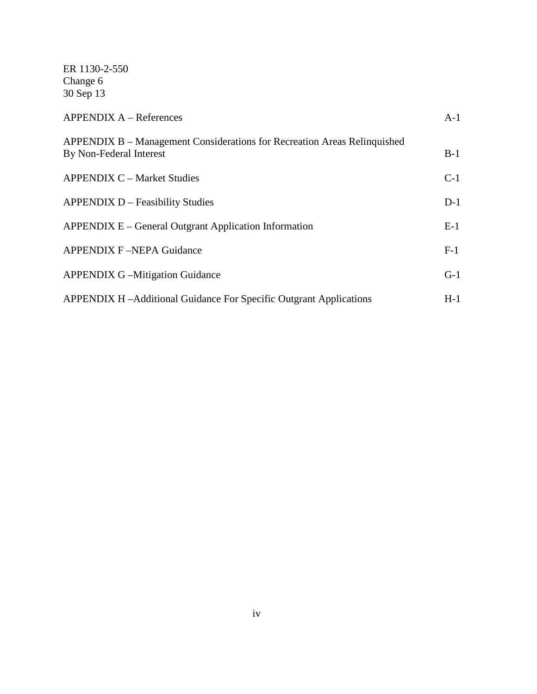ER 1130-2-550 Change 6 30 Sep 13

| <b>APPENDIX A – References</b>                                                                      | $A-1$ |
|-----------------------------------------------------------------------------------------------------|-------|
| APPENDIX B – Management Considerations for Recreation Areas Relinquished<br>By Non-Federal Interest | $B-1$ |
| <b>APPENDIX C – Market Studies</b>                                                                  | $C-1$ |
| <b>APPENDIX D – Feasibility Studies</b>                                                             | $D-1$ |
| APPENDIX E – General Outgrant Application Information                                               | $E-1$ |
| <b>APPENDIX F-NEPA Guidance</b>                                                                     | $F-1$ |
| <b>APPENDIX G-Mitigation Guidance</b>                                                               | $G-1$ |
| APPENDIX H – Additional Guidance For Specific Outgrant Applications                                 | $H-1$ |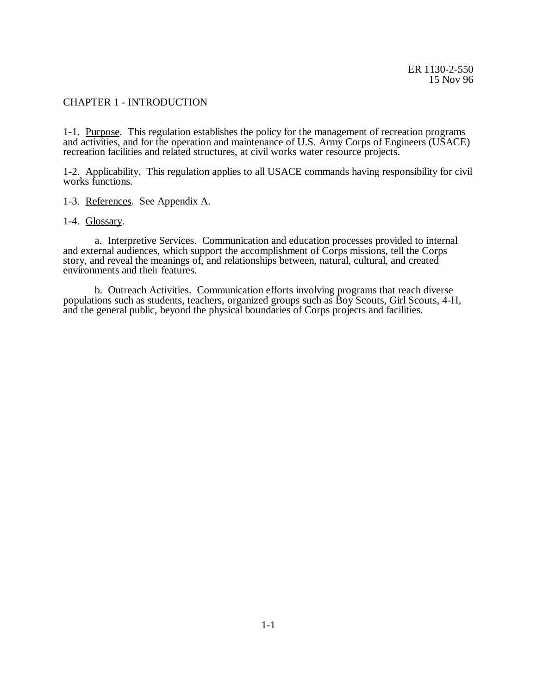### <span id="page-13-0"></span>CHAPTER 1 - INTRODUCTION

1-1. Purpose. This regulation establishes the policy for the management of recreation programs and activities, and for the operation and maintenance of U.S. Army Corps of Engineers (USACE) recreation facilities and related structures, at civil works water resource projects.

1-2. Applicability. This regulation applies to all USACE commands having responsibility for civil works functions.

1-3. References. See Appendix A.

1-4. Glossary.

a. Interpretive Services. Communication and education processes provided to internal and external audiences, which support the accomplishment of Corps missions, tell the Corps story, and reveal the meanings of, and relationships between, natural, cultural, and created environments and their features.

b. Outreach Activities. Communication efforts involving programs that reach diverse populations such as students, teachers, organized groups such as Boy Scouts, Girl Scouts, 4-H, and the general public, beyond the physical boundaries of Corps projects and facilities.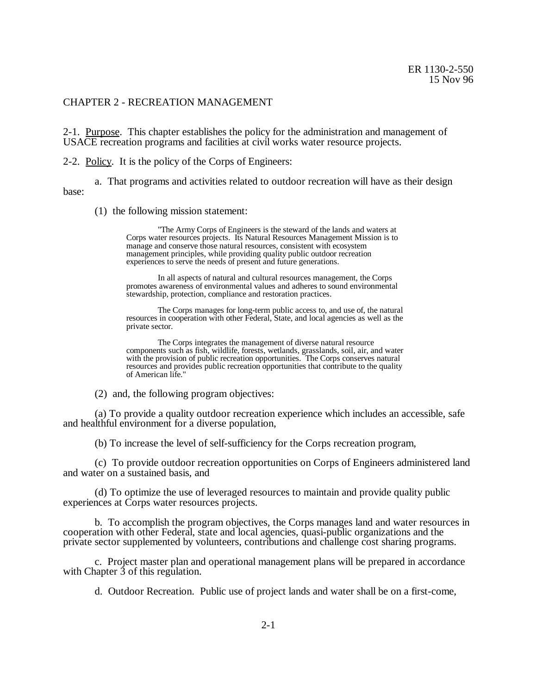### <span id="page-14-0"></span>CHAPTER 2 - RECREATION MANAGEMENT

2-1. Purpose. This chapter establishes the policy for the administration and management of USACE recreation programs and facilities at civil works water resource projects.

2-2. Policy. It is the policy of the Corps of Engineers:

a. That programs and activities related to outdoor recreation will have as their design base:

(1) the following mission statement:

"The Army Corps of Engineers is the steward of the lands and waters at Corps water resources projects. Its Natural Resources Management Mission is to manage and conserve those natural resources, consistent with ecosystem management principles, while providing quality public outdoor recreation experiences to serve the needs of present and future generations.

In all aspects of natural and cultural resources management, the Corps promotes awareness of environmental values and adheres to sound environmental stewardship, protection, compliance and restoration practices.

The Corps manages for long-term public access to, and use of, the natural resources in cooperation with other Federal, State, and local agencies as well as the private sector.

The Corps integrates the management of diverse natural resource components such as fish, wildlife, forests, wetlands, grasslands, soil, air, and water with the provision of public recreation opportunities. The Corps conserves natural resources and provides public recreation opportunities that contribute to the quality of American life."

(2) and, the following program objectives:

(a) To provide a quality outdoor recreation experience which includes an accessible, safe and healthful environment for a diverse population,

(b) To increase the level of self-sufficiency for the Corps recreation program,

(c) To provide outdoor recreation opportunities on Corps of Engineers administered land and water on a sustained basis, and

(d) To optimize the use of leveraged resources to maintain and provide quality public experiences at Corps water resources projects.

b. To accomplish the program objectives, the Corps manages land and water resources in cooperation with other Federal, state and local agencies, quasi-public organizations and the private sector supplemented by volunteers, contributions and challenge cost sharing programs.

c. Project master plan and operational management plans will be prepared in accordance with Chapter 3 of this regulation.

d. Outdoor Recreation. Public use of project lands and water shall be on a first-come,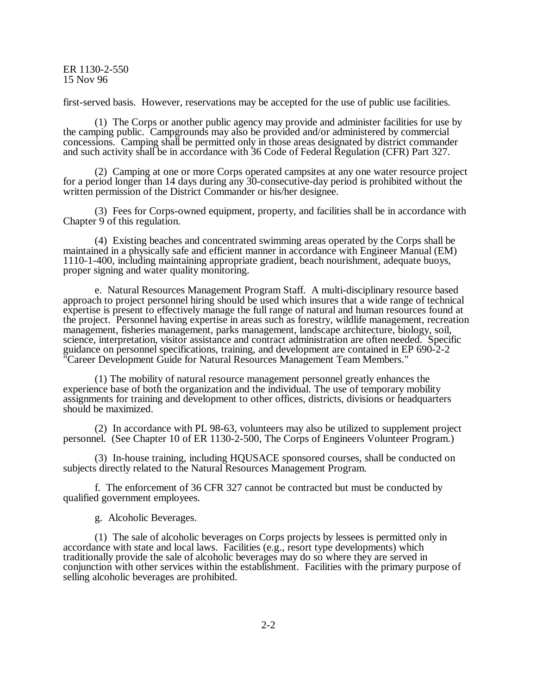ER 1130-2-550 15 Nov 96

first-served basis. However, reservations may be accepted for the use of public use facilities.

(1) The Corps or another public agency may provide and administer facilities for use by the camping public. Campgrounds may also be provided and/or administered by commercial concessions. Camping shall be permitted only in those areas designated by district commander and such activity shall be in accordance with 36 Code of Federal Regulation (CFR) Part 327.

(2) Camping at one or more Corps operated campsites at any one water resource project for a period longer than 14 days during any 30-consecutive-day period is prohibited without the written permission of the District Commander or his/her designee.

(3) Fees for Corps-owned equipment, property, and facilities shall be in accordance with Chapter 9 of this regulation.

(4) Existing beaches and concentrated swimming areas operated by the Corps shall be maintained in a physically safe and efficient manner in accordance with Engineer Manual (EM) 1110-1-400, including maintaining appropriate gradient, beach nourishment, adequate buoys, proper signing and water quality monitoring.

e. Natural Resources Management Program Staff. A multi-disciplinary resource based approach to project personnel hiring should be used which insures that a wide range of technical expertise is present to effectively manage the full range of natural and human resources found at the project. Personnel having expertise in areas such as forestry, wildlife management, recreation management, fisheries management, parks management, landscape architecture, biology, soil, science, interpretation, visitor assistance and contract administration are often needed. Specific guidance on personnel specifications, training, and development are contained in EP 690-2-2 "Career Development Guide for Natural Resources Management Team Members."

(1) The mobility of natural resource management personnel greatly enhances the experience base of both the organization and the individual. The use of temporary mobility assignments for training and development to other offices, districts, divisions or headquarters should be maximized.

(2) In accordance with PL 98-63, volunteers may also be utilized to supplement project personnel. (See Chapter 10 of ER 1130-2-500, The Corps of Engineers Volunteer Program.)

(3) In-house training, including HQUSACE sponsored courses, shall be conducted on subjects directly related to the Natural Resources Management Program.

f. The enforcement of 36 CFR 327 cannot be contracted but must be conducted by qualified government employees.

g. Alcoholic Beverages.

(1) The sale of alcoholic beverages on Corps projects by lessees is permitted only in accordance with state and local laws. Facilities (e.g., resort type developments) which traditionally provide the sale of alcoholic beverages may do so where they are served in conjunction with other services within the establishment. Facilities with the primary purpose of selling alcoholic beverages are prohibited.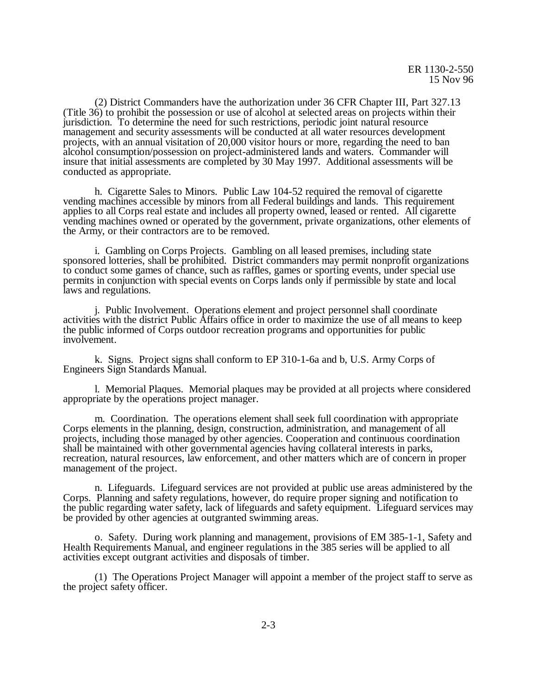(2) District Commanders have the authorization under 36 CFR Chapter III, Part 327.13 (Title 36) to prohibit the possession or use of alcohol at selected areas on projects within their jurisdiction. To determine the need for such restrictions, periodic joint natural resource management and security assessments will be conducted at all water resources development projects, with an annual visitation of 20,000 visitor hours or more, regarding the need to ban alcohol consumption/possession on project-administered lands and waters. Commander will insure that initial assessments are completed by 30 May 1997. Additional assessments will be conducted as appropriate.

h. Cigarette Sales to Minors. Public Law 104-52 required the removal of cigarette vending machines accessible by minors from all Federal buildings and lands. This requirement applies to all Corps real estate and includes all property owned, leased or rented. All cigarette vending machines owned or operated by the government, private organizations, other elements of the Army, or their contractors are to be removed.

i. Gambling on Corps Projects. Gambling on all leased premises, including state sponsored lotteries, shall be prohibited. District commanders may permit nonprofit organizations to conduct some games of chance, such as raffles, games or sporting events, under special use permits in conjunction with special events on Corps lands only if permissible by state and local laws and regulations.

j. Public Involvement. Operations element and project personnel shall coordinate activities with the district Public Affairs office in order to maximize the use of all means to keep the public informed of Corps outdoor recreation programs and opportunities for public involvement.

k. Signs. Project signs shall conform to EP 310-1-6a and b, U.S. Army Corps of Engineers Sign Standards Manual.

l. Memorial Plaques. Memorial plaques may be provided at all projects where considered appropriate by the operations project manager.

m. Coordination. The operations element shall seek full coordination with appropriate Corps elements in the planning, design, construction, administration, and management of all projects, including those managed by other agencies. Cooperation and continuous coordination shall be maintained with other governmental agencies having collateral interests in parks, recreation, natural resources, law enforcement, and other matters which are of concern in proper management of the project.

n. Lifeguards. Lifeguard services are not provided at public use areas administered by the Corps. Planning and safety regulations, however, do require proper signing and notification to the public regarding water safety, lack of lifeguards and safety equipment. Lifeguard services may be provided by other agencies at outgranted swimming areas.

o. Safety. During work planning and management, provisions of EM 385-1-1, Safety and Health Requirements Manual, and engineer regulations in the 385 series will be applied to all activities except outgrant activities and disposals of timber.

(1) The Operations Project Manager will appoint a member of the project staff to serve as the project safety officer.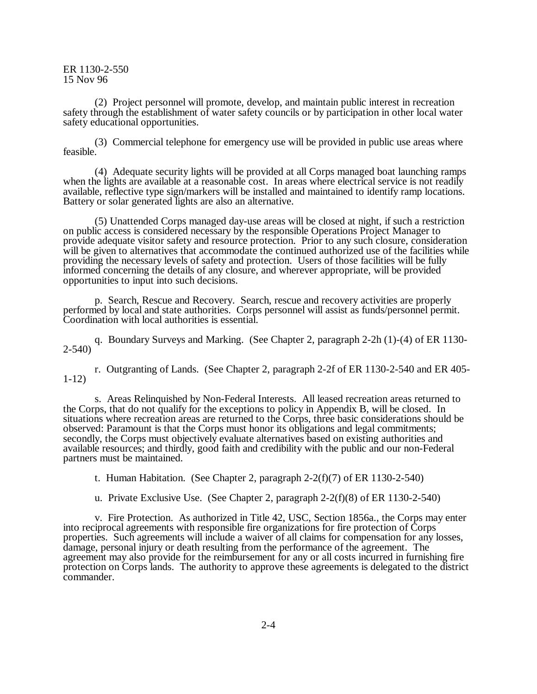ER 1130-2-550 15 Nov 96

(2) Project personnel will promote, develop, and maintain public interest in recreation safety through the establishment of water safety councils or by participation in other local water safety educational opportunities.

(3) Commercial telephone for emergency use will be provided in public use areas where feasible.

(4) Adequate security lights will be provided at all Corps managed boat launching ramps when the lights are available at a reasonable cost. In areas where electrical service is not readily available, reflective type sign/markers will be installed and maintained to identify ramp locations. Battery or solar generated lights are also an alternative.

(5) Unattended Corps managed day-use areas will be closed at night, if such a restriction on public access is considered necessary by the responsible Operations Project Manager to provide adequate visitor safety and resource protection. Prior to any such closure, consideration will be given to alternatives that accommodate the continued authorized use of the facilities while providing the necessary levels of safety and protection. Users of those facilities will be fully informed concerning the details of any closure, and wherever appropriate, will be provided opportunities to input into such decisions.

p. Search, Rescue and Recovery. Search, rescue and recovery activities are properly performed by local and state authorities. Corps personnel will assist as funds/personnel permit. Coordination with local authorities is essential.

q. Boundary Surveys and Marking. (See Chapter 2, paragraph 2-2h (1)-(4) of ER 1130-  $2 - 540$ 

r. Outgranting of Lands. (See Chapter 2, paragraph 2-2f of ER 1130-2-540 and ER 405- 1-12)

s. Areas Relinquished by Non-Federal Interests. All leased recreation areas returned to the Corps, that do not qualify for the exceptions to policy in Appendix B, will be closed. In situations where recreation areas are returned to the Corps, three basic considerations should be observed: Paramount is that the Corps must honor its obligations and legal commitments; secondly, the Corps must objectively evaluate alternatives based on existing authorities and available resources; and thirdly, good faith and credibility with the public and our non-Federal partners must be maintained.

t. Human Habitation. (See Chapter 2, paragraph  $2-2(f)(7)$  of ER 1130-2-540)

u. Private Exclusive Use. (See Chapter 2, paragraph  $2-2(f)(8)$  of ER 1130-2-540)

v. Fire Protection. As authorized in Title 42, USC, Section 1856a., the Corps may enter into reciprocal agreements with responsible fire organizations for fire protection of Corps properties. Such agreements will include a waiver of all claims for compensation for any losses, damage, personal injury or death resulting from the performance of the agreement. The agreement may also provide for the reimbursement for any or all costs incurred in furnishing fire protection on Corps lands. The authority to approve these agreements is delegated to the district commander.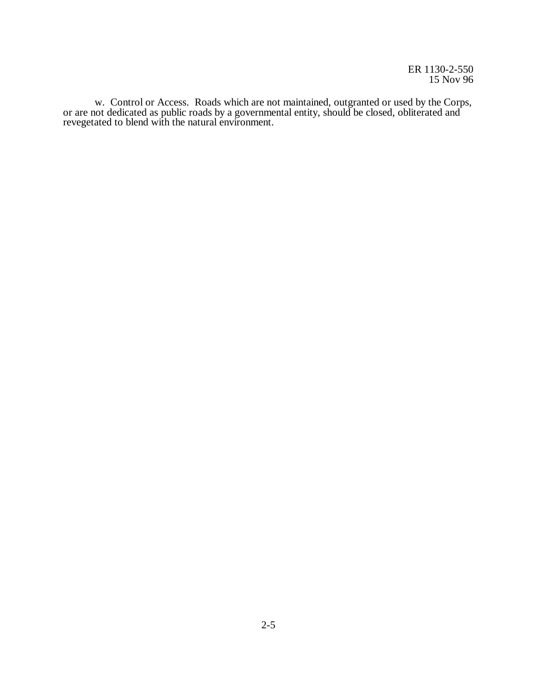w. Control or Access. Roads which are not maintained, outgranted or used by the Corps, or are not dedicated as public roads by a governmental entity, should be closed, obliterated and revegetated to blend with the natural environment.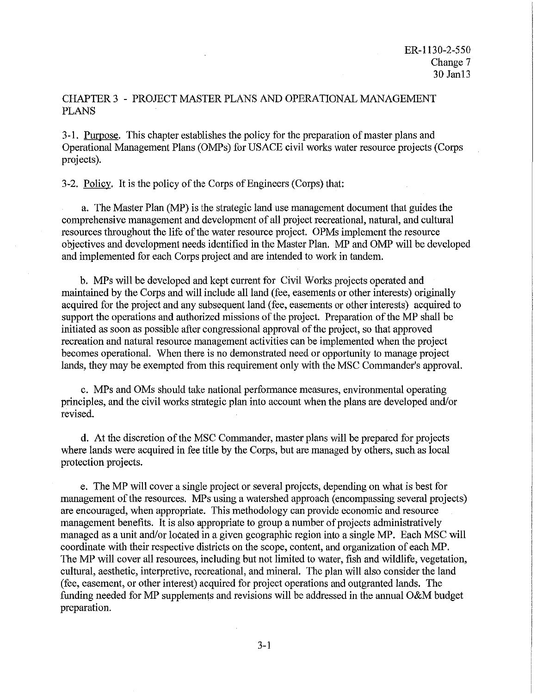## CHAPTER 3 - PROJECT MASTER PLANS AND OPERATIONAL MANAGEMENT PLANS

3-1. Purpose. This chapter establishes the policy for the preparation of master plans and Operational Management Plans (OMPs) for USACE civil works water resource projects (Cotps projects).

3-2. Policy. It is the policy of the Corps of Engineers (Corps) that:

a. The Master Plan (MP) is the strategic land use management document that guides the comprehensive management and development of all project recreational, natural, and cultural resources throughout the life of the water resource project. OPMs implement the resource objectives and development needs identified in the Master Plan. MP and OMP will be developed and implemented for each Corps project and are intended to work in tandem.

b. MPs will be developed and kept current for Civil Works projects operated and maintained by the Corps and will include all land (fee, easements or other interests) originally acquired for the project and any subsequent land (fee, easements or other interests) acquired to support the operations and authorized missions of the project. Preparation of the MP shall be initiated as soon as possible after congressional approval of the project, so that approved recreation and natural resource management activities can be implemented when the project becomes operational. When there is no demonstrated need or oppottunity to manage project lands, they may be exempted from this requirement only with the MSC Commander's approval.

c. MPs and OMs should take national performance measures, environmental operating principles, and the civil works strategic plan into account when the plans are developed and/or revised.

d. At the discretion of the MSC Commander, master plans will be prepared for projects where lands were acquired in fee title by the Corps, but are managed by others, such as local protection projects.

e. The MP will cover a single project or several projects, depending on what is best for management of the resources. MPs using a watershed approach (encompassing several projects) are encouraged, when appropriate. This methodology can provide economic and resource management benefits. It is also appropriate to group a number of projects administratively managed as a unit and/or located in a given geographic region into a single MP. Each MSC will coordinate with their respective districts on the scope, content, and organization of each MP. The MP will cover all resources, including but not limited to water, fish and wildlife, vegetation, cultural, aesthetic, interpretive, recreational, and mineral. The plan will also consider the land (fee, easement, or other interest) acquired for project operations and outgranted lands. The funding needed for MP supplements and revisions will be addressed in the annual O&M budget preparation.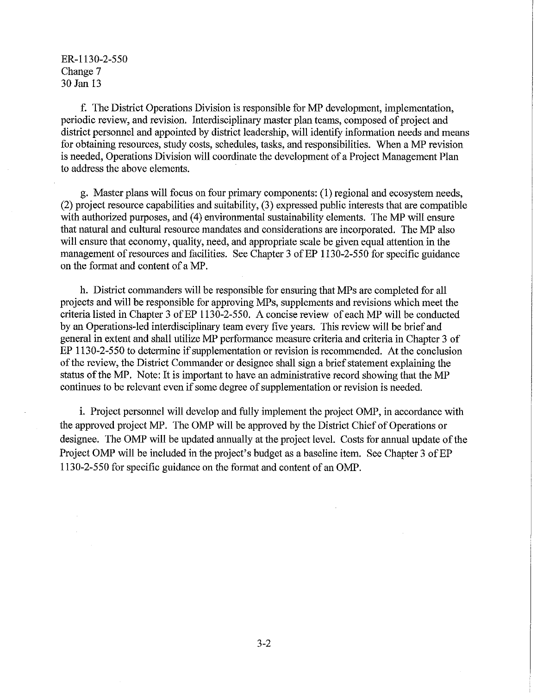## ER-1130-2-550 Change 7 30 Jan 13

f. The District Operations Division is responsible for MP development, implementation, periodic review, and revision. Interdisciplinary master plan teams, composed of project and district personnel and appointed by district leadership, will identify information needs and means for obtaining resources, study costs, schedules, tasks, and responsibilities. When a MP revision is needed, Operations Division will coordinate the development of a Project Management Plan to address the above elements.

g. Master plans will focus on four primary components: (1) regional and ecosystem needs, (2) project resource capabilities and suitability, (3) expressed public interests that are compatible with authorized purposes, and (4) environmental sustainability elements. The MP will ensure that natural and cultural resource mandates and considerations are incorporated. The MP also will ensure that economy, quality, need, and appropriate scale be given equal attention in the management of resources and facilities. See Chapter 3 of EP 1130-2-550 for specific guidance on the format and content of aMP.

h. District commanders will be responsible for ensuring that MPs are completed for all projects and will be responsible for approving MPs, supplements and revisions which meet the criteria listed in Chapter 3 of EP 1130-2-550. A concise review of each MP will be conducted by an Operations-led interdisciplinary team every five years. This review will be brief and general in extent and shall utilize MP performance measure criteria and criteria in Chapter 3 of EP 1130-2-550 to determine if supplementation or revision is recommended. At the conclusion of the review, the District Commander or designee shall sign a brief statement explaining the status of the MP. Note: It is important to have an administrative record showing that the MP continues to be relevant even if some degree of supplementation or revision is needed.

i. Project personnel will develop and fully implement the project OMP, in accordance with the approved project MP. The OMP will be approved by the District Chief of Operations or designee. The OMP will be updated annually at the project level. Costs for annual update of the Project OMP will be included in the project's budget as a baseline item. See Chapter 3 of EP 1130-2-550 for specific guidance on the format and content of an OMP.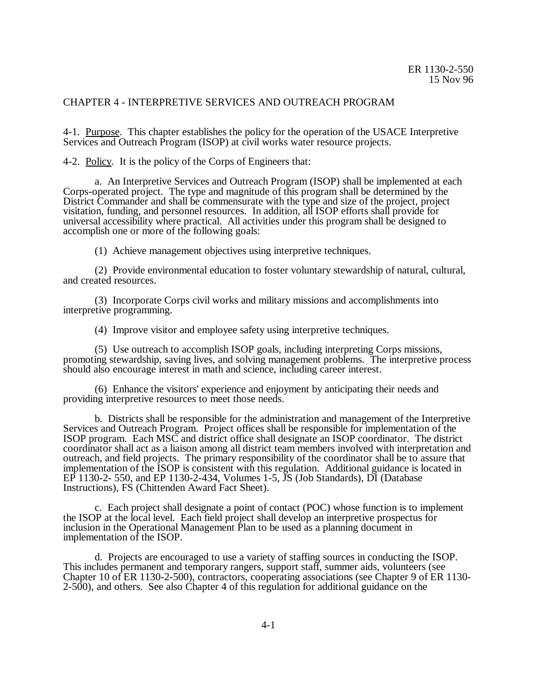### <span id="page-21-0"></span>CHAPTER 4 - INTERPRETIVE SERVICES AND OUTREACH PROGRAM

4-1. Purpose. This chapter establishes the policy for the operation of the USACE Interpretive Services and Outreach Program (ISOP) at civil works water resource projects.

4-2. Policy. It is the policy of the Corps of Engineers that:

a. An Interpretive Services and Outreach Program (ISOP) shall be implemented at each Corps-operated project. The type and magnitude of this program shall be determined by the District Commander and shall be commensurate with the type and size of the project, project visitation, funding, and personnel resources. In addition, all ISOP efforts shall provide for universal accessibility where practical. All activities under this program shall be designed to accomplish one or more of the following goals:

(1) Achieve management objectives using interpretive techniques.

(2) Provide environmental education to foster voluntary stewardship of natural, cultural, and created resources.

(3) Incorporate Corps civil works and military missions and accomplishments into interpretive programming.

(4) Improve visitor and employee safety using interpretive techniques.

(5) Use outreach to accomplish ISOP goals, including interpreting Corps missions, promoting stewardship, saving lives, and solving management problems. The interpretive process should also encourage interest in math and science, including career interest.

(6) Enhance the visitors' experience and enjoyment by anticipating their needs and providing interpretive resources to meet those needs.

b. Districts shall be responsible for the administration and management of the Interpretive Services and Outreach Program. Project offices shall be responsible for implementation of the ISOP program. Each MSC and district office shall designate an ISOP coordinator. The district coordinator shall act as a liaison among all district team members involved with interpretation and outreach, and field projects. The primary responsibility of the coordinator shall be to assure that implementation of the ISOP is consistent with this regulation. Additional guidance is located in EP 1130-2- 550, and EP 1130-2-434, Volumes 1-5, JS (Job Standards), DI (Database Instructions), FS (Chittenden Award Fact Sheet).

c. Each project shall designate a point of contact (POC) whose function is to implement the ISOP at the local level. Each field project shall develop an interpretive prospectus for inclusion in the Operational Management Plan to be used as a planning document in implementation of the ISOP.

 d. Projects are encouraged to use a variety of staffing sources in conducting the ISOP. This includes permanent and temporary rangers, support staff, summer aids, volunteers (see Chapter 10 of ER 1130-2-500), contractors, cooperating associations (see Chapter 9 of ER 1130- 2-500), and others. See also Chapter 4 of this regulation for additional guidance on the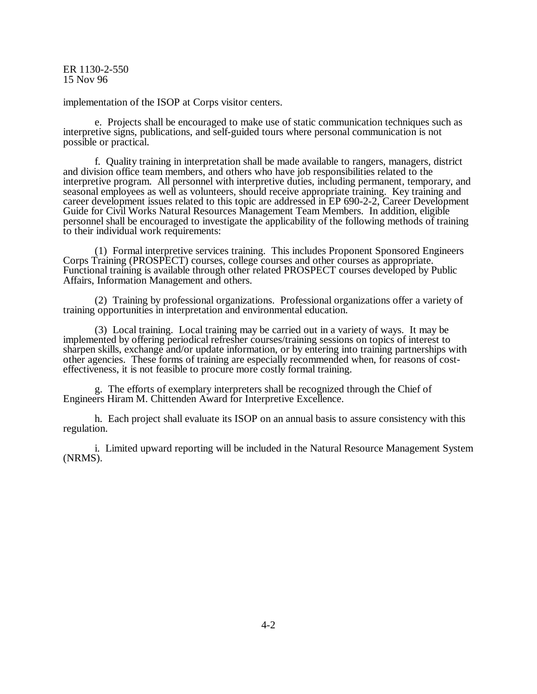ER 1130-2-550 15 Nov 96

implementation of the ISOP at Corps visitor centers.

e. Projects shall be encouraged to make use of static communication techniques such as interpretive signs, publications, and self-guided tours where personal communication is not possible or practical.

f. Quality training in interpretation shall be made available to rangers, managers, district and division office team members, and others who have job responsibilities related to the interpretive program. All personnel with interpretive duties, including permanent, temporary, and seasonal employees as well as volunteers, should receive appropriate training. Key training and career development issues related to this topic are addressed in EP 690-2-2, Career Development Guide for Civil Works Natural Resources Management Team Members. In addition, eligible personnel shall be encouraged to investigate the applicability of the following methods of training to their individual work requirements:

(1) Formal interpretive services training. This includes Proponent Sponsored Engineers Corps Training (PROSPECT) courses, college courses and other courses as appropriate. Functional training is available through other related PROSPECT courses developed by Public Affairs, Information Management and others.

(2) Training by professional organizations. Professional organizations offer a variety of training opportunities in interpretation and environmental education.

(3) Local training. Local training may be carried out in a variety of ways. It may be implemented by offering periodical refresher courses/training sessions on topics of interest to sharpen skills, exchange and/or update information, or by entering into training partnerships with other agencies. These forms of training are especially recommended when, for reasons of costeffectiveness, it is not feasible to procure more costly formal training.

g. The efforts of exemplary interpreters shall be recognized through the Chief of Engineers Hiram M. Chittenden Award for Interpretive Excellence.

h. Each project shall evaluate its ISOP on an annual basis to assure consistency with this regulation.

i. Limited upward reporting will be included in the Natural Resource Management System (NRMS).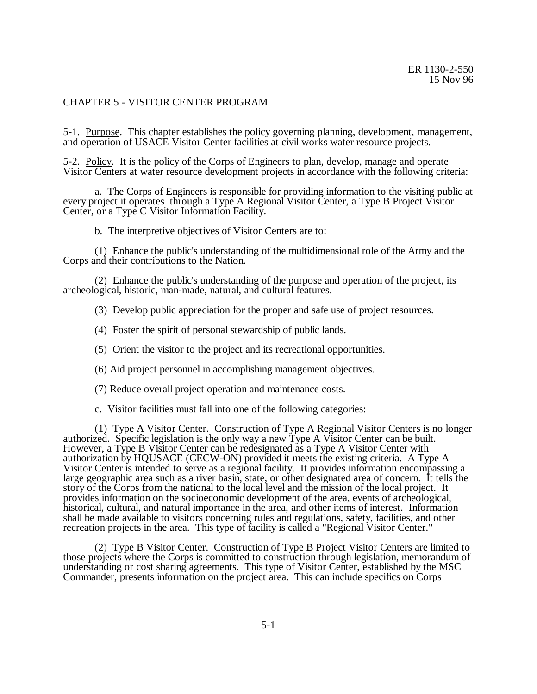## <span id="page-23-0"></span>CHAPTER 5 - VISITOR CENTER PROGRAM

5-1. Purpose. This chapter establishes the policy governing planning, development, management, and operation of USACE Visitor Center facilities at civil works water resource projects.

5-2. Policy. It is the policy of the Corps of Engineers to plan, develop, manage and operate Visitor Centers at water resource development projects in accordance with the following criteria:

a. The Corps of Engineers is responsible for providing information to the visiting public at every project it operates through a Type A Regional Visitor Center, a Type B Project Visitor Center, or a Type C Visitor Information Facility.

b. The interpretive objectives of Visitor Centers are to:

(1) Enhance the public's understanding of the multidimensional role of the Army and the Corps and their contributions to the Nation.

(2) Enhance the public's understanding of the purpose and operation of the project, its archeological, historic, man-made, natural, and cultural features.

(3) Develop public appreciation for the proper and safe use of project resources.

(4) Foster the spirit of personal stewardship of public lands.

(5) Orient the visitor to the project and its recreational opportunities.

(6) Aid project personnel in accomplishing management objectives.

(7) Reduce overall project operation and maintenance costs.

c. Visitor facilities must fall into one of the following categories:

(1) Type A Visitor Center. Construction of Type A Regional Visitor Centers is no longer authorized. Specific legislation is the only way a new Type A Visitor Center can be built. However, a Type B Visitor Center can be redesignated as a Type A Visitor Center with authorization by HQUSACE (CECW-ON) provided it meets the existing criteria. A Type A Visitor Center is intended to serve as a regional facility. It provides information encompassing a large geographic area such as a river basin, state, or other designated area of concern. It tells the story of the Corps from the national to the local level and the mission of the local project. It provides information on the socioeconomic development of the area, events of archeological, historical, cultural, and natural importance in the area, and other items of interest. Information shall be made available to visitors concerning rules and regulations, safety, facilities, and other recreation projects in the area. This type of facility is called a "Regional Visitor Center."

(2) Type B Visitor Center. Construction of Type B Project Visitor Centers are limited to those projects where the Corps is committed to construction through legislation, memorandum of understanding or cost sharing agreements. This type of Visitor Center, established by the MSC Commander, presents information on the project area. This can include specifics on Corps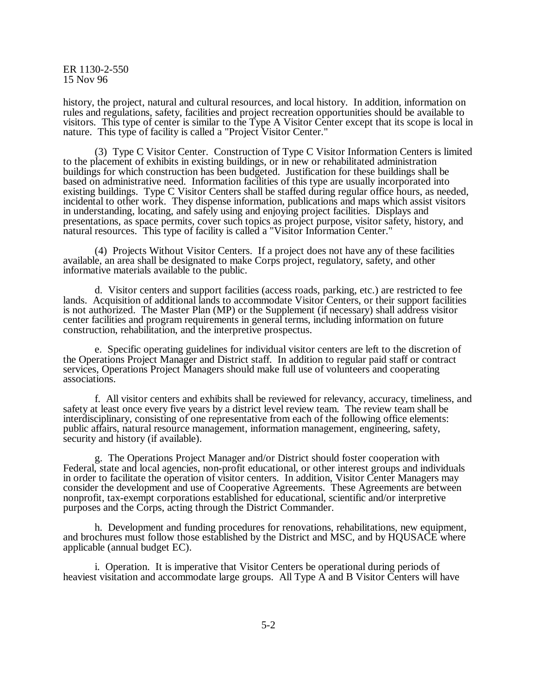#### ER 1130-2-550 15 Nov 96

history, the project, natural and cultural resources, and local history. In addition, information on rules and regulations, safety, facilities and project recreation opportunities should be available to visitors. This type of center is similar to the Type A Visitor Center except that its scope is local in nature. This type of facility is called a "Project Visitor Center."

(3) Type C Visitor Center. Construction of Type C Visitor Information Centers is limited to the placement of exhibits in existing buildings, or in new or rehabilitated administration buildings for which construction has been budgeted. Justification for these buildings shall be based on administrative need. Information facilities of this type are usually incorporated into existing buildings. Type C Visitor Centers shall be staffed during regular office hours, as needed, incidental to other work. They dispense information, publications and maps which assist visitors in understanding, locating, and safely using and enjoying project facilities. Displays and presentations, as space permits, cover such topics as project purpose, visitor safety, history, and natural resources. This type of facility is called a "Visitor Information Center."

(4) Projects Without Visitor Centers. If a project does not have any of these facilities available, an area shall be designated to make Corps project, regulatory, safety, and other informative materials available to the public.

d. Visitor centers and support facilities (access roads, parking, etc.) are restricted to fee lands. Acquisition of additional lands to accommodate Visitor Centers, or their support facilities is not authorized. The Master Plan (MP) or the Supplement (if necessary) shall address visitor center facilities and program requirements in general terms, including information on future construction, rehabilitation, and the interpretive prospectus.

e. Specific operating guidelines for individual visitor centers are left to the discretion of the Operations Project Manager and District staff. In addition to regular paid staff or contract services, Operations Project Managers should make full use of volunteers and cooperating associations.

f. All visitor centers and exhibits shall be reviewed for relevancy, accuracy, timeliness, and safety at least once every five years by a district level review team. The review team shall be interdisciplinary, consisting of one representative from each of the following office elements: public affairs, natural resource management, information management, engineering, safety, security and history (if available).

g. The Operations Project Manager and/or District should foster cooperation with Federal, state and local agencies, non-profit educational, or other interest groups and individuals in order to facilitate the operation of visitor centers. In addition, Visitor Center Managers may consider the development and use of Cooperative Agreements. These Agreements are between nonprofit, tax-exempt corporations established for educational, scientific and/or interpretive purposes and the Corps, acting through the District Commander.

h. Development and funding procedures for renovations, rehabilitations, new equipment, and brochures must follow those established by the District and MSC, and by HQUSACE where applicable (annual budget EC).

i. Operation. It is imperative that Visitor Centers be operational during periods of heaviest visitation and accommodate large groups. All Type A and B Visitor Centers will have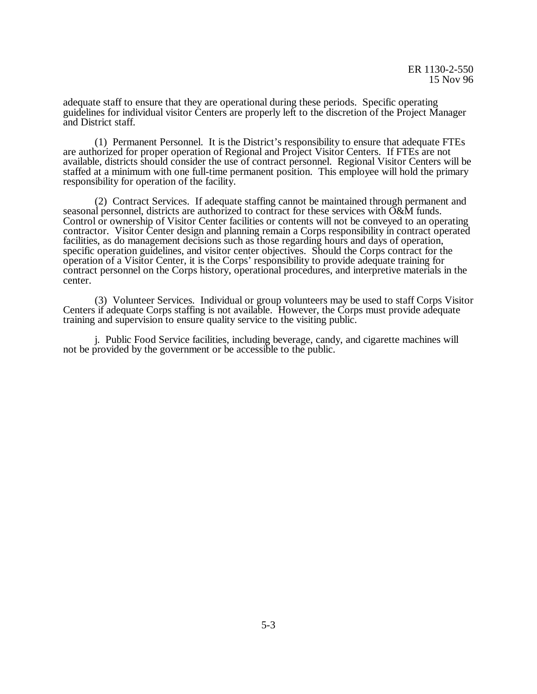adequate staff to ensure that they are operational during these periods. Specific operating guidelines for individual visitor Centers are properly left to the discretion of the Project Manager and District staff.

(1) Permanent Personnel. It is the District's responsibility to ensure that adequate FTEs are authorized for proper operation of Regional and Project Visitor Centers. If FTEs are not available, districts should consider the use of contract personnel. Regional Visitor Centers will be staffed at a minimum with one full-time permanent position. This employee will hold the primary responsibility for operation of the facility.

(2) Contract Services. If adequate staffing cannot be maintained through permanent and seasonal personnel, districts are authorized to contract for these services with O&M funds. Control or ownership of Visitor Center facilities or contents will not be conveyed to an operating contractor. Visitor Center design and planning remain a Corps responsibility in contract operated facilities, as do management decisions such as those regarding hours and days of operation, specific operation guidelines, and visitor center objectives. Should the Corps contract for the operation of a Visitor Center, it is the Corps' responsibility to provide adequate training for contract personnel on the Corps history, operational procedures, and interpretive materials in the center.

(3) Volunteer Services. Individual or group volunteers may be used to staff Corps Visitor Centers if adequate Corps staffing is not available. However, the Corps must provide adequate training and supervision to ensure quality service to the visiting public.

j. Public Food Service facilities, including beverage, candy, and cigarette machines will not be provided by the government or be accessible to the public.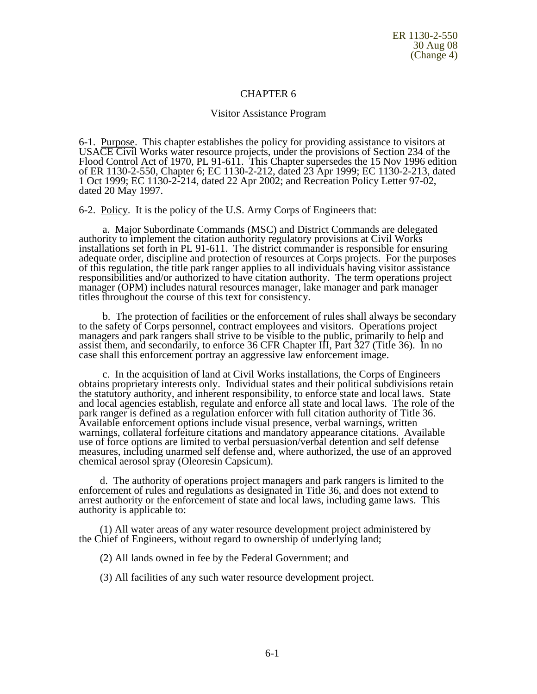## CHAPTER 6

#### Visitor Assistance Program

6-1. Purpose. This chapter establishes the policy for providing assistance to visitors at USACE Civil Works water resource projects, under the provisions of Section 234 of the Flood Control Act of 1970, PL 91-611. This Chapter supersedes the 15 Nov 1996 edition of ER 1130-2-550, Chapter 6; EC 1130-2-212, dated 23 Apr 1999; EC 1130-2-213, dated 1 Oct 1999; EC 1130-2-214, dated 22 Apr 2002; and Recreation Policy Letter 97-02, dated 20 May 1997.

6-2. Policy. It is the policy of the U.S. Army Corps of Engineers that:

 a. Major Subordinate Commands (MSC) and District Commands are delegated authority to implement the citation authority regulatory provisions at Civil Works installations set forth in PL 91-611. The district commander is responsible for ensuring adequate order, discipline and protection of resources at Corps projects. For the purposes of this regulation, the title park ranger applies to all individuals having visitor assistance responsibilities and/or authorized to have citation authority. The term operations project manager (OPM) includes natural resources manager, lake manager and park manager titles throughout the course of this text for consistency.

 b. The protection of facilities or the enforcement of rules shall always be secondary to the safety of Corps personnel, contract employees and visitors. Operations project managers and park rangers shall strive to be visible to the public, primarily to help and assist them, and secondarily, to enforce 36 CFR Chapter III, Part 327 (Title 36). In no case shall this enforcement portray an aggressive law enforcement image.

 c. In the acquisition of land at Civil Works installations, the Corps of Engineers obtains proprietary interests only. Individual states and their political subdivisions retain the statutory authority, and inherent responsibility, to enforce state and local laws. State and local agencies establish, regulate and enforce all state and local laws. The role of the park ranger is defined as a regulation enforcer with full citation authority of Title 36. Available enforcement options include visual presence, verbal warnings, written warnings, collateral forfeiture citations and mandatory appearance citations. Available use of force options are limited to verbal persuasion/verbal detention and self defense measures, including unarmed self defense and, where authorized, the use of an approved

d. The authority of operations project managers and park rangers is limited to the enforcement of rules and regulations as designated in Title 36, and does not extend to arrest authority or the enforcement of state and local laws, including game laws. This authority is applicable to:

 (1) All water areas of any water resource development project administered by the Chief of Engineers, without regard to ownership of underlying land;

(2) All lands owned in fee by the Federal Government; and

(3) All facilities of any such water resource development project.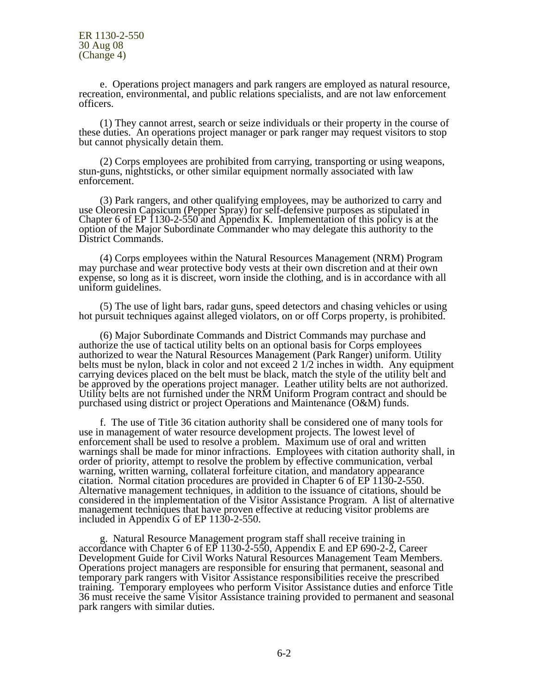e. Operations project managers and park rangers are employed as natural resource, recreation, environmental, and public relations specialists, and are not law enforcement officers.

 (1) They cannot arrest, search or seize individuals or their property in the course of these duties. An operations project manager or park ranger may request visitors to stop<br>but cannot physically detain them.

 $\Omega$  Corps employees are prohibited from carrying, transporting or using weapons, stun-guns, nightsticks, or other similar equipment normally associated with law enforcement.

 (3) Park rangers, and other qualifying employees, may be authorized to carry and use Oleoresin Capsicum (Pepper Spray) for self-defensive purposes as stipulated in Chapter 6 of EP  $\hat{1}130-2-550$  and Appendix K. Implementation of this policy is at the option of the Major Subordinate Commander who may delegate this authority to the District Commands.

 (4) Corps employees within the Natural Resources Management (NRM) Program may purchase and wear protective body vests at their own discretion and at their own expense, so long as it is discreet, worn inside the clothing, and is in accordance with all uniform guidelines.

 (5) The use of light bars, radar guns, speed detectors and chasing vehicles or using hot pursuit techniques against alleged violators, on or off Corps property, is prohibited.

 (6) Major Subordinate Commands and District Commands may purchase and authorize the use of tactical utility belts on an optional basis for Corps employees authorized to wear the Natural Resources Management (Park Ranger) uniform. Utility belts must be nylon, black in color and not exceed 2 1/2 inches in width. Any equipment carrying devices placed on the belt must be black, match the style of the utility belt and be approved by the operations project manager. Leather utility belts are not authorized. Utility belts are not furnished under the NRM Uniform Program contract and should be purchased using district or project Operations and Maintenance (O&M) funds.

 f. The use of Title 36 citation authority shall be considered one of many tools for use in management of water resource development projects. The lowest level of enforcement shall be used to resolve a problem. Maximum use of oral and written warnings shall be made for minor infractions. Employees with citation authority shall, in order of priority, attempt to resolve the problem by effective communication, verbal warning, written warning, collateral forfeiture citation, and mandatory appearance citation. Normal citation procedures are provided in Chapter 6 of EP 1130-2-550. Alternative management techniques, in addition to the issuance of citations, should be considered in the implementation of the Visitor Assistance Program. A list of alternative management techniques that have proven effective at reducing visitor problems are included in Appendix G of EP 1130-2-550.

 g. Natural Resource Management program staff shall receive training in accordance with Chapter 6 of EP 1130-2-550, Appendix E and EP 690-2-2, Career Development Guide for Civil Works Natural Resources Management Team Members. Operations project managers are responsible for ensuring that permanent, seasonal and temporary park rangers with Visitor Assistance responsibilities receive the prescribed training. Temporary employees who perform Visitor Assistance duties and enforce Title 36 must receive the same Visitor Assistance training provided to permanent and seasonal park rangers with similar duties.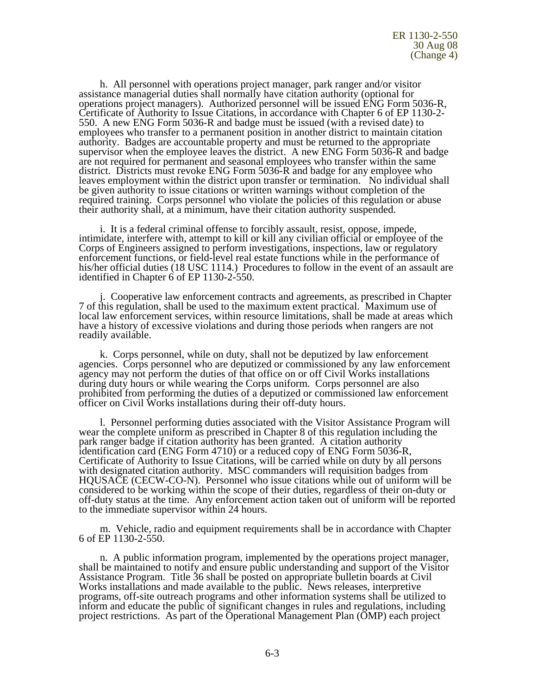h. All personnel with operations project manager, park ranger and/or visitor assistance managerial duties shall normally have citation authority (optional for operations project managers). Authorized personnel will be issued ENG Form 5036-R, Certificate of Authority to Issue Citations, in accordance with Chapter 6 of EP 1130-2- 550. A new ENG Form 5036-R and badge must be issued (with a revised date) to employees who transfer to a permanent position in another district to maintain citation authority. Badges are accountable property and must be returned to the appropriate supervisor when the employee leaves the district. A new ENG Form 5036-R and badge are not required for permanent and seasonal employees who transfer within the same district. Districts must revoke ENG Form 5036-R and badge for any employee who leaves employment within the district upon transfer or termination. No individual shall be given authority to issue citations or written warnings without completion of the required training. Corps personnel who violate the policies of this regulation or abuse their authority shall, at a minimum, have their citation authority suspended.

 i. It is a federal criminal offense to forcibly assault, resist, oppose, impede, intimidate, interfere with, attempt to kill or kill any civilian official or employee of the Corps of Engineers assigned to perform investigations, inspections, law or regulatory enforcement functions, or field-level real estate functions while in the performance of his/her official duties (18 USC 1114.) Procedures to follow in the event of an assault are identified in Chapter 6 of EP 1130-2-550.

 j. Cooperative law enforcement contracts and agreements, as prescribed in Chapter 7 of this regulation, shall be used to the maximum extent practical. Maximum use of local law enforcement services, within resource limitations, shall be made at areas which have a history of excessive violations and during those periods when rangers are not readily available.

 k. Corps personnel, while on duty, shall not be deputized by law enforcement agencies. Corps personnel who are deputized or commissioned by any law enforcement agency may not perform the duties of that office on or off Civil Works installations during duty hours or while wearing the Corps uniform. Corps personnel are also prohibited from performing the duties of a deputized or commissioned law enforcement officer on Civil Works installations during their off-duty hours.

 l. Personnel performing duties associated with the Visitor Assistance Program will wear the complete uniform as prescribed in Chapter 8 of this regulation including the park ranger badge if citation authority has been granted. A citation authority identification card (ENG Form 4710) or a reduced copy of ENG Form 5036-R, Certificate of Authority to Issue Citations, will be carried while on duty by all persons with designated citation authority. MSC commanders will requisition badges from HQUSACE (CECW-CO-N). Personnel who issue citations while out of uniform will be considered to be working within the scope of their duties, regardless of their on-duty or off-duty status at the time. Any enforcement action taken out of uniform will be reported to the immediate supervisor within 24 hours.

 m. Vehicle, radio and equipment requirements shall be in accordance with Chapter 6 of EP 1130-2-550.

 n. A public information program, implemented by the operations project manager, shall be maintained to notify and ensure public understanding and support of the Visitor Assistance Program. Title 36 shall be posted on appropriate bulletin boards at Civil Works installations and made available to the public. News releases, interpretive programs, off-site outreach programs and other information systems shall be utilized to inform and educate the public of significant changes in rules and regulations, including project restrictions. As part of the Operational Management Plan (OMP) each project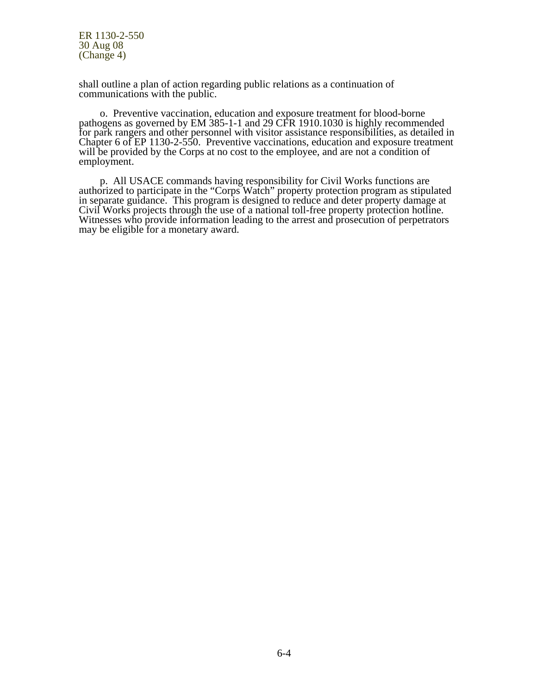ER 1130-2-550 30 Aug 08 (Change 4)

shall outline a plan of action regarding public relations as a continuation of communications with the public.

 o. Preventive vaccination, education and exposure treatment for blood-borne pathogens as governed by EM 385-1-1 and 29 CFR 1910.1030 is highly recommended for park rangers and other personnel with visitor assistance responsibilities, as detailed in Chapter 6 of EP 1130-2-550. Preventive vaccinations, education and exposure treatment will be provided by the Corps at no cost to the employee, and are not a condition of employment.

 p. All USACE commands having responsibility for Civil Works functions are authorized to participate in the "Corps Watch" property protection program as stipulated in separate guidance. This program is designed to reduce and deter property damage at Civil Works projects through the use of a national toll-free property protection hotline. Witnesses who provide information leading to the arrest and prosecution of perpetrators may be eligible for a monetary award.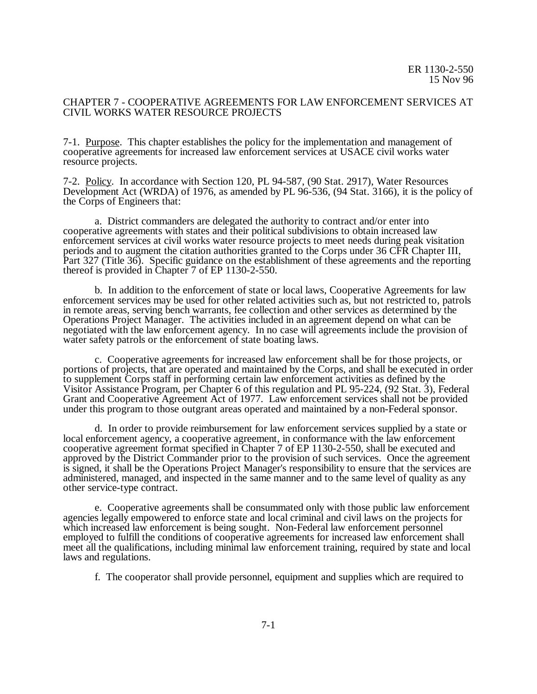#### <span id="page-30-0"></span>CHAPTER 7 - COOPERATIVE AGREEMENTS FOR LAW ENFORCEMENT SERVICES AT CIVIL WORKS WATER RESOURCE PROJECTS

7-1. Purpose. This chapter establishes the policy for the implementation and management of cooperative agreements for increased law enforcement services at USACE civil works water resource projects.

7-2. Policy. In accordance with Section 120, PL 94-587, (90 Stat. 2917), Water Resources Development Act (WRDA) of 1976, as amended by PL 96-536, (94 Stat. 3166), it is the policy of the Corps of Engineers that:

a. District commanders are delegated the authority to contract and/or enter into cooperative agreements with states and their political subdivisions to obtain increased law enforcement services at civil works water resource projects to meet needs during peak visitation periods and to augment the citation authorities granted to the Corps under 36 CFR Chapter III, Part 327 (Title 36). Specific guidance on the establishment of these agreements and the reporting thereof is provided in Chapter 7 of EP 1130-2-550.

b. In addition to the enforcement of state or local laws, Cooperative Agreements for law enforcement services may be used for other related activities such as, but not restricted to, patrols in remote areas, serving bench warrants, fee collection and other services as determined by the Operations Project Manager. The activities included in an agreement depend on what can be negotiated with the law enforcement agency. In no case will agreements include the provision of water safety patrols or the enforcement of state boating laws.

c. Cooperative agreements for increased law enforcement shall be for those projects, or portions of projects, that are operated and maintained by the Corps, and shall be executed in order to supplement Corps staff in performing certain law enforcement activities as defined by the Visitor Assistance Program, per Chapter 6 of this regulation and PL 95-224, (92 Stat. 3), Federal Grant and Cooperative Agreement Act of 1977. Law enforcement services shall not be provided under this program to those outgrant areas operated and maintained by a non-Federal sponsor.

d. In order to provide reimbursement for law enforcement services supplied by a state or local enforcement agency, a cooperative agreement, in conformance with the law enforcement cooperative agreement format specified in Chapter 7 of EP 1130-2-550, shall be executed and approved by the District Commander prior to the provision of such services. Once the agreement is signed, it shall be the Operations Project Manager's responsibility to ensure that the services are administered, managed, and inspected in the same manner and to the same level of quality as any other service-type contract.

e. Cooperative agreements shall be consummated only with those public law enforcement agencies legally empowered to enforce state and local criminal and civil laws on the projects for which increased law enforcement is being sought. Non-Federal law enforcement personnel employed to fulfill the conditions of cooperative agreements for increased law enforcement shall meet all the qualifications, including minimal law enforcement training, required by state and local laws and regulations.

f. The cooperator shall provide personnel, equipment and supplies which are required to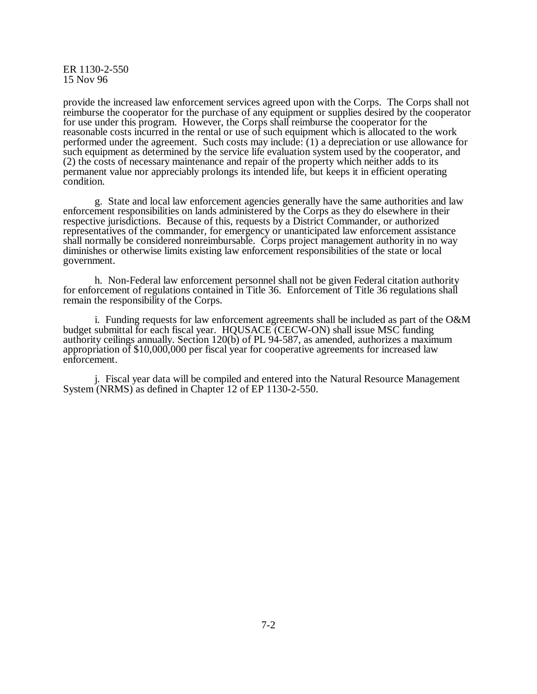#### ER 1130-2-550 15 Nov 96

provide the increased law enforcement services agreed upon with the Corps. The Corps shall not reimburse the cooperator for the purchase of any equipment or supplies desired by the cooperator for use under this program. However, the Corps shall reimburse the cooperator for the reasonable costs incurred in the rental or use of such equipment which is allocated to the work performed under the agreement. Such costs may include: (1) a depreciation or use allowance for such equipment as determined by the service life evaluation system used by the cooperator, and (2) the costs of necessary maintenance and repair of the property which neither adds to its permanent value nor appreciably prolongs its intended life, but keeps it in efficient operating condition.

g. State and local law enforcement agencies generally have the same authorities and law enforcement responsibilities on lands administered by the Corps as they do elsewhere in their respective jurisdictions. Because of this, requests by a District Commander, or authorized representatives of the commander, for emergency or unanticipated law enforcement assistance shall normally be considered nonreimbursable. Corps project management authority in no way diminishes or otherwise limits existing law enforcement responsibilities of the state or local government.

h. Non-Federal law enforcement personnel shall not be given Federal citation authority for enforcement of regulations contained in Title 36. Enforcement of Title 36 regulations shall remain the responsibility of the Corps.

i. Funding requests for law enforcement agreements shall be included as part of the O&M budget submittal for each fiscal year. HQUSACE (CECW-ON) shall issue MSC funding authority ceilings annually. Section 120(b) of PL 94-587, as amended, authorizes a maximum appropriation of \$10,000,000 per fiscal year for cooperative agreements for increased law enforcement.

j. Fiscal year data will be compiled and entered into the Natural Resource Management System (NRMS) as defined in Chapter 12 of EP 1130-2-550.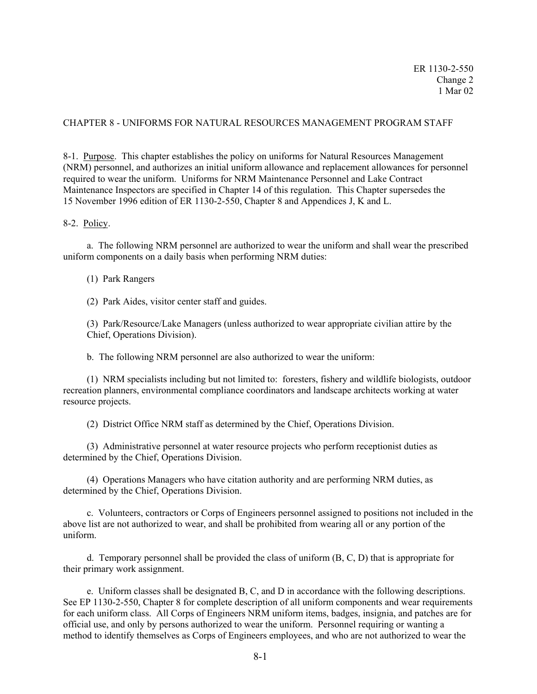## <span id="page-32-0"></span>CHAPTER 8 - UNIFORMS FOR NATURAL RESOURCES MANAGEMENT PROGRAM STAFF

8-1. Purpose. This chapter establishes the policy on uniforms for Natural Resources Management (NRM) personnel, and authorizes an initial uniform allowance and replacement allowances for personnel required to wear the uniform. Uniforms for NRM Maintenance Personnel and Lake Contract Maintenance Inspectors are specified in Chapter 14 of this regulation. This Chapter supersedes the 15 November 1996 edition of ER 1130-2-550, Chapter 8 and Appendices J, K and L.

#### 8-2. Policy.

a. The following NRM personnel are authorized to wear the uniform and shall wear the prescribed uniform components on a daily basis when performing NRM duties:

#### (1) Park Rangers

(2) Park Aides, visitor center staff and guides.

(3) Park/Resource/Lake Managers (unless authorized to wear appropriate civilian attire by the Chief, Operations Division).

b. The following NRM personnel are also authorized to wear the uniform:

(1) NRM specialists including but not limited to: foresters, fishery and wildlife biologists, outdoor recreation planners, environmental compliance coordinators and landscape architects working at water resource projects.

(2) District Office NRM staff as determined by the Chief, Operations Division.

(3) Administrative personnel at water resource projects who perform receptionist duties as determined by the Chief, Operations Division.

(4) Operations Managers who have citation authority and are performing NRM duties, as determined by the Chief, Operations Division.

c. Volunteers, contractors or Corps of Engineers personnel assigned to positions not included in the above list are not authorized to wear, and shall be prohibited from wearing all or any portion of the uniform.

d. Temporary personnel shall be provided the class of uniform (B, C, D) that is appropriate for their primary work assignment.

e. Uniform classes shall be designated B, C, and D in accordance with the following descriptions. See EP 1130-2-550, Chapter 8 for complete description of all uniform components and wear requirements for each uniform class. All Corps of Engineers NRM uniform items, badges, insignia, and patches are for official use, and only by persons authorized to wear the uniform. Personnel requiring or wanting a method to identify themselves as Corps of Engineers employees, and who are not authorized to wear the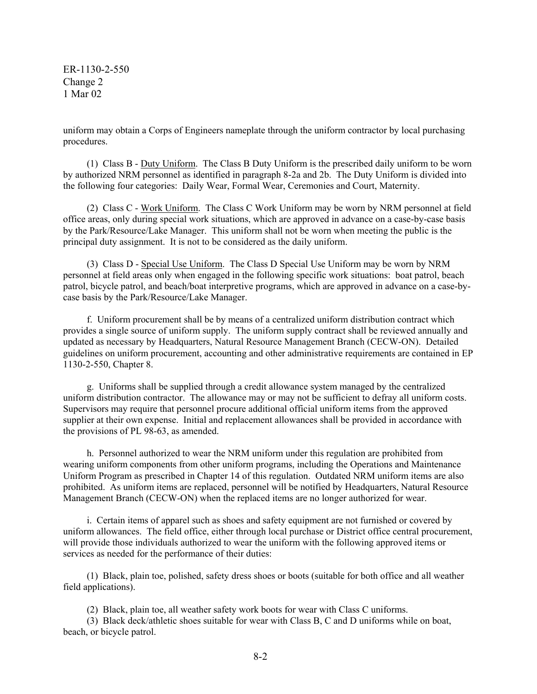ER-1130-2-550 Change 2 1 Mar 02

uniform may obtain a Corps of Engineers nameplate through the uniform contractor by local purchasing procedures.

(1) Class B - Duty Uniform. The Class B Duty Uniform is the prescribed daily uniform to be worn by authorized NRM personnel as identified in paragraph 8-2a and 2b. The Duty Uniform is divided into the following four categories: Daily Wear, Formal Wear, Ceremonies and Court, Maternity.

(2) Class C - Work Uniform. The Class C Work Uniform may be worn by NRM personnel at field office areas, only during special work situations, which are approved in advance on a case-by-case basis by the Park/Resource/Lake Manager. This uniform shall not be worn when meeting the public is the principal duty assignment. It is not to be considered as the daily uniform.

(3) Class D - Special Use Uniform. The Class D Special Use Uniform may be worn by NRM personnel at field areas only when engaged in the following specific work situations: boat patrol, beach patrol, bicycle patrol, and beach/boat interpretive programs, which are approved in advance on a case-bycase basis by the Park/Resource/Lake Manager.

f. Uniform procurement shall be by means of a centralized uniform distribution contract which provides a single source of uniform supply. The uniform supply contract shall be reviewed annually and updated as necessary by Headquarters, Natural Resource Management Branch (CECW-ON). Detailed guidelines on uniform procurement, accounting and other administrative requirements are contained in EP 1130-2-550, Chapter 8.

g. Uniforms shall be supplied through a credit allowance system managed by the centralized uniform distribution contractor. The allowance may or may not be sufficient to defray all uniform costs. Supervisors may require that personnel procure additional official uniform items from the approved supplier at their own expense. Initial and replacement allowances shall be provided in accordance with the provisions of PL 98-63, as amended.

h. Personnel authorized to wear the NRM uniform under this regulation are prohibited from wearing uniform components from other uniform programs, including the Operations and Maintenance Uniform Program as prescribed in Chapter 14 of this regulation. Outdated NRM uniform items are also prohibited. As uniform items are replaced, personnel will be notified by Headquarters, Natural Resource Management Branch (CECW-ON) when the replaced items are no longer authorized for wear.

i. Certain items of apparel such as shoes and safety equipment are not furnished or covered by uniform allowances. The field office, either through local purchase or District office central procurement, will provide those individuals authorized to wear the uniform with the following approved items or services as needed for the performance of their duties:

(1) Black, plain toe, polished, safety dress shoes or boots (suitable for both office and all weather field applications).

(2) Black, plain toe, all weather safety work boots for wear with Class C uniforms.

(3) Black deck/athletic shoes suitable for wear with Class B, C and D uniforms while on boat, beach, or bicycle patrol.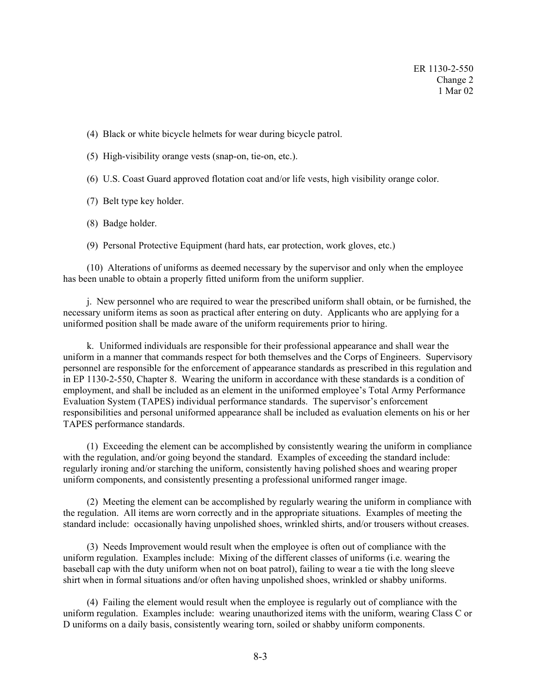- (4) Black or white bicycle helmets for wear during bicycle patrol.
- (5) High-visibility orange vests (snap-on, tie-on, etc.).

(6) U.S. Coast Guard approved flotation coat and/or life vests, high visibility orange color.

- (7) Belt type key holder.
- (8) Badge holder.
- (9) Personal Protective Equipment (hard hats, ear protection, work gloves, etc.)

(10) Alterations of uniforms as deemed necessary by the supervisor and only when the employee has been unable to obtain a properly fitted uniform from the uniform supplier.

j. New personnel who are required to wear the prescribed uniform shall obtain, or be furnished, the necessary uniform items as soon as practical after entering on duty. Applicants who are applying for a uniformed position shall be made aware of the uniform requirements prior to hiring.

k. Uniformed individuals are responsible for their professional appearance and shall wear the uniform in a manner that commands respect for both themselves and the Corps of Engineers. Supervisory personnel are responsible for the enforcement of appearance standards as prescribed in this regulation and in EP 1130-2-550, Chapter 8. Wearing the uniform in accordance with these standards is a condition of employment, and shall be included as an element in the uniformed employee's Total Army Performance Evaluation System (TAPES) individual performance standards. The supervisor's enforcement responsibilities and personal uniformed appearance shall be included as evaluation elements on his or her TAPES performance standards.

(1) Exceeding the element can be accomplished by consistently wearing the uniform in compliance with the regulation, and/or going beyond the standard. Examples of exceeding the standard include: regularly ironing and/or starching the uniform, consistently having polished shoes and wearing proper uniform components, and consistently presenting a professional uniformed ranger image.

(2) Meeting the element can be accomplished by regularly wearing the uniform in compliance with the regulation. All items are worn correctly and in the appropriate situations. Examples of meeting the standard include: occasionally having unpolished shoes, wrinkled shirts, and/or trousers without creases.

(3) Needs Improvement would result when the employee is often out of compliance with the uniform regulation. Examples include: Mixing of the different classes of uniforms (i.e. wearing the baseball cap with the duty uniform when not on boat patrol), failing to wear a tie with the long sleeve shirt when in formal situations and/or often having unpolished shoes, wrinkled or shabby uniforms.

(4) Failing the element would result when the employee is regularly out of compliance with the uniform regulation. Examples include: wearing unauthorized items with the uniform, wearing Class C or D uniforms on a daily basis, consistently wearing torn, soiled or shabby uniform components.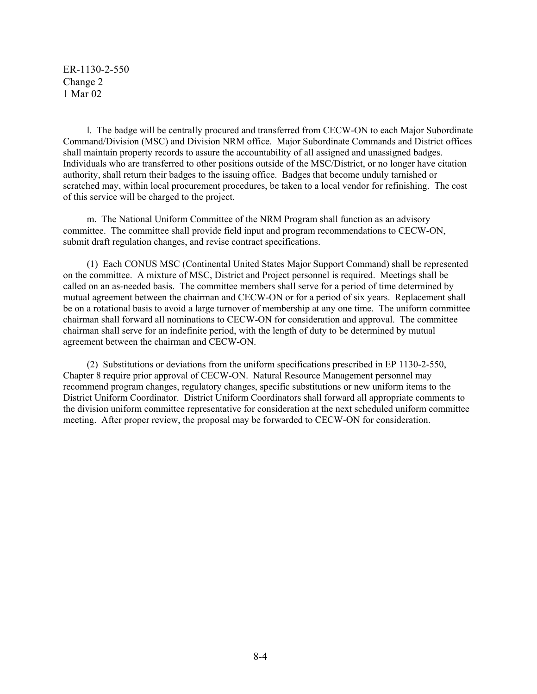ER-1130-2-550 Change 2 1 Mar 02

l. The badge will be centrally procured and transferred from CECW-ON to each Major Subordinate Command/Division (MSC) and Division NRM office. Major Subordinate Commands and District offices shall maintain property records to assure the accountability of all assigned and unassigned badges. Individuals who are transferred to other positions outside of the MSC/District, or no longer have citation authority, shall return their badges to the issuing office. Badges that become unduly tarnished or scratched may, within local procurement procedures, be taken to a local vendor for refinishing. The cost of this service will be charged to the project.

m. The National Uniform Committee of the NRM Program shall function as an advisory committee. The committee shall provide field input and program recommendations to CECW-ON, submit draft regulation changes, and revise contract specifications.

(1) Each CONUS MSC (Continental United States Major Support Command) shall be represented on the committee. A mixture of MSC, District and Project personnel is required. Meetings shall be called on an as-needed basis. The committee members shall serve for a period of time determined by mutual agreement between the chairman and CECW-ON or for a period of six years. Replacement shall be on a rotational basis to avoid a large turnover of membership at any one time. The uniform committee chairman shall forward all nominations to CECW-ON for consideration and approval. The committee chairman shall serve for an indefinite period, with the length of duty to be determined by mutual agreement between the chairman and CECW-ON.

(2) Substitutions or deviations from the uniform specifications prescribed in EP 1130-2-550, Chapter 8 require prior approval of CECW-ON. Natural Resource Management personnel may recommend program changes, regulatory changes, specific substitutions or new uniform items to the District Uniform Coordinator. District Uniform Coordinators shall forward all appropriate comments to the division uniform committee representative for consideration at the next scheduled uniform committee meeting. After proper review, the proposal may be forwarded to CECW-ON for consideration.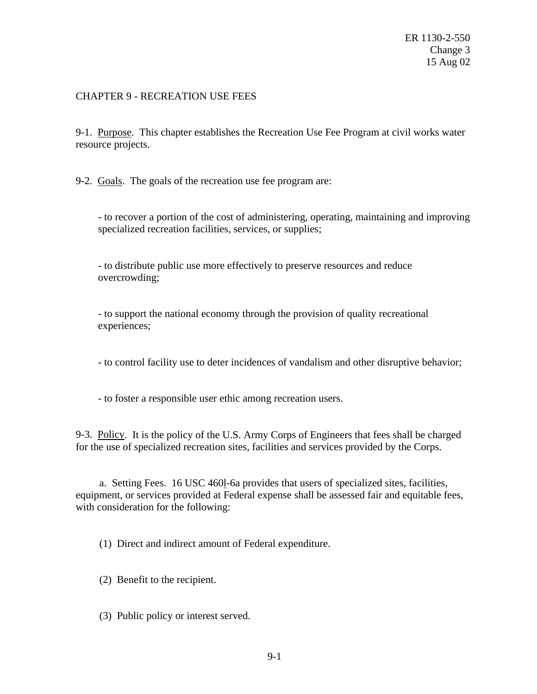# CHAPTER 9 - RECREATION USE FEES

9-1. Purpose. This chapter establishes the Recreation Use Fee Program at civil works water resource projects.

9-2. Goals. The goals of the recreation use fee program are:

- to recover a portion of the cost of administering, operating, maintaining and improving specialized recreation facilities, services, or supplies;

- to distribute public use more effectively to preserve resources and reduce overcrowding;

- to support the national economy through the provision of quality recreational experiences;

- to control facility use to deter incidences of vandalism and other disruptive behavior;

- to foster a responsible user ethic among recreation users.

9-3. Policy. It is the policy of the U.S. Army Corps of Engineers that fees shall be charged for the use of specialized recreation sites, facilities and services provided by the Corps.

a. Setting Fees.16 USC 460l-6a provides that users of specialized sites, facilities, equipment, or services provided at Federal expense shall be assessed fair and equitable fees, with consideration for the following:

(1) Direct and indirect amount of Federal expenditure.

(2) Benefit to the recipient.

(3) Public policy or interest served.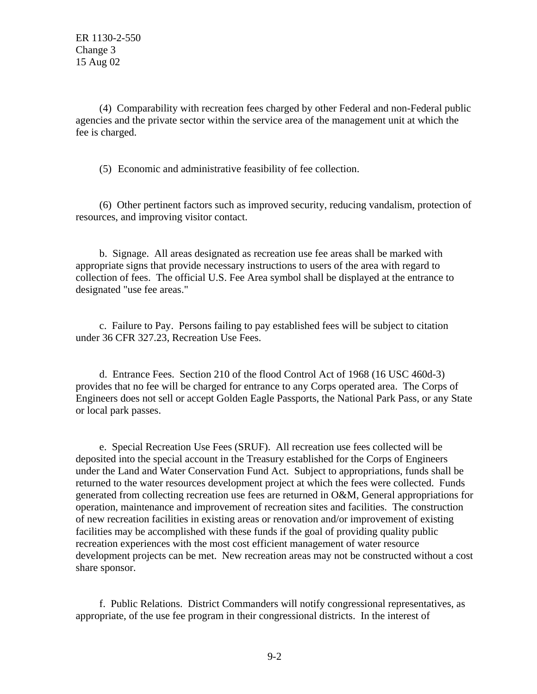(4) Comparability with recreation fees charged by other Federal and non-Federal public agencies and the private sector within the service area of the management unit at which the fee is charged.

(5) Economic and administrative feasibility of fee collection.

(6) Other pertinent factors such as improved security, reducing vandalism, protection of resources, and improving visitor contact.

b. Signage. All areas designated as recreation use fee areas shall be marked with appropriate signs that provide necessary instructions to users of the area with regard to collection of fees. The official U.S. Fee Area symbol shall be displayed at the entrance to designated "use fee areas."

c. Failure to Pay. Persons failing to pay established fees will be subject to citation under 36 CFR 327.23, Recreation Use Fees.

d. Entrance Fees. Section 210 of the flood Control Act of 1968 (16 USC 460d-3) provides that no fee will be charged for entrance to any Corps operated area. The Corps of Engineers does not sell or accept Golden Eagle Passports, the National Park Pass, or any State or local park passes.

e. Special Recreation Use Fees (SRUF). All recreation use fees collected will be deposited into the special account in the Treasury established for the Corps of Engineers under the Land and Water Conservation Fund Act. Subject to appropriations, funds shall be returned to the water resources development project at which the fees were collected. Funds generated from collecting recreation use fees are returned in O&M, General appropriations for operation, maintenance and improvement of recreation sites and facilities. The construction of new recreation facilities in existing areas or renovation and/or improvement of existing facilities may be accomplished with these funds if the goal of providing quality public recreation experiences with the most cost efficient management of water resource development projects can be met. New recreation areas may not be constructed without a cost share sponsor.

f. Public Relations. District Commanders will notify congressional representatives, as appropriate, of the use fee program in their congressional districts. In the interest of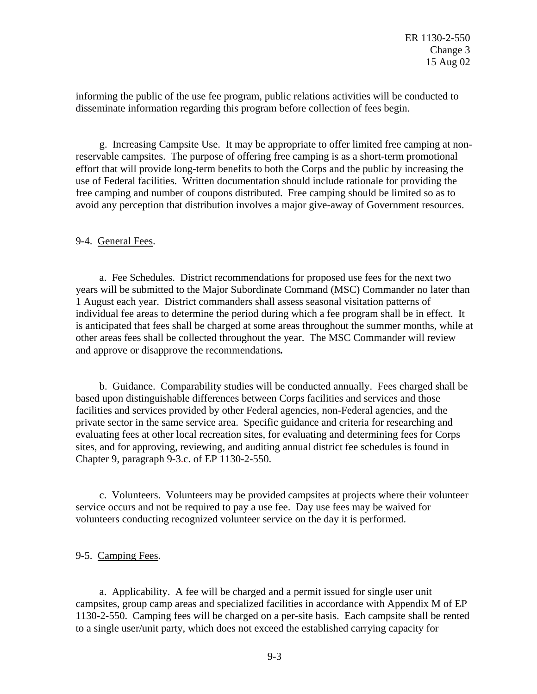informing the public of the use fee program, public relations activities will be conducted to disseminate information regarding this program before collection of fees begin.

g. Increasing Campsite Use. It may be appropriate to offer limited free camping at nonreservable campsites. The purpose of offering free camping is as a short-term promotional effort that will provide long-term benefits to both the Corps and the public by increasing the use of Federal facilities. Written documentation should include rationale for providing the free camping and number of coupons distributed. Free camping should be limited so as to avoid any perception that distribution involves a major give-away of Government resources.

## 9-4. General Fees.

a. Fee Schedules. District recommendations for proposed use fees for the next two years will be submitted to the Major Subordinate Command (MSC) Commander no later than 1 August each year. District commanders shall assess seasonal visitation patterns of individual fee areas to determine the period during which a fee program shall be in effect. It is anticipated that fees shall be charged at some areas throughout the summer months, while at other areas fees shall be collected throughout the year. The MSC Commander will review and approve or disapprove the recommendations*.* 

b. Guidance. Comparability studies will be conducted annually. Fees charged shall be based upon distinguishable differences between Corps facilities and services and those facilities and services provided by other Federal agencies, non-Federal agencies, and the private sector in the same service area. Specific guidance and criteria for researching and evaluating fees at other local recreation sites, for evaluating and determining fees for Corps sites, and for approving, reviewing, and auditing annual district fee schedules is found in Chapter 9, paragraph 9-3.c. of EP 1130-2-550.

c. Volunteers. Volunteers may be provided campsites at projects where their volunteer service occurs and not be required to pay a use fee. Day use fees may be waived for volunteers conducting recognized volunteer service on the day it is performed.

## 9-5. Camping Fees.

a. Applicability. A fee will be charged and a permit issued for single user unit campsites, group camp areas and specialized facilities in accordance with Appendix M of EP 1130-2-550. Camping fees will be charged on a per-site basis. Each campsite shall be rented to a single user/unit party, which does not exceed the established carrying capacity for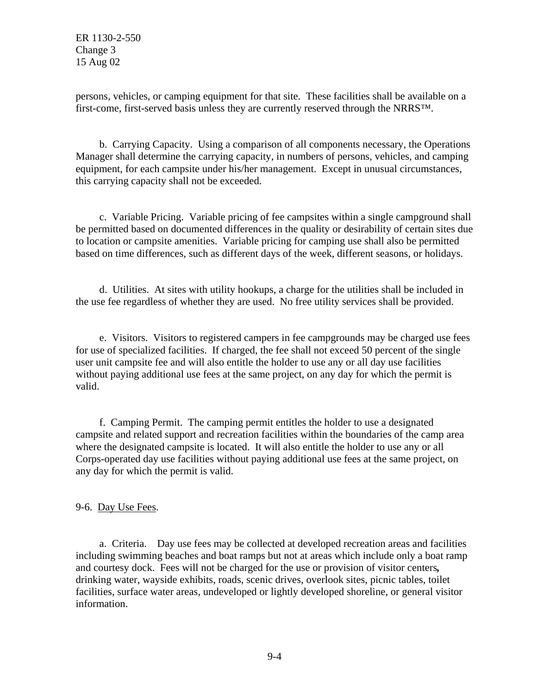persons, vehicles, or camping equipment for that site. These facilities shall be available on a first-come, first-served basis unless they are currently reserved through the NRRS™.

b. Carrying Capacity. Using a comparison of all components necessary, the Operations Manager shall determine the carrying capacity, in numbers of persons, vehicles, and camping equipment, for each campsite under his/her management. Except in unusual circumstances, this carrying capacity shall not be exceeded.

c. Variable Pricing.Variable pricing of fee campsites within a single campground shall be permitted based on documented differences in the quality or desirability of certain sites due to location or campsite amenities. Variable pricing for camping use shall also be permitted based on time differences, such as different days of the week, different seasons, or holidays.

d. Utilities. At sites with utility hookups, a charge for the utilities shall be included in the use fee regardless of whether they are used. No free utility services shall be provided.

e. Visitors.Visitors to registered campers in fee campgrounds may be charged use fees for use of specialized facilities. If charged, the fee shall not exceed 50 percent of the single user unit campsite fee and will also entitle the holder to use any or all day use facilities without paying additional use fees at the same project, on any day for which the permit is valid.

f. Camping Permit.The camping permit entitles the holder to use a designated campsite and related support and recreation facilities within the boundaries of the camp area where the designated campsite is located. It will also entitle the holder to use any or all Corps-operated day use facilities without paying additional use fees at the same project, on any day for which the permit is valid.

9-6. Day Use Fees.

a. Criteria.Day use fees may be collected at developed recreation areas and facilities including swimming beaches and boat ramps but not at areas which include only a boat ramp and courtesy dock. Fees will not be charged for the use or provision of visitor centers*,* drinking water, wayside exhibits, roads, scenic drives, overlook sites, picnic tables, toilet facilities, surface water areas, undeveloped or lightly developed shoreline, or general visitor information.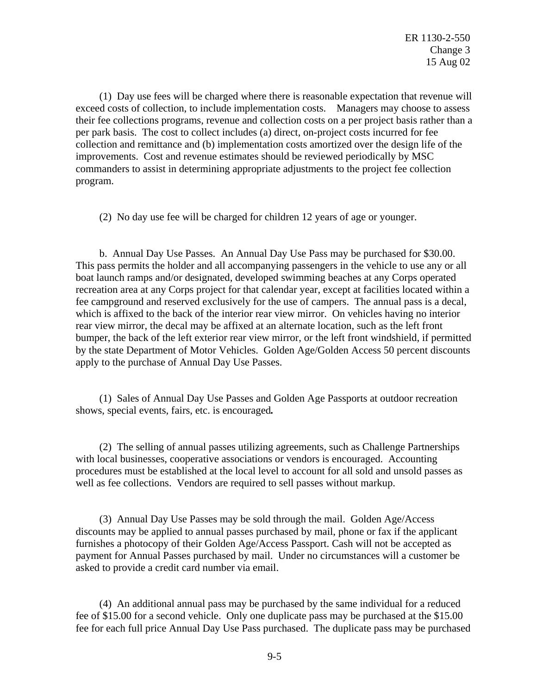(1) Day use fees will be charged where there is reasonable expectation that revenue will exceed costs of collection, to include implementation costs. Managers may choose to assess their fee collections programs, revenue and collection costs on a per project basis rather than a per park basis. The cost to collect includes (a) direct, on-project costs incurred for fee collection and remittance and (b) implementation costs amortized over the design life of the improvements. Cost and revenue estimates should be reviewed periodically by MSC commanders to assist in determining appropriate adjustments to the project fee collection program.

(2) No day use fee will be charged for children 12 years of age or younger.

 b. Annual Day Use Passes. An Annual Day Use Pass may be purchased for \$30.00. This pass permits the holder and all accompanying passengers in the vehicle to use any or all boat launch ramps and/or designated, developed swimming beaches at any Corps operated recreation area at any Corps project for that calendar year, except at facilities located within a fee campground and reserved exclusively for the use of campers. The annual pass is a decal, which is affixed to the back of the interior rear view mirror. On vehicles having no interior rear view mirror, the decal may be affixed at an alternate location, such as the left front bumper, the back of the left exterior rear view mirror, or the left front windshield, if permitted by the state Department of Motor Vehicles. Golden Age/Golden Access 50 percent discounts apply to the purchase of Annual Day Use Passes.

(1) Sales of Annual Day Use Passes and Golden Age Passports at outdoor recreation shows, special events, fairs, etc. is encouraged*.* 

(2) The selling of annual passes utilizing agreements, such as Challenge Partnerships with local businesses, cooperative associations or vendors is encouraged. Accounting procedures must be established at the local level to account for all sold and unsold passes as well as fee collections. Vendors are required to sell passes without markup.

(3) Annual Day Use Passes may be sold through the mail. Golden Age/Access discounts may be applied to annual passes purchased by mail, phone or fax if the applicant furnishes a photocopy of their Golden Age/Access Passport. Cash will not be accepted as payment for Annual Passes purchased by mail. Under no circumstances will a customer be asked to provide a credit card number via email.

(4) An additional annual pass may be purchased by the same individual for a reduced fee of \$15.00 for a second vehicle. Only one duplicate pass may be purchased at the \$15.00 fee for each full price Annual Day Use Pass purchased. The duplicate pass may be purchased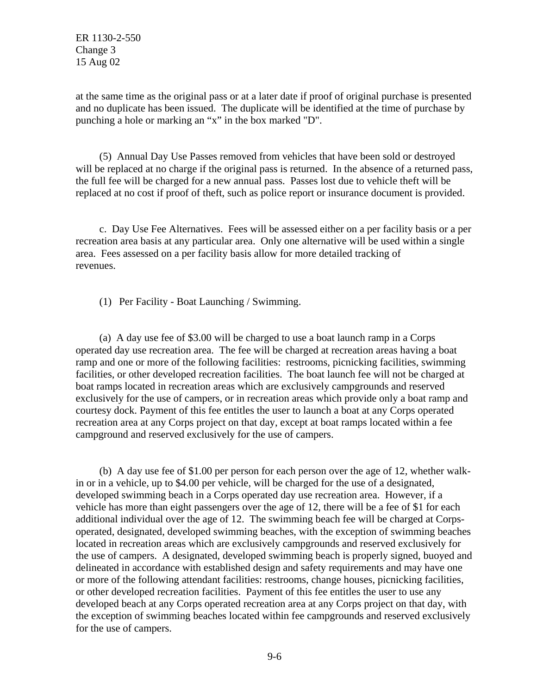at the same time as the original pass or at a later date if proof of original purchase is presented and no duplicate has been issued. The duplicate will be identified at the time of purchase by punching a hole or marking an "x" in the box marked "D".

(5) Annual Day Use Passes removed from vehicles that have been sold or destroyed will be replaced at no charge if the original pass is returned. In the absence of a returned pass, the full fee will be charged for a new annual pass. Passes lost due to vehicle theft will be replaced at no cost if proof of theft, such as police report or insurance document is provided.

 c. Day Use Fee Alternatives. Fees will be assessed either on a per facility basis or a per recreation area basis at any particular area. Only one alternative will be used within a single area. Fees assessed on a per facility basis allow for more detailed tracking of revenues.

(1) Per Facility - Boat Launching / Swimming.

(a) A day use fee of \$3.00 will be charged to use a boat launch ramp in a Corps operated day use recreation area. The fee will be charged at recreation areas having a boat ramp and one or more of the following facilities: restrooms, picnicking facilities, swimming facilities, or other developed recreation facilities. The boat launch fee will not be charged at boat ramps located in recreation areas which are exclusively campgrounds and reserved exclusively for the use of campers, or in recreation areas which provide only a boat ramp and courtesy dock. Payment of this fee entitles the user to launch a boat at any Corps operated recreation area at any Corps project on that day, except at boat ramps located within a fee campground and reserved exclusively for the use of campers.

(b) A day use fee of \$1.00 per person for each person over the age of 12, whether walkin or in a vehicle, up to \$4.00 per vehicle, will be charged for the use of a designated, developed swimming beach in a Corps operated day use recreation area. However, if a vehicle has more than eight passengers over the age of 12, there will be a fee of \$1 for each additional individual over the age of 12. The swimming beach fee will be charged at Corpsoperated, designated, developed swimming beaches, with the exception of swimming beaches located in recreation areas which are exclusively campgrounds and reserved exclusively for the use of campers. A designated, developed swimming beach is properly signed, buoyed and delineated in accordance with established design and safety requirements and may have one or more of the following attendant facilities: restrooms, change houses, picnicking facilities, or other developed recreation facilities. Payment of this fee entitles the user to use any developed beach at any Corps operated recreation area at any Corps project on that day, with the exception of swimming beaches located within fee campgrounds and reserved exclusively for the use of campers.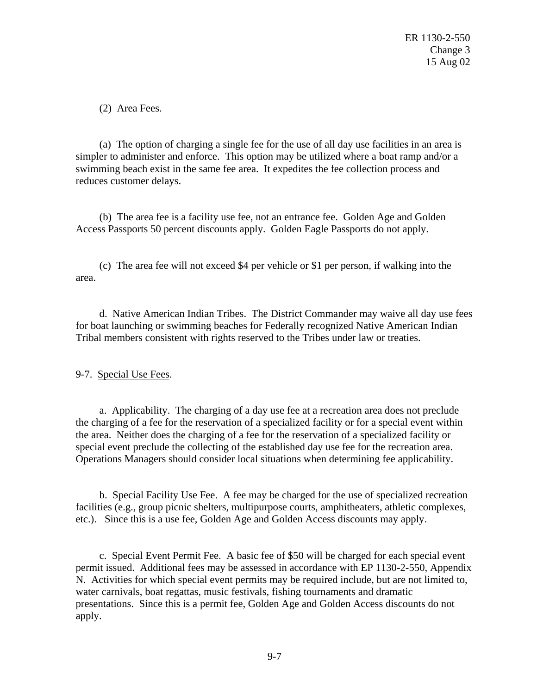(2) Area Fees.

(a) The option of charging a single fee for the use of all day use facilities in an area is simpler to administer and enforce. This option may be utilized where a boat ramp and/or a swimming beach exist in the same fee area. It expedites the fee collection process and reduces customer delays.

(b) The area fee is a facility use fee, not an entrance fee. Golden Age and Golden Access Passports 50 percent discounts apply. Golden Eagle Passports do not apply.

(c) The area fee will not exceed \$4 per vehicle or \$1 per person, if walking into the area.

d. Native American Indian Tribes. The District Commander may waive all day use fees for boat launching or swimming beaches for Federally recognized Native American Indian Tribal members consistent with rights reserved to the Tribes under law or treaties.

9-7. Special Use Fees.

a. Applicability. The charging of a day use fee at a recreation area does not preclude the charging of a fee for the reservation of a specialized facility or for a special event within the area. Neither does the charging of a fee for the reservation of a specialized facility or special event preclude the collecting of the established day use fee for the recreation area. Operations Managers should consider local situations when determining fee applicability.

b. Special Facility Use Fee. A fee may be charged for the use of specialized recreation facilities (e.g., group picnic shelters, multipurpose courts, amphitheaters, athletic complexes, etc.). Since this is a use fee, Golden Age and Golden Access discounts may apply.

c. Special Event Permit Fee. A basic fee of \$50 will be charged for each special event permit issued. Additional fees may be assessed in accordance with EP 1130-2-550, Appendix N. Activities for which special event permits may be required include, but are not limited to, water carnivals, boat regattas, music festivals, fishing tournaments and dramatic presentations. Since this is a permit fee, Golden Age and Golden Access discounts do not apply.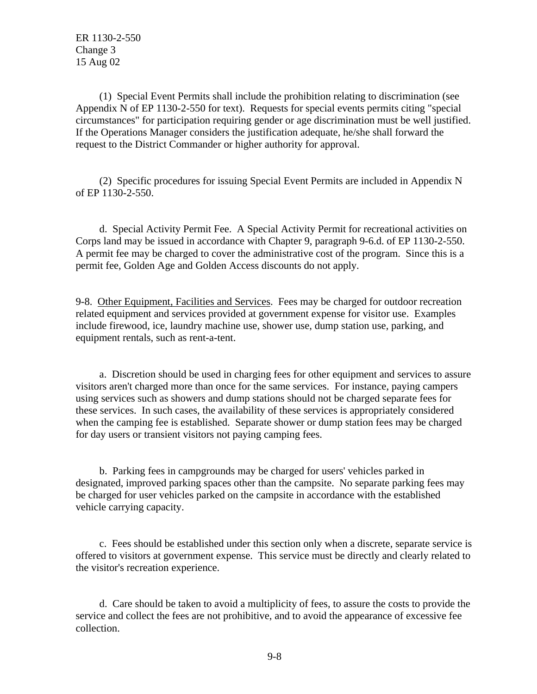(1) Special Event Permits shall include the prohibition relating to discrimination (see Appendix N of EP 1130-2-550 for text). Requests for special events permits citing "special circumstances" for participation requiring gender or age discrimination must be well justified. If the Operations Manager considers the justification adequate, he/she shall forward the request to the District Commander or higher authority for approval.

(2) Specific procedures for issuing Special Event Permits are included in Appendix N of EP 1130-2-550.

d. Special Activity Permit Fee. A Special Activity Permit for recreational activities on Corps land may be issued in accordance with Chapter 9, paragraph 9-6.d. of EP 1130-2-550. A permit fee may be charged to cover the administrative cost of the program. Since this is a permit fee, Golden Age and Golden Access discounts do not apply.

9-8. Other Equipment, Facilities and Services. Fees may be charged for outdoor recreation related equipment and services provided at government expense for visitor use. Examples include firewood, ice, laundry machine use, shower use, dump station use, parking, and equipment rentals, such as rent-a-tent.

a. Discretion should be used in charging fees for other equipment and services to assure visitors aren't charged more than once for the same services. For instance, paying campers using services such as showers and dump stations should not be charged separate fees for these services. In such cases, the availability of these services is appropriately considered when the camping fee is established. Separate shower or dump station fees may be charged for day users or transient visitors not paying camping fees.

b. Parking fees in campgrounds may be charged for users' vehicles parked in designated, improved parking spaces other than the campsite. No separate parking fees may be charged for user vehicles parked on the campsite in accordance with the established vehicle carrying capacity.

c. Fees should be established under this section only when a discrete, separate service is offered to visitors at government expense. This service must be directly and clearly related to the visitor's recreation experience.

d. Care should be taken to avoid a multiplicity of fees, to assure the costs to provide the service and collect the fees are not prohibitive, and to avoid the appearance of excessive fee collection.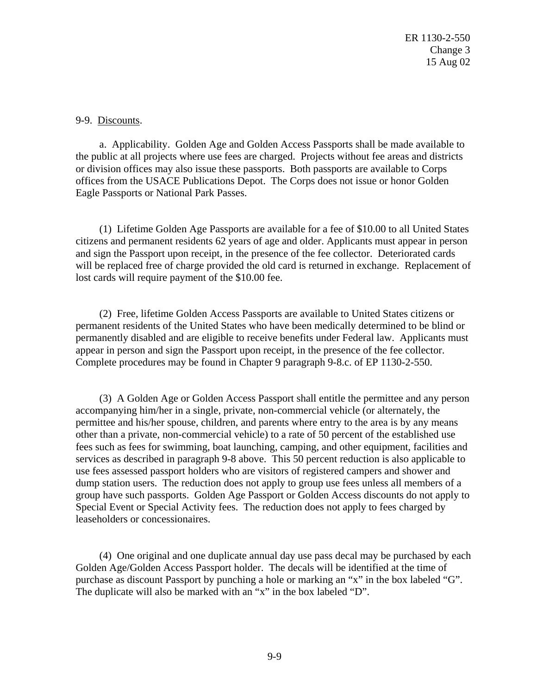## 9-9. Discounts.

a. Applicability. Golden Age and Golden Access Passports shall be made available to the public at all projects where use fees are charged. Projects without fee areas and districts or division offices may also issue these passports. Both passports are available to Corps offices from the USACE Publications Depot. The Corps does not issue or honor Golden Eagle Passports or National Park Passes.

(1) Lifetime Golden Age Passports are available for a fee of \$10.00 to all United States citizens and permanent residents 62 years of age and older. Applicants must appear in person and sign the Passport upon receipt, in the presence of the fee collector. Deteriorated cards will be replaced free of charge provided the old card is returned in exchange. Replacement of lost cards will require payment of the \$10.00 fee.

(2) Free, lifetime Golden Access Passports are available to United States citizens or permanent residents of the United States who have been medically determined to be blind or permanently disabled and are eligible to receive benefits under Federal law. Applicants must appear in person and sign the Passport upon receipt, in the presence of the fee collector. Complete procedures may be found in Chapter 9 paragraph 9-8.c. of EP 1130-2-550.

(3) A Golden Age or Golden Access Passport shall entitle the permittee and any person accompanying him/her in a single, private, non-commercial vehicle (or alternately, the permittee and his/her spouse, children, and parents where entry to the area is by any means other than a private, non-commercial vehicle) to a rate of 50 percent of the established use fees such as fees for swimming, boat launching, camping, and other equipment, facilities and services as described in paragraph 9-8 above. This 50 percent reduction is also applicable to use fees assessed passport holders who are visitors of registered campers and shower and dump station users. The reduction does not apply to group use fees unless all members of a group have such passports. Golden Age Passport or Golden Access discounts do not apply to Special Event or Special Activity fees.The reduction does not apply to fees charged by leaseholders or concessionaires.

(4) One original and one duplicate annual day use pass decal may be purchased by each Golden Age/Golden Access Passport holder. The decals will be identified at the time of purchase as discount Passport by punching a hole or marking an "x" in the box labeled "G". The duplicate will also be marked with an "x" in the box labeled "D".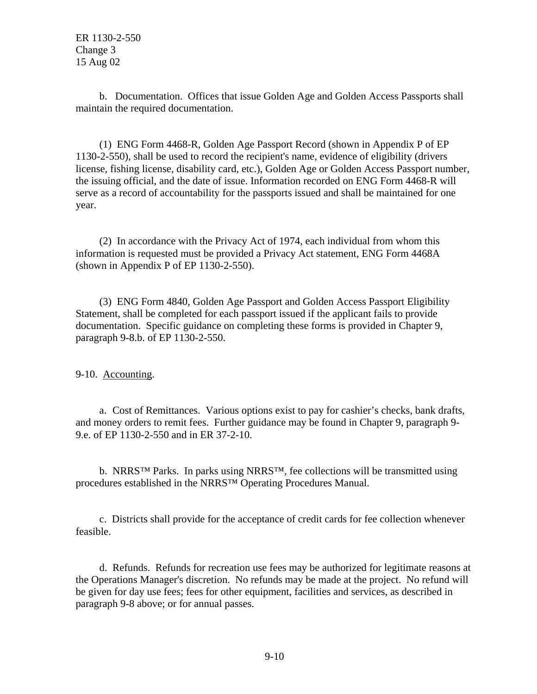b. Documentation. Offices that issue Golden Age and Golden Access Passports shall maintain the required documentation.

(1) ENG Form 4468-R, Golden Age Passport Record (shown in Appendix P of EP 1130-2-550), shall be used to record the recipient's name, evidence of eligibility (drivers license, fishing license, disability card, etc.), Golden Age or Golden Access Passport number, the issuing official, and the date of issue. Information recorded on ENG Form 4468-R will serve as a record of accountability for the passports issued and shall be maintained for one year.

(2) In accordance with the Privacy Act of 1974, each individual from whom this information is requested must be provided a Privacy Act statement, ENG Form 4468A (shown in Appendix P of EP 1130-2-550).

(3) ENG Form 4840, Golden Age Passport and Golden Access Passport Eligibility Statement, shall be completed for each passport issued if the applicant fails to provide documentation. Specific guidance on completing these forms is provided in Chapter 9, paragraph 9-8.b. of EP 1130-2-550.

9-10. Accounting.

a. Cost of Remittances. Various options exist to pay for cashier's checks, bank drafts, and money orders to remit fees. Further guidance may be found in Chapter 9, paragraph 9- 9.e. of EP 1130-2-550 and in ER 37-2-10.

b. NRRS™ Parks.In parks using NRRS™, fee collections will be transmitted using procedures established in the NRRS™ Operating Procedures Manual.

 c. Districts shall provide for the acceptance of credit cards for fee collection whenever feasible.

d. Refunds. Refunds for recreation use fees may be authorized for legitimate reasons at the Operations Manager's discretion. No refunds may be made at the project. No refund will be given for day use fees; fees for other equipment, facilities and services, as described in paragraph 9-8 above; or for annual passes.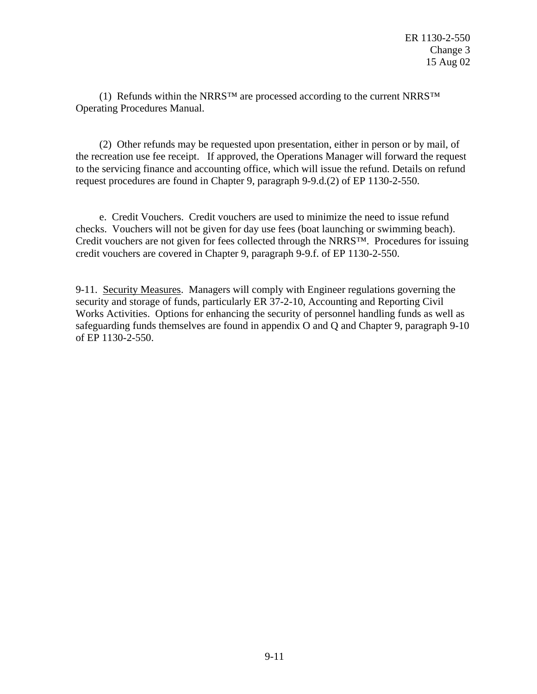(1) Refunds within the NRRS™ are processed according to the current NRRS™ Operating Procedures Manual.

(2) Other refunds may be requested upon presentation, either in person or by mail, of the recreation use fee receipt. If approved, the Operations Manager will forward the request to the servicing finance and accounting office, which will issue the refund. Details on refund request procedures are found in Chapter 9, paragraph 9-9.d.(2) of EP 1130-2-550.

e. Credit Vouchers. Credit vouchers are used to minimize the need to issue refund checks. Vouchers will not be given for day use fees (boat launching or swimming beach). Credit vouchers are not given for fees collected through the NRRS™. Procedures for issuing credit vouchers are covered in Chapter 9, paragraph 9-9.f. of EP 1130-2-550.

9-11. Security Measures. Managers will comply with Engineer regulations governing the security and storage of funds, particularly ER 37-2-10, Accounting and Reporting Civil Works Activities. Options for enhancing the security of personnel handling funds as well as safeguarding funds themselves are found in appendix O and Q and Chapter 9, paragraph 9-10 of EP 1130-2-550.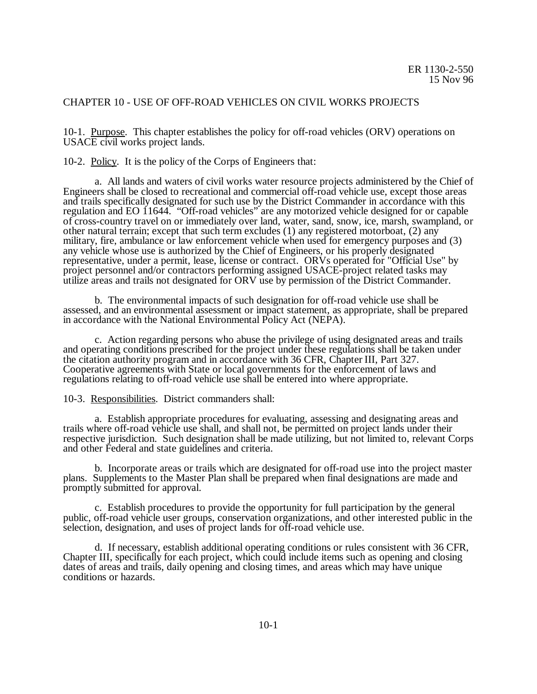## CHAPTER 10 - USE OF OFF-ROAD VEHICLES ON CIVIL WORKS PROJECTS

10-1. Purpose. This chapter establishes the policy for off-road vehicles (ORV) operations on USACE civil works project lands.

10-2. Policy. It is the policy of the Corps of Engineers that:

a. All lands and waters of civil works water resource projects administered by the Chief of Engineers shall be closed to recreational and commercial off-road vehicle use, except those areas and trails specifically designated for such use by the District Commander in accordance with this regulation and EO 11644. "Off-road vehicles" are any motorized vehicle designed for or capable of cross-country travel on or immediately over land, water, sand, snow, ice, marsh, swampland, or other natural terrain; except that such term excludes (1) any registered motorboat, (2) any military, fire, ambulance or law enforcement vehicle when used for emergency purposes and (3) any vehicle whose use is authorized by the Chief of Engineers, or his properly designated representative, under a permit, lease, license or contract. ORVs operated for "Official Use" by project personnel and/or contractors performing assigned USACE-project related tasks may utilize areas and trails not designated for ORV use by permission of the District Commander.

b. The environmental impacts of such designation for off-road vehicle use shall be assessed, and an environmental assessment or impact statement, as appropriate, shall be prepared in accordance with the National Environmental Policy Act (NEPA).

c. Action regarding persons who abuse the privilege of using designated areas and trails and operating conditions prescribed for the project under these regulations shall be taken under the citation authority program and in accordance with 36 CFR, Chapter III, Part 327. Cooperative agreements with State or local governments for the enforcement of laws and regulations relating to off-road vehicle use shall be entered into where appropriate.

10-3. Responsibilities. District commanders shall:

a. Establish appropriate procedures for evaluating, assessing and designating areas and trails where off-road vehicle use shall, and shall not, be permitted on project lands under their respective jurisdiction. Such designation shall be made utilizing, but not limited to, relevant Corps and other Federal and state guidelines and criteria.

b. Incorporate areas or trails which are designated for off-road use into the project master plans. Supplements to the Master Plan shall be prepared when final designations are made and promptly submitted for approval.

c. Establish procedures to provide the opportunity for full participation by the general public, off-road vehicle user groups, conservation organizations, and other interested public in the selection, designation, and uses of project lands for off-road vehicle use.

d. If necessary, establish additional operating conditions or rules consistent with 36 CFR, Chapter III, specifically for each project, which could include items such as opening and closing dates of areas and trails, daily opening and closing times, and areas which may have unique conditions or hazards.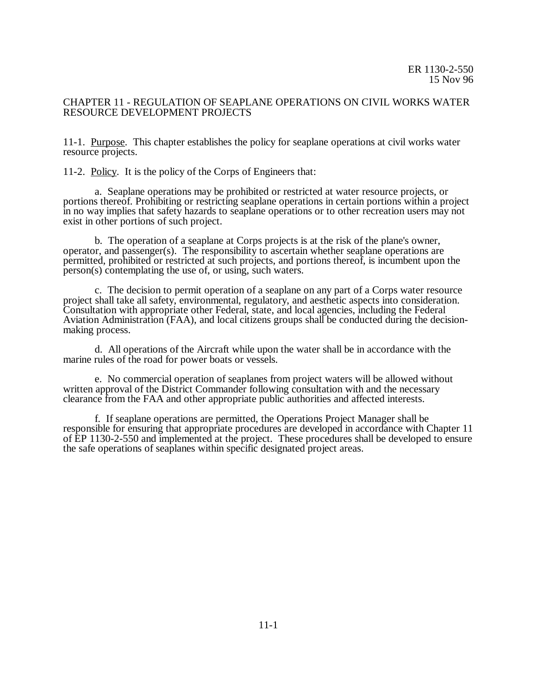### CHAPTER 11 - REGULATION OF SEAPLANE OPERATIONS ON CIVIL WORKS WATER RESOURCE DEVELOPMENT PROJECTS

11-1. Purpose. This chapter establishes the policy for seaplane operations at civil works water resource projects.

11-2. Policy. It is the policy of the Corps of Engineers that:

a. Seaplane operations may be prohibited or restricted at water resource projects, or portions thereof. Prohibiting or restricting seaplane operations in certain portions within a project in no way implies that safety hazards to seaplane operations or to other recreation users may not exist in other portions of such project.

b. The operation of a seaplane at Corps projects is at the risk of the plane's owner, operator, and passenger(s). The responsibility to ascertain whether seaplane operations are permitted, prohibited or restricted at such projects, and portions thereof, is incumbent upon the person(s) contemplating the use of, or using, such waters.

c. The decision to permit operation of a seaplane on any part of a Corps water resource project shall take all safety, environmental, regulatory, and aesthetic aspects into consideration. Consultation with appropriate other Federal, state, and local agencies, including the Federal Aviation Administration (FAA), and local citizens groups shall be conducted during the decisionmaking process.

d. All operations of the Aircraft while upon the water shall be in accordance with the marine rules of the road for power boats or vessels.

e. No commercial operation of seaplanes from project waters will be allowed without written approval of the District Commander following consultation with and the necessary clearance from the FAA and other appropriate public authorities and affected interests.

f. If seaplane operations are permitted, the Operations Project Manager shall be responsible for ensuring that appropriate procedures are developed in accordance with Chapter 11 of EP 1130-2-550 and implemented at the project. These procedures shall be developed to ensure the safe operations of seaplanes within specific designated project areas.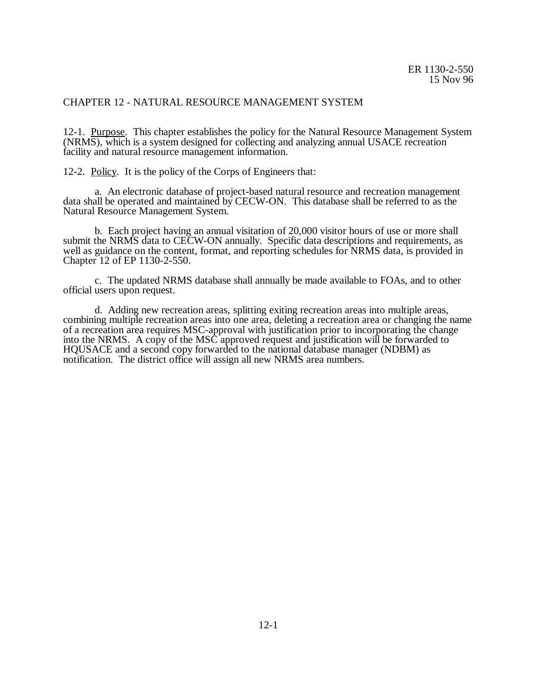### CHAPTER 12 - NATURAL RESOURCE MANAGEMENT SYSTEM

12-1. Purpose. This chapter establishes the policy for the Natural Resource Management System (NRMS), which is a system designed for collecting and analyzing annual USACE recreation facility and natural resource management information.

12-2. Policy. It is the policy of the Corps of Engineers that:

a. An electronic database of project-based natural resource and recreation management data shall be operated and maintained by CECW-ON. This database shall be referred to as the Natural Resource Management System.

b. Each project having an annual visitation of 20,000 visitor hours of use or more shall submit the NRMS data to CECW-ON annually. Specific data descriptions and requirements, as well as guidance on the content, format, and reporting schedules for NRMS data, is provided in Chapter 12 of EP 1130-2-550.

c. The updated NRMS database shall annually be made available to FOAs, and to other official users upon request.

d. Adding new recreation areas, splitting exiting recreation areas into multiple areas, combining multiple recreation areas into one area, deleting a recreation area or changing the name of a recreation area requires MSC-approval with justification prior to incorporating the change into the NRMS. A copy of the MSC approved request and justification will be forwarded to HQUSACE and a second copy forwarded to the national database manager (NDBM) as notification. The district office will assign all new NRMS area numbers.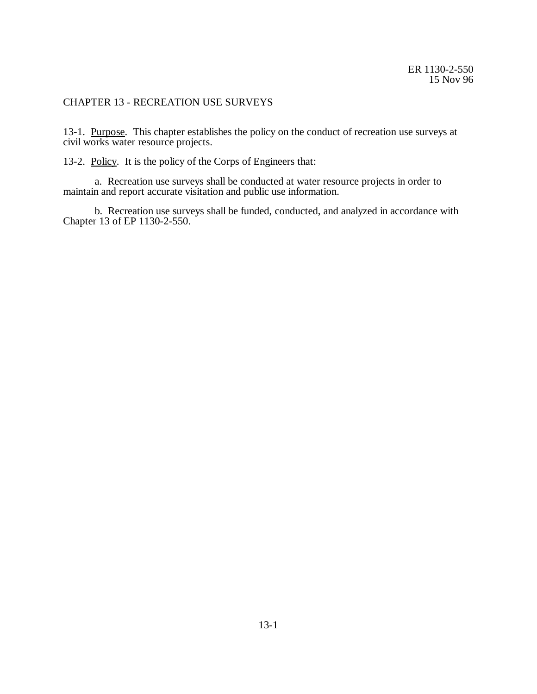## CHAPTER 13 - RECREATION USE SURVEYS

13-1. Purpose. This chapter establishes the policy on the conduct of recreation use surveys at civil works water resource projects.

13-2. Policy. It is the policy of the Corps of Engineers that:

a. Recreation use surveys shall be conducted at water resource projects in order to maintain and report accurate visitation and public use information.

b. Recreation use surveys shall be funded, conducted, and analyzed in accordance with Chapter 13 of EP 1130-2-550.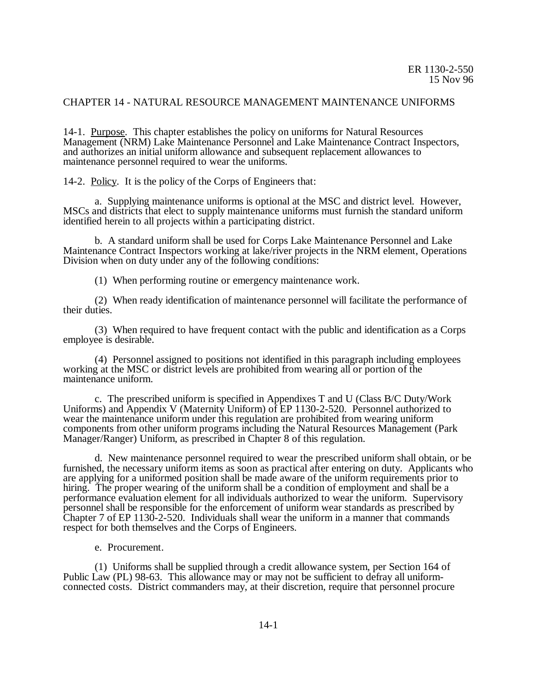### CHAPTER 14 - NATURAL RESOURCE MANAGEMENT MAINTENANCE UNIFORMS

14-1. Purpose. This chapter establishes the policy on uniforms for Natural Resources Management (NRM) Lake Maintenance Personnel and Lake Maintenance Contract Inspectors, and authorizes an initial uniform allowance and subsequent replacement allowances to maintenance personnel required to wear the uniforms.

14-2. Policy. It is the policy of the Corps of Engineers that:

a. Supplying maintenance uniforms is optional at the MSC and district level. However, MSCs and districts that elect to supply maintenance uniforms must furnish the standard uniform identified herein to all projects within a participating district.

b. A standard uniform shall be used for Corps Lake Maintenance Personnel and Lake Maintenance Contract Inspectors working at lake/river projects in the NRM element, Operations Division when on duty under any of the following conditions:

(1) When performing routine or emergency maintenance work.

(2) When ready identification of maintenance personnel will facilitate the performance of their duties.

(3) When required to have frequent contact with the public and identification as a Corps employee is desirable.

(4) Personnel assigned to positions not identified in this paragraph including employees working at the MSC or district levels are prohibited from wearing all or portion of the maintenance uniform.

c. The prescribed uniform is specified in Appendixes T and U (Class B/C Duty/Work Uniforms) and Appendix V (Maternity Uniform) of EP 1130-2-520. Personnel authorized to wear the maintenance uniform under this regulation are prohibited from wearing uniform components from other uniform programs including the Natural Resources Management (Park Manager/Ranger) Uniform, as prescribed in Chapter 8 of this regulation.

d. New maintenance personnel required to wear the prescribed uniform shall obtain, or be furnished, the necessary uniform items as soon as practical after entering on duty. Applicants who are applying for a uniformed position shall be made aware of the uniform requirements prior to hiring. The proper wearing of the uniform shall be a condition of employment and shall be a performance evaluation element for all individuals authorized to wear the uniform. Supervisory personnel shall be responsible for the enforcement of uniform wear standards as prescribed by Chapter 7 of EP 1130-2-520. Individuals shall wear the uniform in a manner that commands respect for both themselves and the Corps of Engineers.

#### e. Procurement.

(1) Uniforms shall be supplied through a credit allowance system, per Section 164 of Public Law (PL) 98-63. This allowance may or may not be sufficient to defray all uniformconnected costs. District commanders may, at their discretion, require that personnel procure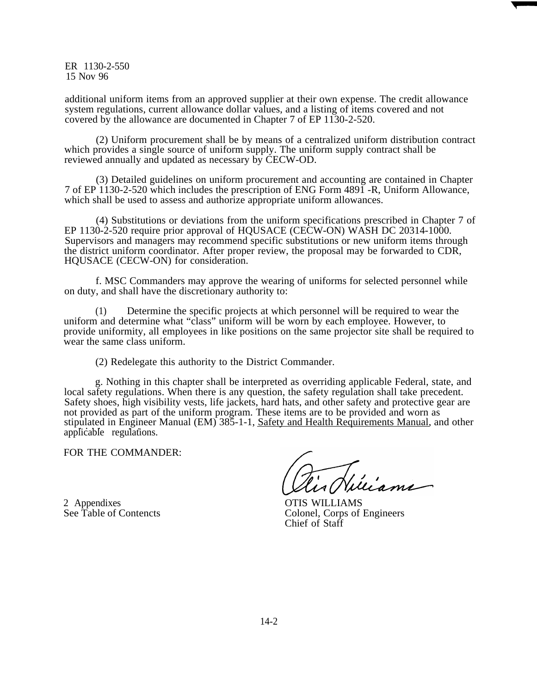ER 1130-2-550 15 Nov 96

additional uniform items from an approved supplier at their own expense. The credit allowance system regulations, current allowance dollar values, and a listing of items covered and not covered by the allowance are documented in Chapter 7 of EP 1130-2-520.

(2) Uniform procurement shall be by means of a centralized uniform distribution contract which provides a single source of uniform supply. The uniform supply contract shall be reviewed annually and updated as necessary by CECW-OD.

(3) Detailed guidelines on uniform procurement and accounting are contained in Chapter 7 of EP 1130-2-520 which includes the prescription of ENG Form 4891 -R, Uniform Allowance, which shall be used to assess and authorize appropriate uniform allowances.

(4) Substitutions or deviations from the uniform specifications prescribed in Chapter 7 of EP 1130-2-520 require prior approval of HQUSACE (CECW-ON) WASH DC 20314-1000. Supervisors and managers may recommend specific substitutions or new uniform items through the district uniform coordinator. After proper review, the proposal may be forwarded to CDR, HQUSACE (CECW-ON) for consideration.

f. MSC Commanders may approve the wearing of uniforms for selected personnel while on duty, and shall have the discretionary authority to:

(1) Determine the specific projects at which personnel will be required to wear the uniform and determine what "class" uniform will be worn by each employee. However, to provide uniformity, all employees in like positions on the same projector site shall be required to wear the same class uniform.

(2) Redelegate this authority to the District Commander.

g. Nothing in this chapter shall be interpreted as overriding applicable Federal, state, and local safety regulations. When there is any question, the safety regulation shall take precedent. Safety shoes, high visibility vests, life jackets, hard hats, and other safety and protective gear are not provided as part of the uniform program. These items are to be provided and worn as stipulated in Engineer Manual (EM) 385-1-1, Safety and Health Requirements Manual, and other applicable regulations.

FOR THE COMMANDER:

2 Appendixes See Table of Contencts

OTIS WILLIAMS Colonel, Corps of Engineers Chief of Staff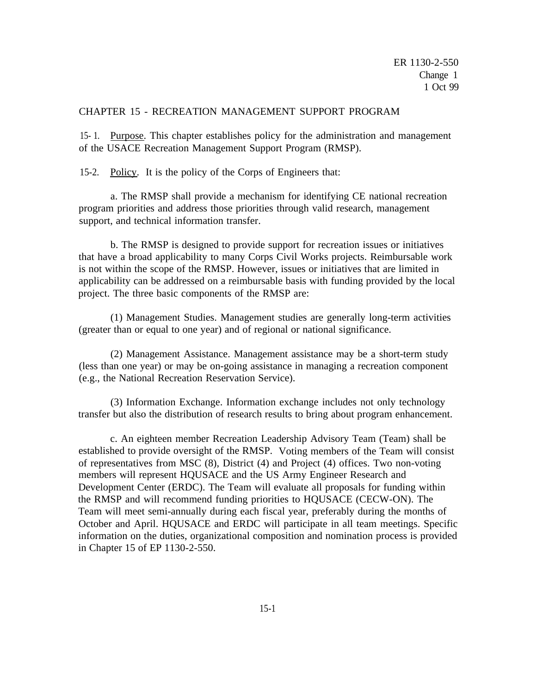## CHAPTER 15 - RECREATION MANAGEMENT SUPPORT PROGRAM

15- 1. Purpose. This chapter establishes policy for the administration and management of the USACE Recreation Management Support Program (RMSP).

15-2. Policy. It is the policy of the Corps of Engineers that:

a. The RMSP shall provide a mechanism for identifying CE national recreation program priorities and address those priorities through valid research, management support, and technical information transfer.

b. The RMSP is designed to provide support for recreation issues or initiatives that have a broad applicability to many Corps Civil Works projects. Reimbursable work is not within the scope of the RMSP. However, issues or initiatives that are limited in applicability can be addressed on a reimbursable basis with funding provided by the local project. The three basic components of the RMSP are:

(1) Management Studies. Management studies are generally long-term activities (greater than or equal to one year) and of regional or national significance.

(2) Management Assistance. Management assistance may be a short-term study (less than one year) or may be on-going assistance in managing a recreation component (e.g., the National Recreation Reservation Service).

(3) Information Exchange. Information exchange includes not only technology transfer but also the distribution of research results to bring about program enhancement.

c. An eighteen member Recreation Leadership Advisory Team (Team) shall be established to provide oversight of the RMSP. Voting members of the Team will consist of representatives from MSC (8), District (4) and Project (4) offices. Two non-voting members will represent HQUSACE and the US Army Engineer Research and Development Center (ERDC). The Team will evaluate all proposals for funding within the RMSP and will recommend funding priorities to HQUSACE (CECW-ON). The Team will meet semi-annually during each fiscal year, preferably during the months of October and April. HQUSACE and ERDC will participate in all team meetings. Specific information on the duties, organizational composition and nomination process is provided in Chapter 15 of EP 1130-2-550.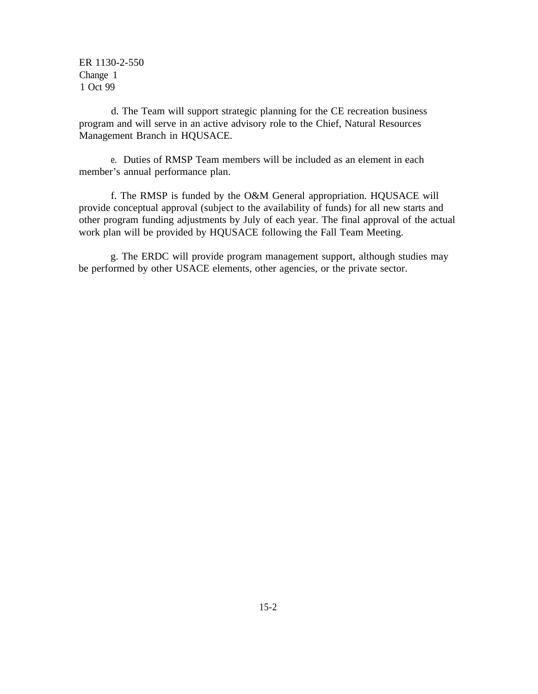ER 1130-2-550 Change 1 1 Oct 99

d. The Team will support strategic planning for the CE recreation business program and will serve in an active advisory role to the Chief, Natural Resources Management Branch in HQUSACE.

e. Duties of RMSP Team members will be included as an element in each member's annual performance plan.

f. The RMSP is funded by the O&M General appropriation. HQUSACE will provide conceptual approval (subject to the availability of funds) for all new starts and other program funding adjustments by July of each year. The final approval of the actual work plan will be provided by HQUSACE following the Fall Team Meeting.

g. The ERDC will provide program management support, although studies may be performed by other USACE elements, other agencies, or the private sector.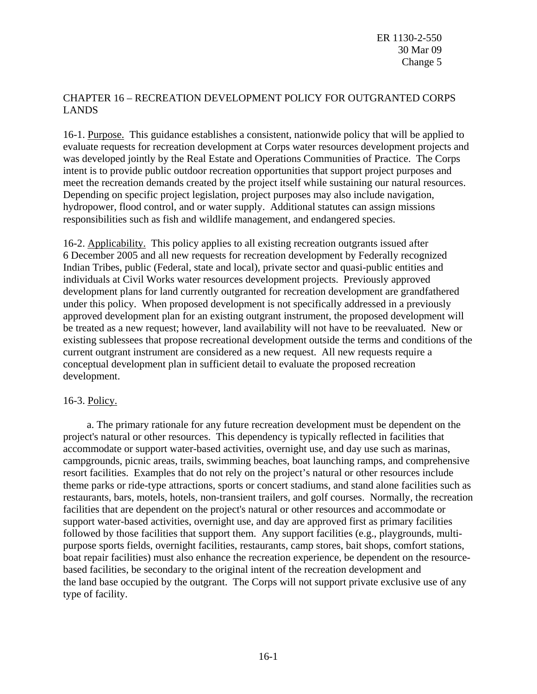# CHAPTER 16 – RECREATION DEVELOPMENT POLICY FOR OUTGRANTED CORPS LANDS

16-1. Purpose. This guidance establishes a consistent, nationwide policy that will be applied to evaluate requests for recreation development at Corps water resources development projects and was developed jointly by the Real Estate and Operations Communities of Practice. The Corps intent is to provide public outdoor recreation opportunities that support project purposes and meet the recreation demands created by the project itself while sustaining our natural resources. Depending on specific project legislation, project purposes may also include navigation, hydropower, flood control, and or water supply. Additional statutes can assign missions responsibilities such as fish and wildlife management, and endangered species.

16-2. Applicability. This policy applies to all existing recreation outgrants issued after 6 December 2005 and all new requests for recreation development by Federally recognized Indian Tribes, public (Federal, state and local), private sector and quasi-public entities and individuals at Civil Works water resources development projects. Previously approved development plans for land currently outgranted for recreation development are grandfathered under this policy. When proposed development is not specifically addressed in a previously approved development plan for an existing outgrant instrument, the proposed development will be treated as a new request; however, land availability will not have to be reevaluated. New or existing sublessees that propose recreational development outside the terms and conditions of the current outgrant instrument are considered as a new request. All new requests require a conceptual development plan in sufficient detail to evaluate the proposed recreation development.

# 16-3. Policy.

a. The primary rationale for any future recreation development must be dependent on the project's natural or other resources. This dependency is typically reflected in facilities that accommodate or support water-based activities, overnight use, and day use such as marinas, campgrounds, picnic areas, trails, swimming beaches, boat launching ramps, and comprehensive resort facilities. Examples that do not rely on the project's natural or other resources include theme parks or ride-type attractions, sports or concert stadiums, and stand alone facilities such as restaurants, bars, motels, hotels, non-transient trailers, and golf courses. Normally, the recreation facilities that are dependent on the project's natural or other resources and accommodate or support water-based activities, overnight use, and day are approved first as primary facilities followed by those facilities that support them. Any support facilities (e.g., playgrounds, multipurpose sports fields, overnight facilities, restaurants, camp stores, bait shops, comfort stations, boat repair facilities) must also enhance the recreation experience, be dependent on the resourcebased facilities, be secondary to the original intent of the recreation development and the land base occupied by the outgrant. The Corps will not support private exclusive use of any type of facility.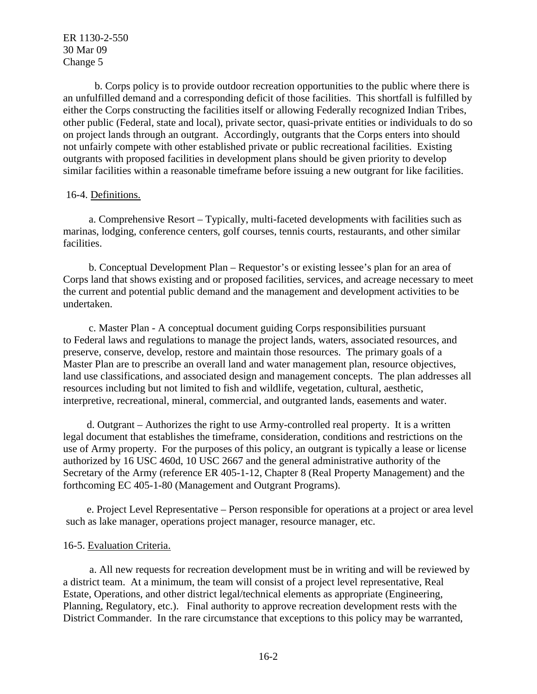b. Corps policy is to provide outdoor recreation opportunities to the public where there is an unfulfilled demand and a corresponding deficit of those facilities. This shortfall is fulfilled by either the Corps constructing the facilities itself or allowing Federally recognized Indian Tribes, other public (Federal, state and local), private sector, quasi-private entities or individuals to do so on project lands through an outgrant. Accordingly, outgrants that the Corps enters into should not unfairly compete with other established private or public recreational facilities. Existing outgrants with proposed facilities in development plans should be given priority to develop similar facilities within a reasonable timeframe before issuing a new outgrant for like facilities.

# 16-4. Definitions.

a. Comprehensive Resort – Typically, multi-faceted developments with facilities such as marinas, lodging, conference centers, golf courses, tennis courts, restaurants, and other similar facilities.

b. Conceptual Development Plan – Requestor's or existing lessee's plan for an area of Corps land that shows existing and or proposed facilities, services, and acreage necessary to meet the current and potential public demand and the management and development activities to be undertaken.

c. Master Plan - A conceptual document guiding Corps responsibilities pursuant to Federal laws and regulations to manage the project lands, waters, associated resources, and preserve, conserve, develop, restore and maintain those resources. The primary goals of a Master Plan are to prescribe an overall land and water management plan, resource objectives, land use classifications, and associated design and management concepts. The plan addresses all resources including but not limited to fish and wildlife, vegetation, cultural, aesthetic, interpretive, recreational, mineral, commercial, and outgranted lands, easements and water.

 d. Outgrant – Authorizes the right to use Army-controlled real property. It is a written legal document that establishes the timeframe, consideration, conditions and restrictions on the use of Army property. For the purposes of this policy, an outgrant is typically a lease or license authorized by 16 USC 460d, 10 USC 2667 and the general administrative authority of the Secretary of the Army (reference ER 405-1-12, Chapter 8 (Real Property Management) and the forthcoming EC 405-1-80 (Management and Outgrant Programs).

e. Project Level Representative – Person responsible for operations at a project or area level such as lake manager, operations project manager, resource manager, etc.

# 16-5. Evaluation Criteria.

 a. All new requests for recreation development must be in writing and will be reviewed by a district team. At a minimum, the team will consist of a project level representative, Real Estate, Operations, and other district legal/technical elements as appropriate (Engineering, Planning, Regulatory, etc.). Final authority to approve recreation development rests with the District Commander. In the rare circumstance that exceptions to this policy may be warranted,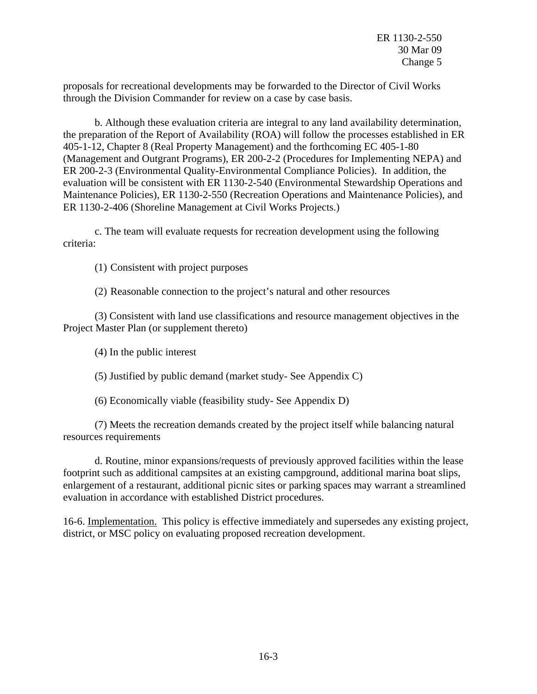proposals for recreational developments may be forwarded to the Director of Civil Works through the Division Commander for review on a case by case basis.

 b. Although these evaluation criteria are integral to any land availability determination, the preparation of the Report of Availability (ROA) will follow the processes established in ER 405-1-12, Chapter 8 (Real Property Management) and the forthcoming EC 405-1-80 (Management and Outgrant Programs), ER 200-2-2 (Procedures for Implementing NEPA) and ER 200-2-3 (Environmental Quality-Environmental Compliance Policies). In addition, the evaluation will be consistent with ER 1130-2-540 (Environmental Stewardship Operations and Maintenance Policies), ER 1130-2-550 (Recreation Operations and Maintenance Policies), and ER 1130-2-406 (Shoreline Management at Civil Works Projects.)

c. The team will evaluate requests for recreation development using the following criteria:

(1) Consistent with project purposes

(2) Reasonable connection to the project's natural and other resources

 (3) Consistent with land use classifications and resource management objectives in the Project Master Plan (or supplement thereto)

(4) In the public interest

(5) Justified by public demand (market study- See Appendix C)

(6) Economically viable (feasibility study- See Appendix D)

(7) Meets the recreation demands created by the project itself while balancing natural resources requirements

d. Routine, minor expansions/requests of previously approved facilities within the lease footprint such as additional campsites at an existing campground, additional marina boat slips, enlargement of a restaurant, additional picnic sites or parking spaces may warrant a streamlined evaluation in accordance with established District procedures.

16-6. Implementation. This policy is effective immediately and supersedes any existing project, district, or MSC policy on evaluating proposed recreation development.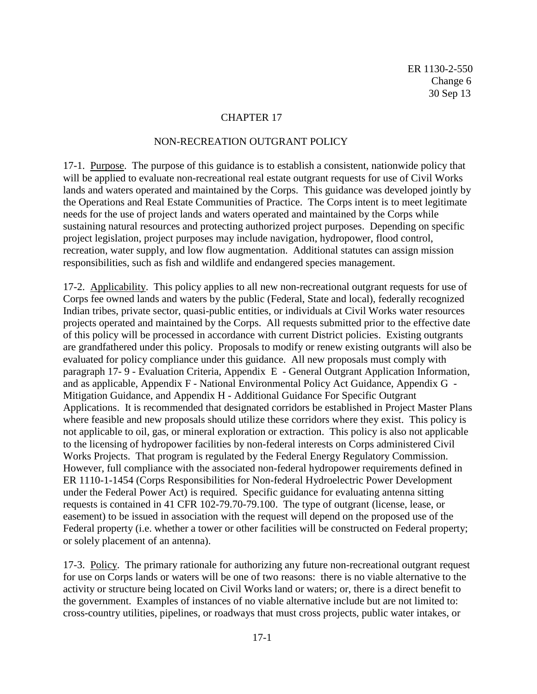# CHAPTER 17

## NON-RECREATION OUTGRANT POLICY

17-1. Purpose. The purpose of this guidance is to establish a consistent, nationwide policy that will be applied to evaluate non-recreational real estate outgrant requests for use of Civil Works lands and waters operated and maintained by the Corps. This guidance was developed jointly by the Operations and Real Estate Communities of Practice. The Corps intent is to meet legitimate needs for the use of project lands and waters operated and maintained by the Corps while sustaining natural resources and protecting authorized project purposes. Depending on specific project legislation, project purposes may include navigation, hydropower, flood control, recreation, water supply, and low flow augmentation. Additional statutes can assign mission responsibilities, such as fish and wildlife and endangered species management.

17-2. Applicability. This policy applies to all new non-recreational outgrant requests for use of Corps fee owned lands and waters by the public (Federal, State and local), federally recognized Indian tribes, private sector, quasi-public entities, or individuals at Civil Works water resources projects operated and maintained by the Corps. All requests submitted prior to the effective date of this policy will be processed in accordance with current District policies. Existing outgrants are grandfathered under this policy. Proposals to modify or renew existing outgrants will also be evaluated for policy compliance under this guidance. All new proposals must comply with paragraph 17- 9 - Evaluation Criteria, Appendix E - General Outgrant Application Information, and as applicable, Appendix F - National Environmental Policy Act Guidance, Appendix G - Mitigation Guidance, and Appendix H - Additional Guidance For Specific Outgrant Applications. It is recommended that designated corridors be established in Project Master Plans where feasible and new proposals should utilize these corridors where they exist. This policy is not applicable to oil, gas, or mineral exploration or extraction. This policy is also not applicable to the licensing of hydropower facilities by non-federal interests on Corps administered Civil Works Projects. That program is regulated by the Federal Energy Regulatory Commission. However, full compliance with the associated non-federal hydropower requirements defined in ER 1110-1-1454 (Corps Responsibilities for Non-federal Hydroelectric Power Development under the Federal Power Act) is required. Specific guidance for evaluating antenna sitting requests is contained in 41 CFR 102-79.70-79.100. The type of outgrant (license, lease, or easement) to be issued in association with the request will depend on the proposed use of the Federal property (i.e. whether a tower or other facilities will be constructed on Federal property; or solely placement of an antenna).

17-3. Policy. The primary rationale for authorizing any future non-recreational outgrant request for use on Corps lands or waters will be one of two reasons: there is no viable alternative to the activity or structure being located on Civil Works land or waters; or, there is a direct benefit to the government. Examples of instances of no viable alternative include but are not limited to: cross-country utilities, pipelines, or roadways that must cross projects, public water intakes, or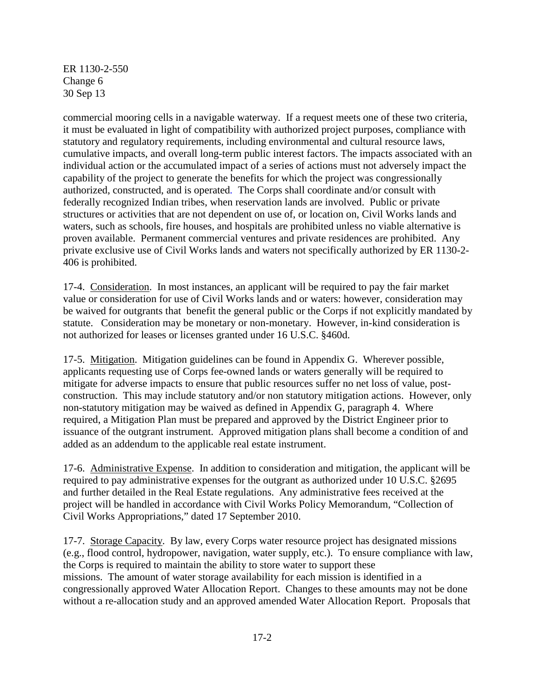ER 1130-2-550 Change 6 30 Sep 13

commercial mooring cells in a navigable waterway. If a request meets one of these two criteria, it must be evaluated in light of compatibility with authorized project purposes, compliance with statutory and regulatory requirements, including environmental and cultural resource laws, cumulative impacts, and overall long-term public interest factors. The impacts associated with an individual action or the accumulated impact of a series of actions must not adversely impact the capability of the project to generate the benefits for which the project was congressionally authorized, constructed, and is operated*.* The Corps shall coordinate and/or consult with federally recognized Indian tribes, when reservation lands are involved.Public or private structures or activities that are not dependent on use of, or location on, Civil Works lands and waters, such as schools, fire houses, and hospitals are prohibited unless no viable alternative is proven available. Permanent commercial ventures and private residences are prohibited. Any private exclusive use of Civil Works lands and waters not specifically authorized by ER 1130-2- 406 is prohibited.

17-4. Consideration. In most instances, an applicant will be required to pay the fair market value or consideration for use of Civil Works lands and or waters: however, consideration may be waived for outgrants that benefit the general public or the Corps if not explicitly mandated by statute. Consideration may be monetary or non-monetary. However, in-kind consideration is not authorized for leases or licenses granted under 16 U.S.C. §460d.

17-5. Mitigation. Mitigation guidelines can be found in Appendix G. Wherever possible, applicants requesting use of Corps fee-owned lands or waters generally will be required to mitigate for adverse impacts to ensure that public resources suffer no net loss of value, postconstruction. This may include statutory and/or non statutory mitigation actions. However, only non-statutory mitigation may be waived as defined in Appendix G, paragraph 4. Where required, a Mitigation Plan must be prepared and approved by the District Engineer prior to issuance of the outgrant instrument. Approved mitigation plans shall become a condition of and added as an addendum to the applicable real estate instrument.

17-6. Administrative Expense. In addition to consideration and mitigation, the applicant will be required to pay administrative expenses for the outgrant as authorized under 10 U.S.C. §2695 and further detailed in the Real Estate regulations. Any administrative fees received at the project will be handled in accordance with Civil Works Policy Memorandum, "Collection of Civil Works Appropriations," dated 17 September 2010.

17-7. Storage Capacity.By law, every Corps water resource project has designated missions (e.g., flood control, hydropower, navigation, water supply, etc.). To ensure compliance with law, the Corps is required to maintain the ability to store water to support these missions. The amount of water storage availability for each mission is identified in a congressionally approved Water Allocation Report. Changes to these amounts may not be done without a re-allocation study and an approved amended Water Allocation Report. Proposals that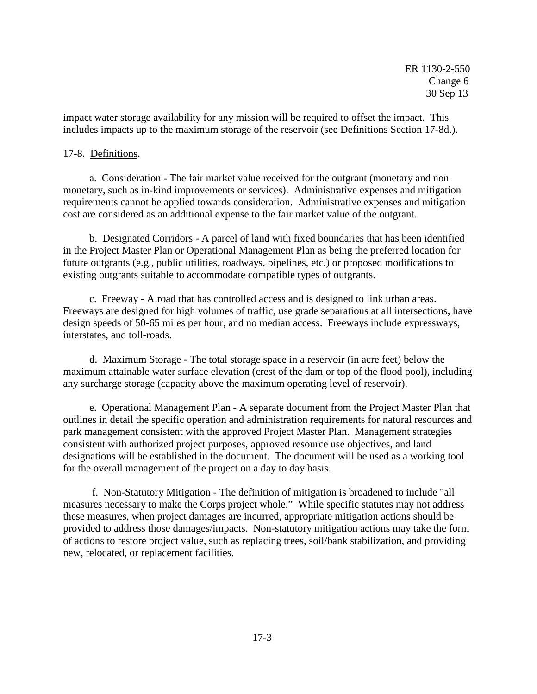impact water storage availability for any mission will be required to offset the impact. This includes impacts up to the maximum storage of the reservoir (see Definitions Section 17-8d.).

## 17-8. Definitions.

 a. Consideration - The fair market value received for the outgrant (monetary and non monetary, such as in-kind improvements or services). Administrative expenses and mitigation requirements cannot be applied towards consideration. Administrative expenses and mitigation cost are considered as an additional expense to the fair market value of the outgrant.

 b. Designated Corridors - A parcel of land with fixed boundaries that has been identified in the Project Master Plan or Operational Management Plan as being the preferred location for future outgrants (e.g., public utilities, roadways, pipelines, etc.) or proposed modifications to existing outgrants suitable to accommodate compatible types of outgrants.

 c. Freeway - A road that has controlled access and is designed to link urban areas. Freeways are designed for high volumes of traffic, use grade separations at all intersections, have design speeds of 50-65 miles per hour, and no median access. Freeways include expressways, interstates, and toll-roads.

 d. Maximum Storage - The total storage space in a reservoir (in acre feet) below the maximum attainable water surface elevation (crest of the dam or top of the flood pool), including any surcharge storage (capacity above the maximum operating level of reservoir).

 e. Operational Management Plan - A separate document from the Project Master Plan that outlines in detail the specific operation and administration requirements for natural resources and park management consistent with the approved Project Master Plan. Management strategies consistent with authorized project purposes, approved resource use objectives, and land designations will be established in the document. The document will be used as a working tool for the overall management of the project on a day to day basis.

 f. Non-Statutory Mitigation - The definition of mitigation is broadened to include "all measures necessary to make the Corps project whole." While specific statutes may not address these measures, when project damages are incurred, appropriate mitigation actions should be provided to address those damages/impacts. Non-statutory mitigation actions may take the form of actions to restore project value, such as replacing trees, soil/bank stabilization, and providing new, relocated, or replacement facilities.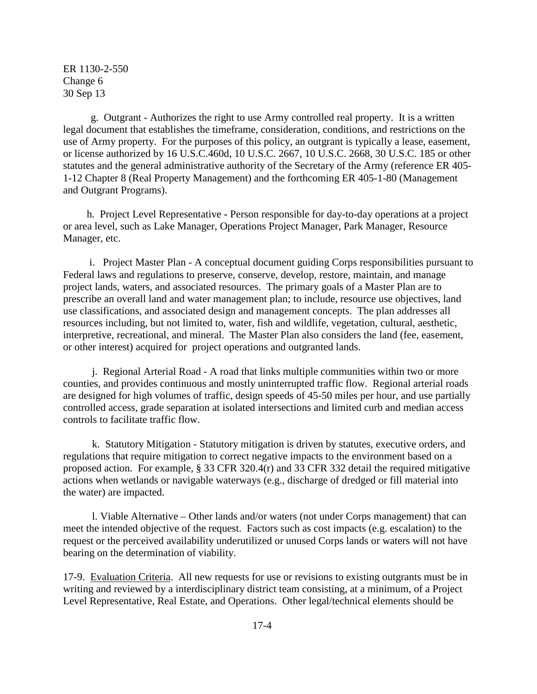ER 1130-2-550 Change 6 30 Sep 13

 g. Outgrant - Authorizes the right to use Army controlled real property. It is a written legal document that establishes the timeframe, consideration, conditions, and restrictions on the use of Army property. For the purposes of this policy, an outgrant is typically a lease, easement, or license authorized by 16 U.S.C.460d, 10 U.S.C. 2667, 10 U.S.C. 2668, 30 U.S.C. 185 or other statutes and the general administrative authority of the Secretary of the Army (reference ER 405- 1-12 Chapter 8 (Real Property Management) and the forthcoming ER 405-1-80 (Management and Outgrant Programs).

 h. Project Level Representative **-** Person responsible for day-to-day operations at a project or area level, such as Lake Manager, Operations Project Manager, Park Manager, Resource Manager, etc.

 i. Project Master Plan - A conceptual document guiding Corps responsibilities pursuant to Federal laws and regulations to preserve, conserve, develop, restore, maintain, and manage project lands, waters, and associated resources. The primary goals of a Master Plan are to prescribe an overall land and water management plan; to include, resource use objectives, land use classifications, and associated design and management concepts. The plan addresses all resources including, but not limited to, water, fish and wildlife, vegetation, cultural, aesthetic, interpretive, recreational, and mineral. The Master Plan also considers the land (fee, easement, or other interest) acquired for project operations and outgranted lands.

 j. Regional Arterial Road - A road that links multiple communities within two or more counties, and provides continuous and mostly uninterrupted traffic flow. Regional arterial roads are designed for high volumes of traffic, design speeds of 45-50 miles per hour, and use partially controlled access, grade separation at isolated intersections and limited curb and median access controls to facilitate traffic flow.

 k. Statutory Mitigation - Statutory mitigation is driven by statutes, executive orders, and regulations that require mitigation to correct negative impacts to the environment based on a proposed action. For example, § 33 CFR 320.4(r) and 33 CFR 332 detail the required mitigative actions when wetlands or navigable waterways (e.g., discharge of dredged or fill material into the water) are impacted.

 l. Viable Alternative – Other lands and/or waters (not under Corps management) that can meet the intended objective of the request. Factors such as cost impacts (e.g. escalation) to the request or the perceived availability underutilized or unused Corps lands or waters will not have bearing on the determination of viability.

17-9. Evaluation Criteria.All new requests for use or revisions to existing outgrants must be in writing and reviewed by a interdisciplinary district team consisting, at a minimum, of a Project Level Representative, Real Estate, and Operations. Other legal/technical elements should be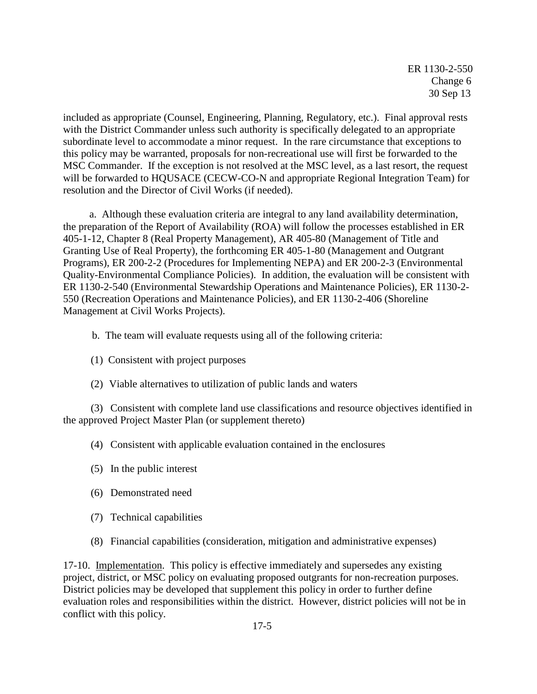included as appropriate (Counsel, Engineering, Planning, Regulatory, etc.). Final approval rests with the District Commander unless such authority is specifically delegated to an appropriate subordinate level to accommodate a minor request. In the rare circumstance that exceptions to this policy may be warranted, proposals for non-recreational use will first be forwarded to the MSC Commander. If the exception is not resolved at the MSC level, as a last resort, the request will be forwarded to HQUSACE (CECW-CO-N and appropriate Regional Integration Team) for resolution and the Director of Civil Works (if needed).

 a. Although these evaluation criteria are integral to any land availability determination, the preparation of the Report of Availability (ROA) will follow the processes established in ER 405-1-12, Chapter 8 (Real Property Management), AR 405-80 (Management of Title and Granting Use of Real Property), the forthcoming ER 405-1-80 (Management and Outgrant Programs), ER 200-2-2 (Procedures for Implementing NEPA) and ER 200-2-3 (Environmental Quality-Environmental Compliance Policies). In addition, the evaluation will be consistent with ER 1130-2-540 (Environmental Stewardship Operations and Maintenance Policies), ER 1130-2- 550 (Recreation Operations and Maintenance Policies), and ER 1130-2-406 (Shoreline Management at Civil Works Projects).

- b. The team will evaluate requests using all of the following criteria:
- (1) Consistent with project purposes
- (2) Viable alternatives to utilization of public lands and waters

(3) Consistent with complete land use classifications and resource objectives identified in the approved Project Master Plan (or supplement thereto)

(4) Consistent with applicable evaluation contained in the enclosures

- (5) In the public interest
- (6) Demonstrated need
- (7) Technical capabilities
- (8) Financial capabilities (consideration, mitigation and administrative expenses)

17-10. Implementation. This policy is effective immediately and supersedes any existing project, district, or MSC policy on evaluating proposed outgrants for non-recreation purposes. District policies may be developed that supplement this policy in order to further define evaluation roles and responsibilities within the district. However, district policies will not be in conflict with this policy.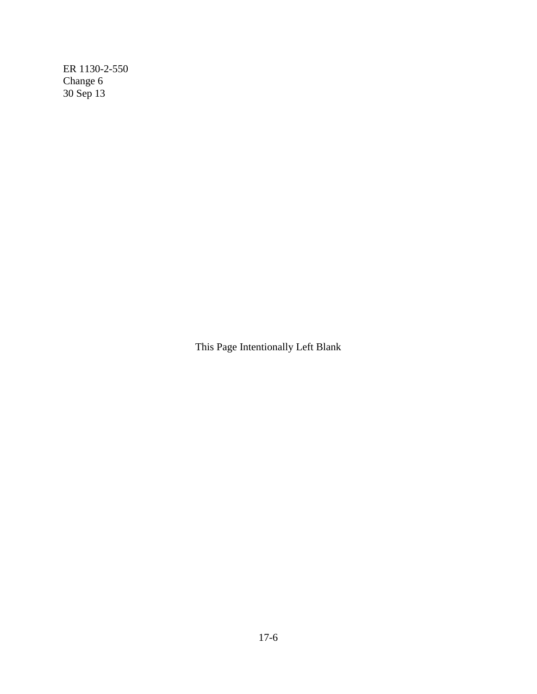ER 1130-2-550 Change 6 30 Sep 13

This Page Intentionally Left Blank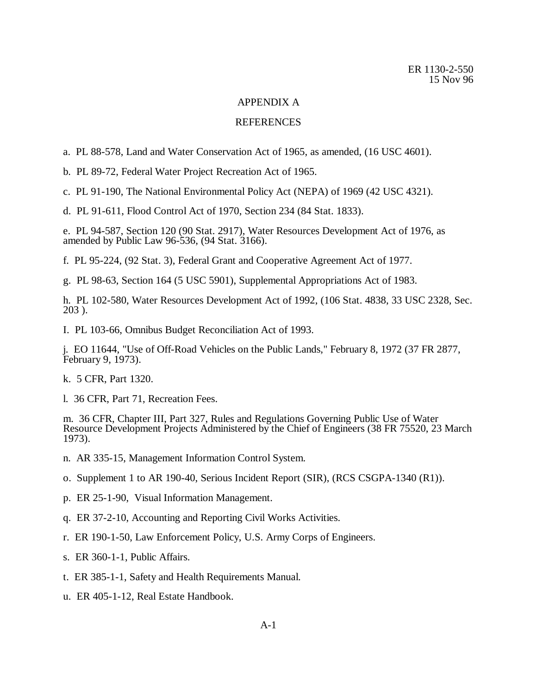#### APPENDIX A

### **REFERENCES**

- a. PL 88-578, Land and Water Conservation Act of 1965, as amended, (16 USC 4601).
- b. PL 89-72, Federal Water Project Recreation Act of 1965.
- c. PL 91-190, The National Environmental Policy Act (NEPA) of 1969 (42 USC 4321).
- d. PL 91-611, Flood Control Act of 1970, Section 234 (84 Stat. 1833).
- e. PL 94-587, Section 120 (90 Stat. 2917), Water Resources Development Act of 1976, as amended by Public Law 96-536, (94 Stat. 3166).
- f. PL 95-224, (92 Stat. 3), Federal Grant and Cooperative Agreement Act of 1977.
- g. PL 98-63, Section 164 (5 USC 5901), Supplemental Appropriations Act of 1983.
- h. PL 102-580, Water Resources Development Act of 1992, (106 Stat. 4838, 33 USC 2328, Sec. 203 ).
- I. PL 103-66, Omnibus Budget Reconciliation Act of 1993.
- j. EO 11644, "Use of Off-Road Vehicles on the Public Lands," February 8, 1972 (37 FR 2877, February 9, 1973).
- k. 5 CFR, Part 1320.
- l. 36 CFR, Part 71, Recreation Fees.
- m. 36 CFR, Chapter III, Part 327, Rules and Regulations Governing Public Use of Water Resource Development Projects Administered by the Chief of Engineers (38 FR 75520, 23 March 1973).
- n. AR 335-15, Management Information Control System.
- o. Supplement 1 to AR 190-40, Serious Incident Report (SIR), (RCS CSGPA-1340 (R1)).
- p. ER 25-1-90, Visual Information Management.
- q. ER 37-2-10, Accounting and Reporting Civil Works Activities.
- r. ER 190-1-50, Law Enforcement Policy, U.S. Army Corps of Engineers.
- s. ER 360-1-1, Public Affairs.
- t. ER 385-1-1, Safety and Health Requirements Manual.
- u. ER 405-1-12, Real Estate Handbook.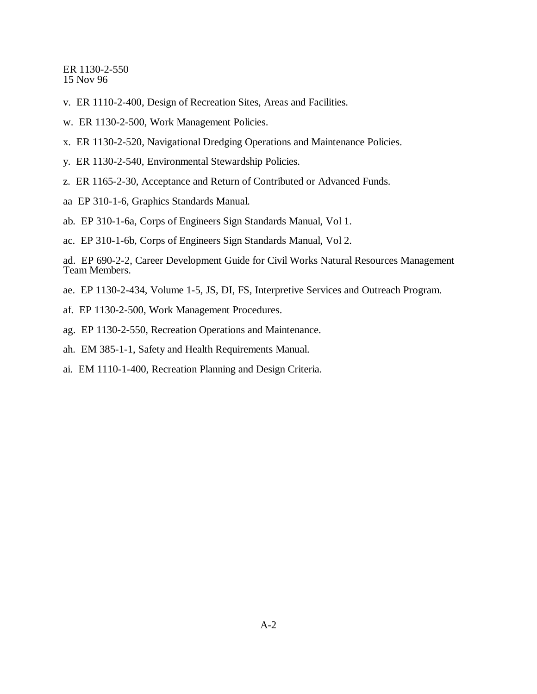ER 1130-2-550 15 Nov 96

- v. ER 1110-2-400, Design of Recreation Sites, Areas and Facilities.
- w. ER 1130-2-500, Work Management Policies.
- x. ER 1130-2-520, Navigational Dredging Operations and Maintenance Policies.
- y. ER 1130-2-540, Environmental Stewardship Policies.
- z. ER 1165-2-30, Acceptance and Return of Contributed or Advanced Funds.
- aa EP 310-1-6, Graphics Standards Manual.
- ab. EP 310-1-6a, Corps of Engineers Sign Standards Manual, Vol 1.
- ac. EP 310-1-6b, Corps of Engineers Sign Standards Manual, Vol 2.

ad. EP 690-2-2, Career Development Guide for Civil Works Natural Resources Management Team Members.

- ae. EP 1130-2-434, Volume 1-5, JS, DI, FS, Interpretive Services and Outreach Program.
- af. EP 1130-2-500, Work Management Procedures.
- ag. EP 1130-2-550, Recreation Operations and Maintenance.
- ah. EM 385-1-1, Safety and Health Requirements Manual.
- ai. EM 1110-1-400, Recreation Planning and Design Criteria.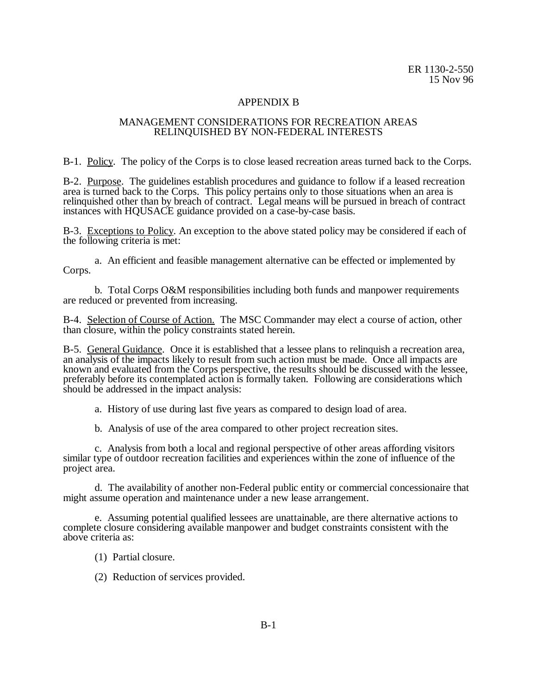### APPENDIX B

### MANAGEMENT CONSIDERATIONS FOR RECREATION AREAS RELINQUISHED BY NON-FEDERAL INTERESTS

B-1. Policy. The policy of the Corps is to close leased recreation areas turned back to the Corps.

B-2. Purpose. The guidelines establish procedures and guidance to follow if a leased recreation area is turned back to the Corps. This policy pertains only to those situations when an area is relinquished other than by breach of contract. Legal means will be pursued in breach of contract instances with HQUSACE guidance provided on a case-by-case basis.

B-3. Exceptions to Policy. An exception to the above stated policy may be considered if each of the following criteria is met:

a. An efficient and feasible management alternative can be effected or implemented by Corps.

b. Total Corps O&M responsibilities including both funds and manpower requirements are reduced or prevented from increasing.

B-4. Selection of Course of Action. The MSC Commander may elect a course of action, other than closure, within the policy constraints stated herein.

B-5. General Guidance. Once it is established that a lessee plans to relinquish a recreation area, an analysis of the impacts likely to result from such action must be made. Once all impacts are known and evaluated from the Corps perspective, the results should be discussed with the lessee, preferably before its contemplated action is formally taken. Following are considerations which should be addressed in the impact analysis:

a. History of use during last five years as compared to design load of area.

b. Analysis of use of the area compared to other project recreation sites.

c. Analysis from both a local and regional perspective of other areas affording visitors similar type of outdoor recreation facilities and experiences within the zone of influence of the project area.

d. The availability of another non-Federal public entity or commercial concessionaire that might assume operation and maintenance under a new lease arrangement.

e. Assuming potential qualified lessees are unattainable, are there alternative actions to complete closure considering available manpower and budget constraints consistent with the above criteria as:

- (1) Partial closure.
- (2) Reduction of services provided.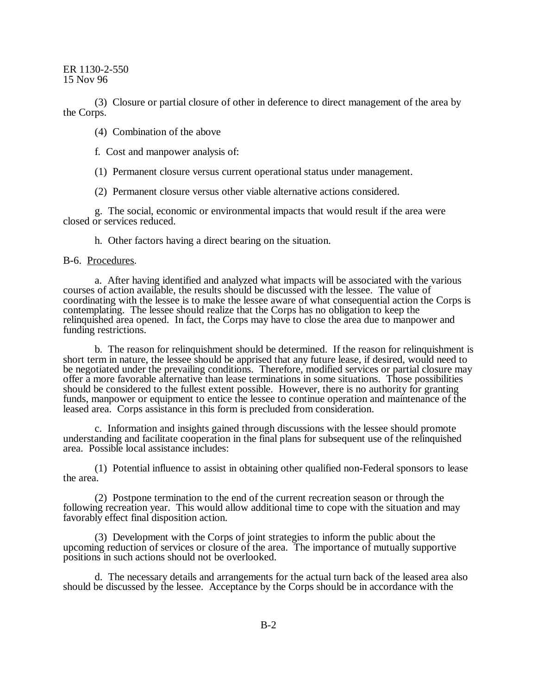ER 1130-2-550 15 Nov 96

(3) Closure or partial closure of other in deference to direct management of the area by the Corps.

(4) Combination of the above

f. Cost and manpower analysis of:

(1) Permanent closure versus current operational status under management.

(2) Permanent closure versus other viable alternative actions considered.

g. The social, economic or environmental impacts that would result if the area were closed or services reduced.

h. Other factors having a direct bearing on the situation.

#### B-6. Procedures.

a. After having identified and analyzed what impacts will be associated with the various courses of action available, the results should be discussed with the lessee. The value of coordinating with the lessee is to make the lessee aware of what consequential action the Corps is contemplating. The lessee should realize that the Corps has no obligation to keep the relinquished area opened. In fact, the Corps may have to close the area due to manpower and funding restrictions.

b. The reason for relinquishment should be determined. If the reason for relinquishment is short term in nature, the lessee should be apprised that any future lease, if desired, would need to be negotiated under the prevailing conditions. Therefore, modified services or partial closure may offer a more favorable alternative than lease terminations in some situations. Those possibilities should be considered to the fullest extent possible. However, there is no authority for granting funds, manpower or equipment to entice the lessee to continue operation and maintenance of the leased area. Corps assistance in this form is precluded from consideration.

c. Information and insights gained through discussions with the lessee should promote understanding and facilitate cooperation in the final plans for subsequent use of the relinquished area. Possible local assistance includes:

(1) Potential influence to assist in obtaining other qualified non-Federal sponsors to lease the area.

(2) Postpone termination to the end of the current recreation season or through the following recreation year. This would allow additional time to cope with the situation and may favorably effect final disposition action.

(3) Development with the Corps of joint strategies to inform the public about the upcoming reduction of services or closure of the area. The importance of mutually supportive positions in such actions should not be overlooked.

d. The necessary details and arrangements for the actual turn back of the leased area also should be discussed by the lessee. Acceptance by the Corps should be in accordance with the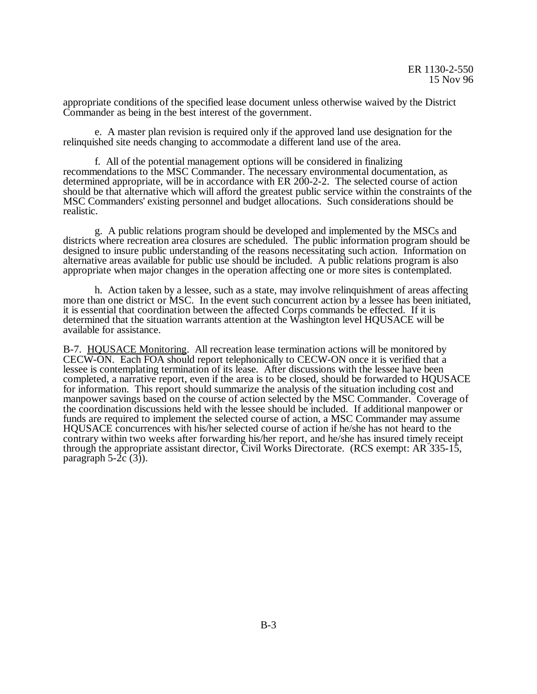appropriate conditions of the specified lease document unless otherwise waived by the District Commander as being in the best interest of the government.

e. A master plan revision is required only if the approved land use designation for the relinquished site needs changing to accommodate a different land use of the area.

f. All of the potential management options will be considered in finalizing recommendations to the MSC Commander. The necessary environmental documentation, as determined appropriate, will be in accordance with ER 200-2-2. The selected course of action should be that alternative which will afford the greatest public service within the constraints of the MSC Commanders' existing personnel and budget allocations. Such considerations should be realistic.

g. A public relations program should be developed and implemented by the MSCs and districts where recreation area closures are scheduled. The public information program should be designed to insure public understanding of the reasons necessitating such action. Information on alternative areas available for public use should be included. A public relations program is also appropriate when major changes in the operation affecting one or more sites is contemplated.

h. Action taken by a lessee, such as a state, may involve relinquishment of areas affecting more than one district or MSC. In the event such concurrent action by a lessee has been initiated, it is essential that coordination between the affected Corps commands be effected. If it is determined that the situation warrants attention at the Washington level HQUSACE will be available for assistance.

B-7. HQUSACE Monitoring. All recreation lease termination actions will be monitored by CECW-ON. Each FOA should report telephonically to CECW-ON once it is verified that a lessee is contemplating termination of its lease. After discussions with the lessee have been completed, a narrative report, even if the area is to be closed, should be forwarded to HQUSACE for information. This report should summarize the analysis of the situation including cost and manpower savings based on the course of action selected by the MSC Commander. Coverage of the coordination discussions held with the lessee should be included. If additional manpower or funds are required to implement the selected course of action, a MSC Commander may assume HQUSACE concurrences with his/her selected course of action if he/she has not heard to the contrary within two weeks after forwarding his/her report, and he/she has insured timely receipt through the appropriate assistant director, Civil Works Directorate. (RCS exempt: AR 335-15, paragraph  $5-\overline{2c}(3)$ ).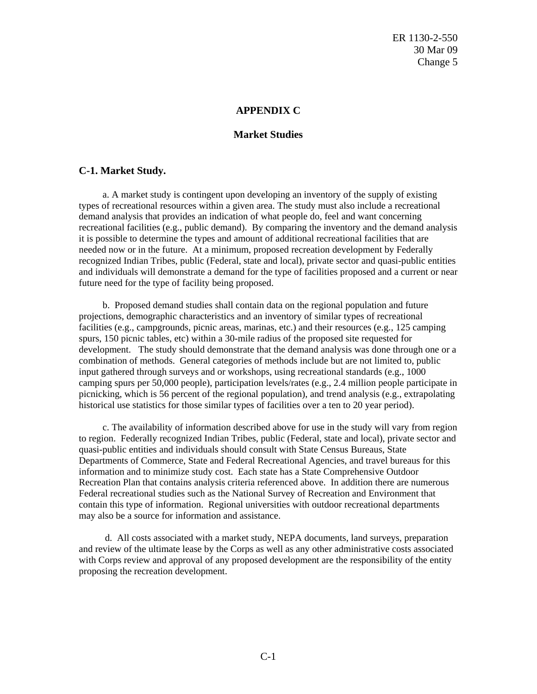### **APPENDIX C**

### **Market Studies**

### **C-1. Market Study.**

a. A market study is contingent upon developing an inventory of the supply of existing types of recreational resources within a given area. The study must also include a recreational demand analysis that provides an indication of what people do, feel and want concerning recreational facilities (e.g., public demand). By comparing the inventory and the demand analysis it is possible to determine the types and amount of additional recreational facilities that are needed now or in the future. At a minimum, proposed recreation development by Federally recognized Indian Tribes, public (Federal, state and local), private sector and quasi-public entities and individuals will demonstrate a demand for the type of facilities proposed and a current or near future need for the type of facility being proposed.

 b. Proposed demand studies shall contain data on the regional population and future projections, demographic characteristics and an inventory of similar types of recreational facilities (e.g., campgrounds, picnic areas, marinas, etc.) and their resources (e.g., 125 camping spurs, 150 picnic tables, etc) within a 30-mile radius of the proposed site requested for development. The study should demonstrate that the demand analysis was done through one or a combination of methods. General categories of methods include but are not limited to, public input gathered through surveys and or workshops, using recreational standards (e.g., 1000 camping spurs per 50,000 people), participation levels/rates (e.g., 2.4 million people participate in picnicking, which is 56 percent of the regional population), and trend analysis (e.g., extrapolating historical use statistics for those similar types of facilities over a ten to 20 year period).

c. The availability of information described above for use in the study will vary from region to region. Federally recognized Indian Tribes, public (Federal, state and local), private sector and quasi-public entities and individuals should consult with State Census Bureaus, State Departments of Commerce, State and Federal Recreational Agencies, and travel bureaus for this information and to minimize study cost. Each state has a State Comprehensive Outdoor Recreation Plan that contains analysis criteria referenced above. In addition there are numerous Federal recreational studies such as the National Survey of Recreation and Environment that contain this type of information. Regional universities with outdoor recreational departments may also be a source for information and assistance.

 d. All costs associated with a market study, NEPA documents, land surveys, preparation and review of the ultimate lease by the Corps as well as any other administrative costs associated with Corps review and approval of any proposed development are the responsibility of the entity proposing the recreation development.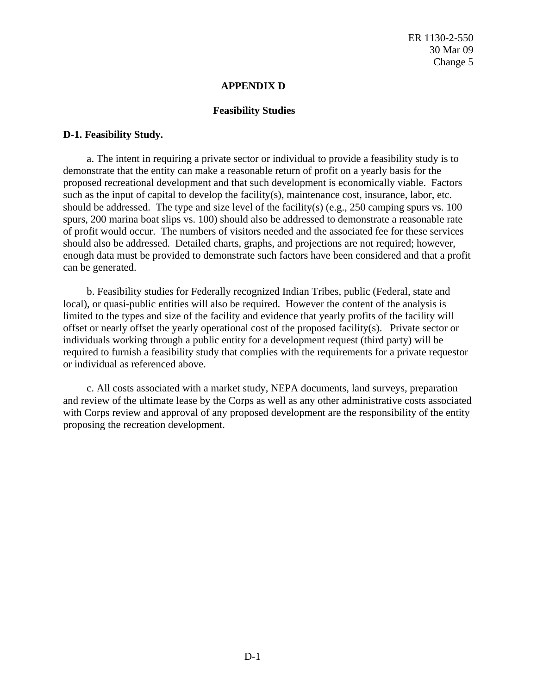# **APPENDIX D**

# **Feasibility Studies**

## **D-1. Feasibility Study.**

 a. The intent in requiring a private sector or individual to provide a feasibility study is to demonstrate that the entity can make a reasonable return of profit on a yearly basis for the proposed recreational development and that such development is economically viable. Factors such as the input of capital to develop the facility(s), maintenance cost, insurance, labor, etc. should be addressed. The type and size level of the facility(s) (e.g., 250 camping spurs vs. 100 spurs, 200 marina boat slips vs. 100) should also be addressed to demonstrate a reasonable rate of profit would occur. The numbers of visitors needed and the associated fee for these services should also be addressed. Detailed charts, graphs, and projections are not required; however, enough data must be provided to demonstrate such factors have been considered and that a profit can be generated.

 b. Feasibility studies for Federally recognized Indian Tribes, public (Federal, state and local), or quasi-public entities will also be required. However the content of the analysis is limited to the types and size of the facility and evidence that yearly profits of the facility will offset or nearly offset the yearly operational cost of the proposed facility(s). Private sector or individuals working through a public entity for a development request (third party) will be required to furnish a feasibility study that complies with the requirements for a private requestor or individual as referenced above.

c. All costs associated with a market study, NEPA documents, land surveys, preparation and review of the ultimate lease by the Corps as well as any other administrative costs associated with Corps review and approval of any proposed development are the responsibility of the entity proposing the recreation development.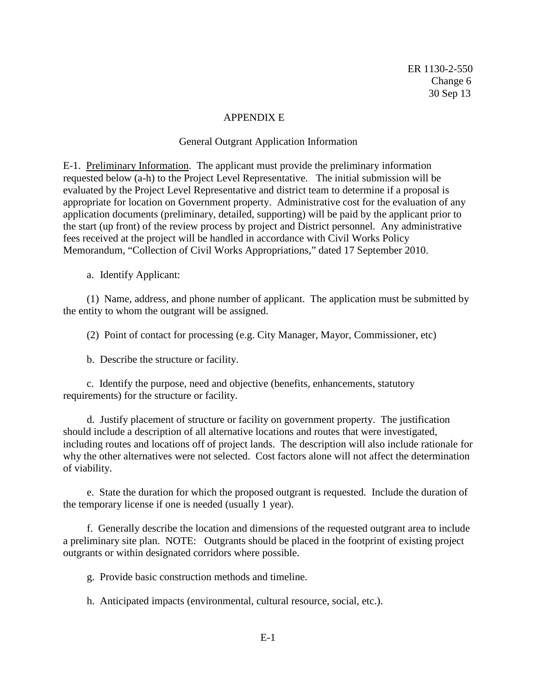#### APPENDIX E

#### General Outgrant Application Information

E-1. Preliminary Information.The applicant must provide the preliminary information requested below (a-h) to the Project Level Representative. The initial submission will be evaluated by the Project Level Representative and district team to determine if a proposal is appropriate for location on Government property. Administrative cost for the evaluation of any application documents (preliminary, detailed, supporting) will be paid by the applicant prior to the start (up front) of the review process by project and District personnel. Any administrative fees received at the project will be handled in accordance with Civil Works Policy Memorandum, "Collection of Civil Works Appropriations," dated 17 September 2010.

a. Identify Applicant:

 (1) Name, address, and phone number of applicant. The application must be submitted by the entity to whom the outgrant will be assigned.

(2) Point of contact for processing (e.g. City Manager, Mayor, Commissioner, etc)

b. Describe the structure or facility.

 c. Identify the purpose, need and objective (benefits, enhancements, statutory requirements) for the structure or facility.

 d. Justify placement of structure or facility on government property. The justification should include a description of all alternative locations and routes that were investigated, including routes and locations off of project lands. The description will also include rationale for why the other alternatives were not selected. Cost factors alone will not affect the determination of viability.

 e. State the duration for which the proposed outgrant is requested. Include the duration of the temporary license if one is needed (usually 1 year).

 f. Generally describe the location and dimensions of the requested outgrant area to include a preliminary site plan. NOTE: Outgrants should be placed in the footprint of existing project outgrants or within designated corridors where possible.

g. Provide basic construction methods and timeline.

h. Anticipated impacts (environmental, cultural resource, social, etc.).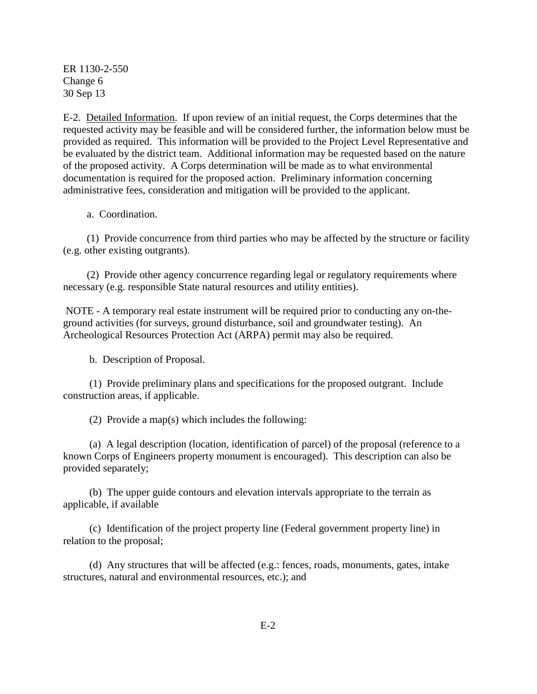E-2. Detailed Information. If upon review of an initial request, the Corps determines that the requested activity may be feasible and will be considered further, the information below must be provided as required. This information will be provided to the Project Level Representative and be evaluated by the district team. Additional information may be requested based on the nature of the proposed activity. A Corps determination will be made as to what environmental documentation is required for the proposed action. Preliminary information concerning administrative fees, consideration and mitigation will be provided to the applicant.

a. Coordination.

 (1) Provide concurrence from third parties who may be affected by the structure or facility (e.g. other existing outgrants).

 (2) Provide other agency concurrence regarding legal or regulatory requirements where necessary (e.g. responsible State natural resources and utility entities).

NOTE - A temporary real estate instrument will be required prior to conducting any on-theground activities (for surveys, ground disturbance, soil and groundwater testing). An Archeological Resources Protection Act (ARPA) permit may also be required.

b. Description of Proposal.

 (1) Provide preliminary plans and specifications for the proposed outgrant. Include construction areas, if applicable.

(2) Provide a map(s) which includes the following:

 (a) A legal description (location, identification of parcel) of the proposal (reference to a known Corps of Engineers property monument is encouraged). This description can also be provided separately;

 (b) The upper guide contours and elevation intervals appropriate to the terrain as applicable, if available

 (c) Identification of the project property line (Federal government property line) in relation to the proposal;

 (d) Any structures that will be affected (e.g.: fences, roads, monuments, gates, intake structures, natural and environmental resources, etc.); and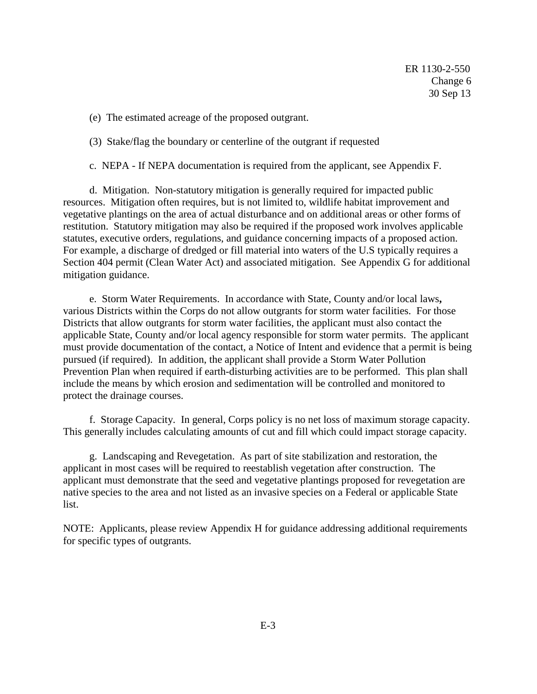(e) The estimated acreage of the proposed outgrant.

(3) Stake/flag the boundary or centerline of the outgrant if requested

c. NEPA - If NEPA documentation is required from the applicant, see Appendix F.

 d. Mitigation. Non-statutory mitigation is generally required for impacted public resources. Mitigation often requires, but is not limited to, wildlife habitat improvement and vegetative plantings on the area of actual disturbance and on additional areas or other forms of restitution. Statutory mitigation may also be required if the proposed work involves applicable statutes, executive orders, regulations, and guidance concerning impacts of a proposed action. For example, a discharge of dredged or fill material into waters of the U.S typically requires a Section 404 permit (Clean Water Act) and associated mitigation. See Appendix G for additional mitigation guidance.

 e. Storm Water Requirements. In accordance with State, County and/or local laws**,**  various Districts within the Corps do not allow outgrants for storm water facilities.For those Districts that allow outgrants for storm water facilities, the applicant must also contact the applicable State, County and/or local agency responsible for storm water permits. The applicant must provide documentation of the contact, a Notice of Intent and evidence that a permit is being pursued (if required). In addition, the applicant shall provide a Storm Water Pollution Prevention Plan when required if earth-disturbing activities are to be performed. This plan shall include the means by which erosion and sedimentation will be controlled and monitored to protect the drainage courses.

 f. Storage Capacity. In general, Corps policy is no net loss of maximum storage capacity. This generally includes calculating amounts of cut and fill which could impact storage capacity.

 g. Landscaping and Revegetation. As part of site stabilization and restoration, the applicant in most cases will be required to reestablish vegetation after construction. The applicant must demonstrate that the seed and vegetative plantings proposed for revegetation are native species to the area and not listed as an invasive species on a Federal or applicable State list.

NOTE: Applicants, please review Appendix H for guidance addressing additional requirements for specific types of outgrants.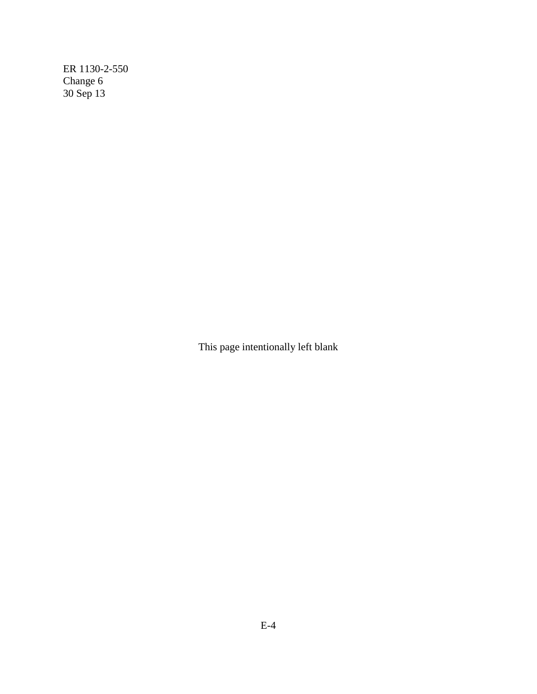This page intentionally left blank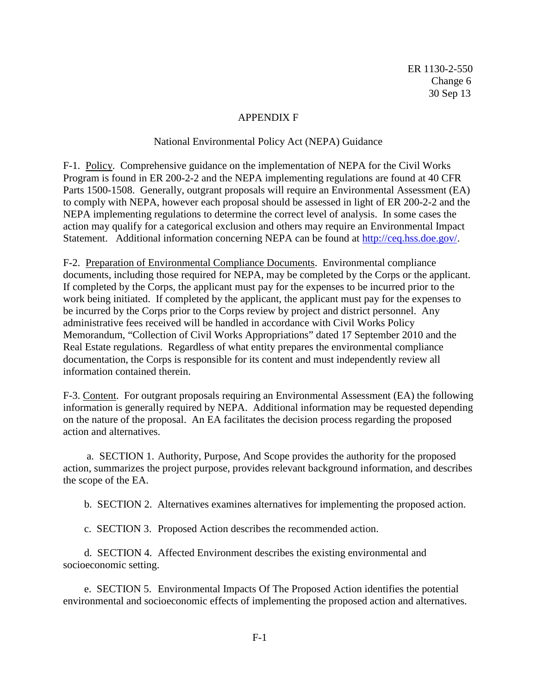# APPENDIX F

## National Environmental Policy Act (NEPA) Guidance

F-1. Policy. Comprehensive guidance on the implementation of NEPA for the Civil Works Program is found in ER 200-2-2 and the NEPA implementing regulations are found at 40 CFR Parts 1500-1508. Generally, outgrant proposals will require an Environmental Assessment (EA) to comply with NEPA, however each proposal should be assessed in light of ER 200-2-2 and the NEPA implementing regulations to determine the correct level of analysis. In some cases the action may qualify for a categorical exclusion and others may require an Environmental Impact Statement. Additional information concerning NEPA can be found at [http://ceq.hss.doe.gov/.](http://ceq.hss.doe.gov/)

F-2. Preparation of Environmental Compliance Documents. Environmental compliance documents, including those required for NEPA, may be completed by the Corps or the applicant. If completed by the Corps, the applicant must pay for the expenses to be incurred prior to the work being initiated. If completed by the applicant, the applicant must pay for the expenses to be incurred by the Corps prior to the Corps review by project and district personnel. Any administrative fees received will be handled in accordance with Civil Works Policy Memorandum, "Collection of Civil Works Appropriations" dated 17 September 2010 and the Real Estate regulations. Regardless of what entity prepares the environmental compliance documentation, the Corps is responsible for its content and must independently review all information contained therein.

F-3. Content. For outgrant proposals requiring an Environmental Assessment (EA) the following information is generally required by NEPA. Additional information may be requested depending on the nature of the proposal. An EA facilitates the decision process regarding the proposed action and alternatives.

 a. SECTION 1. Authority, Purpose, And Scope provides the authority for the proposed action, summarizes the project purpose, provides relevant background information, and describes the scope of the EA.

b. SECTION 2. Alternatives examines alternatives for implementing the proposed action.

c. SECTION 3. Proposed Action describes the recommended action.

 d. SECTION 4. Affected Environment describes the existing environmental and socioeconomic setting.

 e. SECTION 5. Environmental Impacts Of The Proposed Action identifies the potential environmental and socioeconomic effects of implementing the proposed action and alternatives.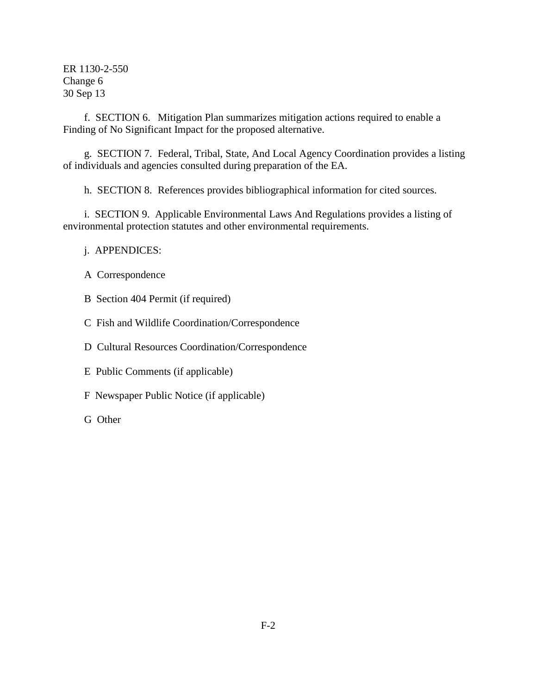f. SECTION 6. Mitigation Plan summarizes mitigation actions required to enable a Finding of No Significant Impact for the proposed alternative.

 g. SECTION 7. Federal, Tribal, State, And Local Agency Coordination provides a listing of individuals and agencies consulted during preparation of the EA.

h. SECTION 8. References provides bibliographical information for cited sources.

 i. SECTION 9. Applicable Environmental Laws And Regulations provides a listing of environmental protection statutes and other environmental requirements.

j. APPENDICES:

- A Correspondence
- B Section 404 Permit (if required)
- C Fish and Wildlife Coordination/Correspondence
- D Cultural Resources Coordination/Correspondence
- E Public Comments (if applicable)
- F Newspaper Public Notice (if applicable)
- G Other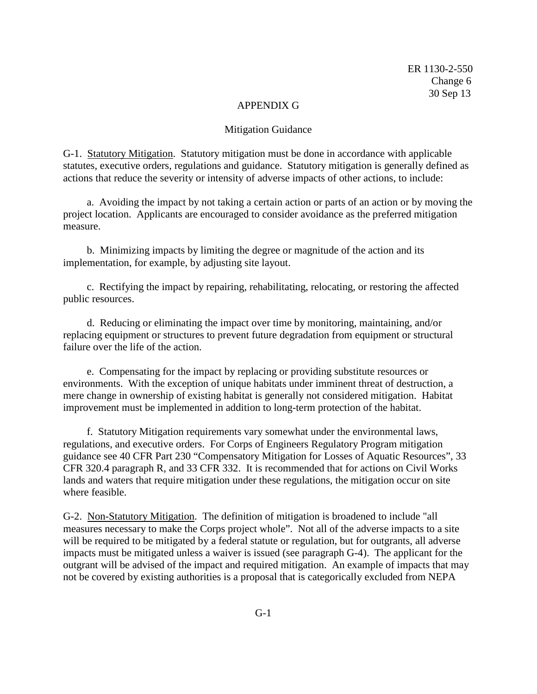### APPENDIX G

#### Mitigation Guidance

G-1. Statutory Mitigation. Statutory mitigation must be done in accordance with applicable statutes, executive orders, regulations and guidance. Statutory mitigation is generally defined as actions that reduce the severity or intensity of adverse impacts of other actions, to include:

 a. Avoiding the impact by not taking a certain action or parts of an action or by moving the project location. Applicants are encouraged to consider avoidance as the preferred mitigation measure.

 b. Minimizing impacts by limiting the degree or magnitude of the action and its implementation, for example, by adjusting site layout.

 c. Rectifying the impact by repairing, rehabilitating, relocating, or restoring the affected public resources.

 d. Reducing or eliminating the impact over time by monitoring, maintaining, and/or replacing equipment or structures to prevent future degradation from equipment or structural failure over the life of the action.

 e. Compensating for the impact by replacing or providing substitute resources or environments. With the exception of unique habitats under imminent threat of destruction, a mere change in ownership of existing habitat is generally not considered mitigation. Habitat improvement must be implemented in addition to long-term protection of the habitat.

f. Statutory Mitigation requirements vary somewhat under the environmental laws, regulations, and executive orders. For Corps of Engineers Regulatory Program mitigation guidance see 40 CFR Part 230 "Compensatory Mitigation for Losses of Aquatic Resources", 33 CFR 320.4 paragraph R, and 33 CFR 332. It is recommended that for actions on Civil Works lands and waters that require mitigation under these regulations, the mitigation occur on site where feasible.

G-2. Non-Statutory Mitigation. The definition of mitigation is broadened to include "all measures necessary to make the Corps project whole". Not all of the adverse impacts to a site will be required to be mitigated by a federal statute or regulation, but for outgrants, all adverse impacts must be mitigated unless a waiver is issued (see paragraph G-4). The applicant for the outgrant will be advised of the impact and required mitigation. An example of impacts that may not be covered by existing authorities is a proposal that is categorically excluded from NEPA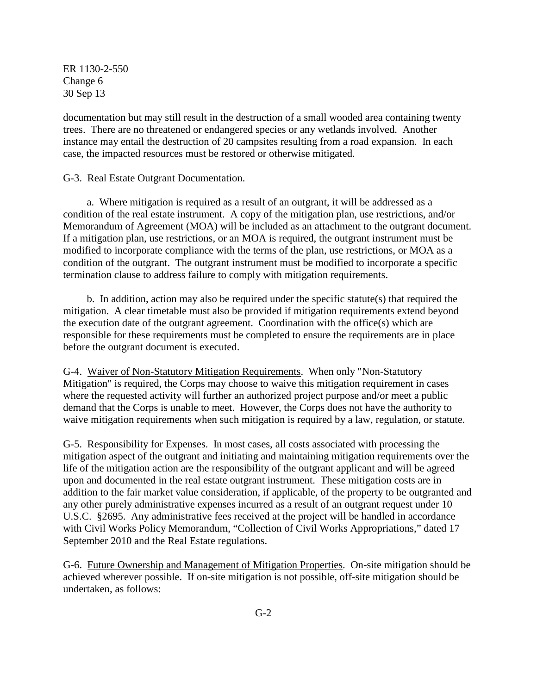documentation but may still result in the destruction of a small wooded area containing twenty trees. There are no threatened or endangered species or any wetlands involved. Another instance may entail the destruction of 20 campsites resulting from a road expansion. In each case, the impacted resources must be restored or otherwise mitigated.

## G-3. Real Estate Outgrant Documentation.

 a. Where mitigation is required as a result of an outgrant, it will be addressed as a condition of the real estate instrument. A copy of the mitigation plan, use restrictions, and/or Memorandum of Agreement (MOA) will be included as an attachment to the outgrant document. If a mitigation plan, use restrictions, or an MOA is required, the outgrant instrument must be modified to incorporate compliance with the terms of the plan, use restrictions, or MOA as a condition of the outgrant. The outgrant instrument must be modified to incorporate a specific termination clause to address failure to comply with mitigation requirements.

 b. In addition, action may also be required under the specific statute(s) that required the mitigation. A clear timetable must also be provided if mitigation requirements extend beyond the execution date of the outgrant agreement. Coordination with the office(s) which are responsible for these requirements must be completed to ensure the requirements are in place before the outgrant document is executed.

G-4. Waiver of Non-Statutory Mitigation Requirements. When only "Non-Statutory Mitigation" is required, the Corps may choose to waive this mitigation requirement in cases where the requested activity will further an authorized project purpose and/or meet a public demand that the Corps is unable to meet. However, the Corps does not have the authority to waive mitigation requirements when such mitigation is required by a law, regulation, or statute.

G-5. Responsibility for Expenses. In most cases, all costs associated with processing the mitigation aspect of the outgrant and initiating and maintaining mitigation requirements over the life of the mitigation action are the responsibility of the outgrant applicant and will be agreed upon and documented in the real estate outgrant instrument. These mitigation costs are in addition to the fair market value consideration, if applicable, of the property to be outgranted and any other purely administrative expenses incurred as a result of an outgrant request under 10 U.S.C. §2695. Any administrative fees received at the project will be handled in accordance with Civil Works Policy Memorandum, "Collection of Civil Works Appropriations," dated 17 September 2010 and the Real Estate regulations.

G-6. Future Ownership and Management of Mitigation Properties. On-site mitigation should be achieved wherever possible. If on-site mitigation is not possible, off-site mitigation should be undertaken, as follows: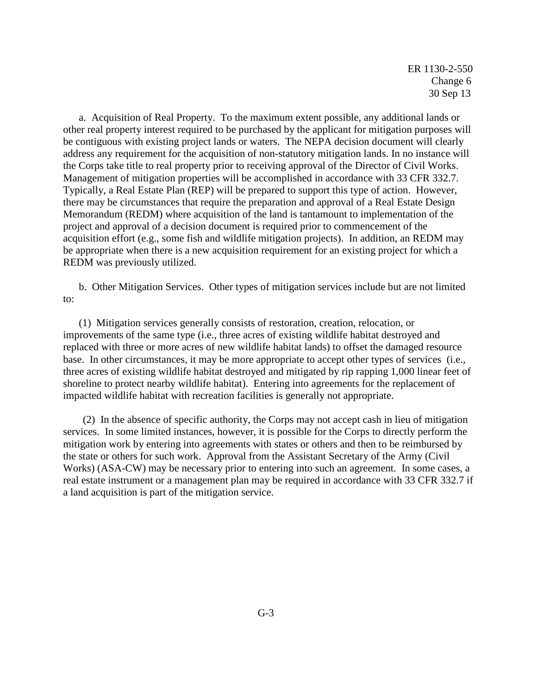a. Acquisition of Real Property. To the maximum extent possible, any additional lands or other real property interest required to be purchased by the applicant for mitigation purposes will be contiguous with existing project lands or waters. The NEPA decision document will clearly address any requirement for the acquisition of non-statutory mitigation lands. In no instance will the Corps take title to real property prior to receiving approval of the Director of Civil Works. Management of mitigation properties will be accomplished in accordance with 33 CFR 332.7. Typically, a Real Estate Plan (REP) will be prepared to support this type of action. However, there may be circumstances that require the preparation and approval of a Real Estate Design Memorandum (REDM) where acquisition of the land is tantamount to implementation of the project and approval of a decision document is required prior to commencement of the acquisition effort (e.g., some fish and wildlife mitigation projects). In addition, an REDM may be appropriate when there is a new acquisition requirement for an existing project for which a REDM was previously utilized.

b. Other Mitigation Services. Other types of mitigation services include but are not limited to:

(1) Mitigation services generally consists of restoration, creation, relocation, or improvements of the same type (i.e., three acres of existing wildlife habitat destroyed and replaced with three or more acres of new wildlife habitat lands) to offset the damaged resource base. In other circumstances, it may be more appropriate to accept other types of services (i.e., three acres of existing wildlife habitat destroyed and mitigated by rip rapping 1,000 linear feet of shoreline to protect nearby wildlife habitat). Entering into agreements for the replacement of impacted wildlife habitat with recreation facilities is generally not appropriate.

(2) In the absence of specific authority, the Corps may not accept cash in lieu of mitigation services. In some limited instances, however, it is possible for the Corps to directly perform the mitigation work by entering into agreements with states or others and then to be reimbursed by the state or others for such work. Approval from the Assistant Secretary of the Army (Civil Works) (ASA-CW) may be necessary prior to entering into such an agreement. In some cases, a real estate instrument or a management plan may be required in accordance with 33 CFR 332.7 if a land acquisition is part of the mitigation service.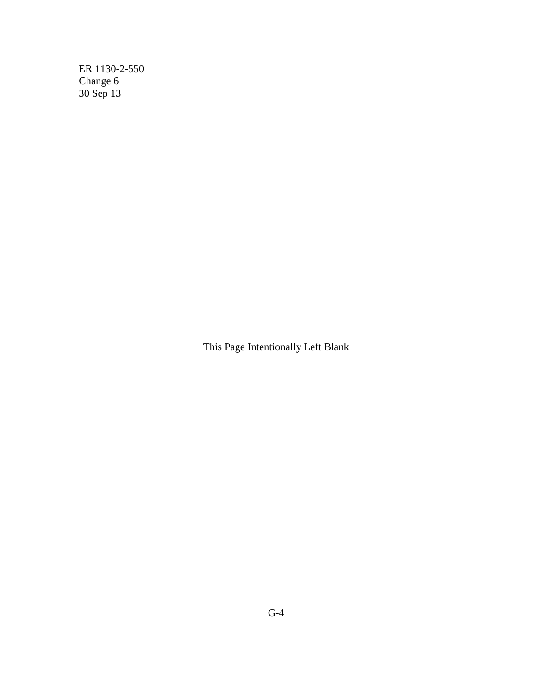This Page Intentionally Left Blank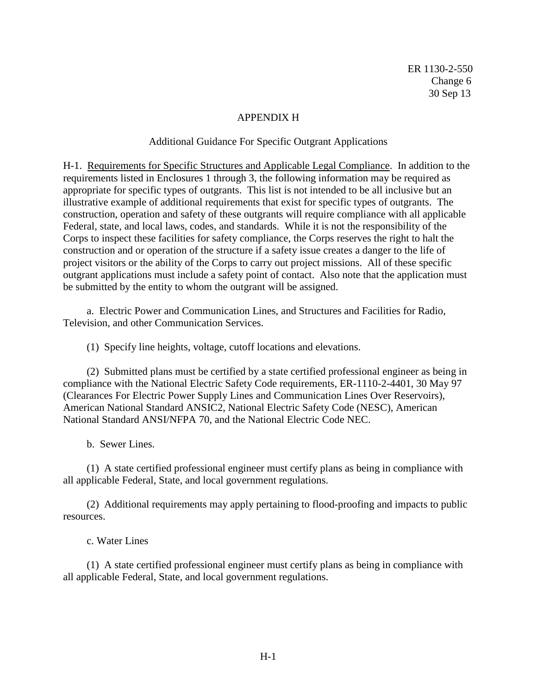## APPENDIX H

### Additional Guidance For Specific Outgrant Applications

H-1. Requirements for Specific Structures and Applicable Legal Compliance. In addition to the requirements listed in Enclosures 1 through 3, the following information may be required as appropriate for specific types of outgrants. This list is not intended to be all inclusive but an illustrative example of additional requirements that exist for specific types of outgrants. The construction, operation and safety of these outgrants will require compliance with all applicable Federal, state, and local laws, codes, and standards. While it is not the responsibility of the Corps to inspect these facilities for safety compliance, the Corps reserves the right to halt the construction and or operation of the structure if a safety issue creates a danger to the life of project visitors or the ability of the Corps to carry out project missions. All of these specific outgrant applications must include a safety point of contact. Also note that the application must be submitted by the entity to whom the outgrant will be assigned.

 a. Electric Power and Communication Lines, and Structures and Facilities for Radio, Television, and other Communication Services.

(1) Specify line heights, voltage, cutoff locations and elevations.

 (2) Submitted plans must be certified by a state certified professional engineer as being in compliance with the National Electric Safety Code requirements, ER-1110-2-4401, 30 May 97 (Clearances For Electric Power Supply Lines and Communication Lines Over Reservoirs), American National Standard ANSIC2, National Electric Safety Code (NESC), American National Standard ANSI/NFPA 70, and the National Electric Code NEC.

b. Sewer Lines.

 (1) A state certified professional engineer must certify plans as being in compliance with all applicable Federal, State, and local government regulations.

 (2) Additional requirements may apply pertaining to flood-proofing and impacts to public resources.

## c. Water Lines

 (1) A state certified professional engineer must certify plans as being in compliance with all applicable Federal, State, and local government regulations.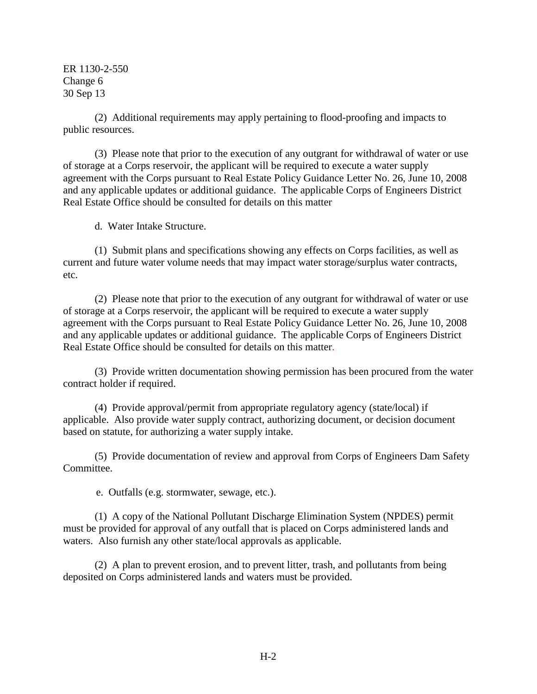(2) Additional requirements may apply pertaining to flood-proofing and impacts to public resources.

(3) Please note that prior to the execution of any outgrant for withdrawal of water or use of storage at a Corps reservoir, the applicant will be required to execute a water supply agreement with the Corps pursuant to Real Estate Policy Guidance Letter No. 26, June 10, 2008 and any applicable updates or additional guidance. The applicable Corps of Engineers District Real Estate Office should be consulted for details on this matter

d. Water Intake Structure.

(1) Submit plans and specifications showing any effects on Corps facilities, as well as current and future water volume needs that may impact water storage/surplus water contracts, etc.

(2) Please note that prior to the execution of any outgrant for withdrawal of water or use of storage at a Corps reservoir, the applicant will be required to execute a water supply agreement with the Corps pursuant to Real Estate Policy Guidance Letter No. 26, June 10, 2008 and any applicable updates or additional guidance. The applicable Corps of Engineers District Real Estate Office should be consulted for details on this matter.

(3) Provide written documentation showing permission has been procured from the water contract holder if required.

(4) Provide approval/permit from appropriate regulatory agency (state/local) if applicable. Also provide water supply contract, authorizing document, or decision document based on statute, for authorizing a water supply intake.

(5) Provide documentation of review and approval from Corps of Engineers Dam Safety Committee.

e. Outfalls (e.g. stormwater, sewage, etc.).

(1) A copy of the National Pollutant Discharge Elimination System (NPDES) permit must be provided for approval of any outfall that is placed on Corps administered lands and waters. Also furnish any other state/local approvals as applicable.

(2) A plan to prevent erosion, and to prevent litter, trash, and pollutants from being deposited on Corps administered lands and waters must be provided.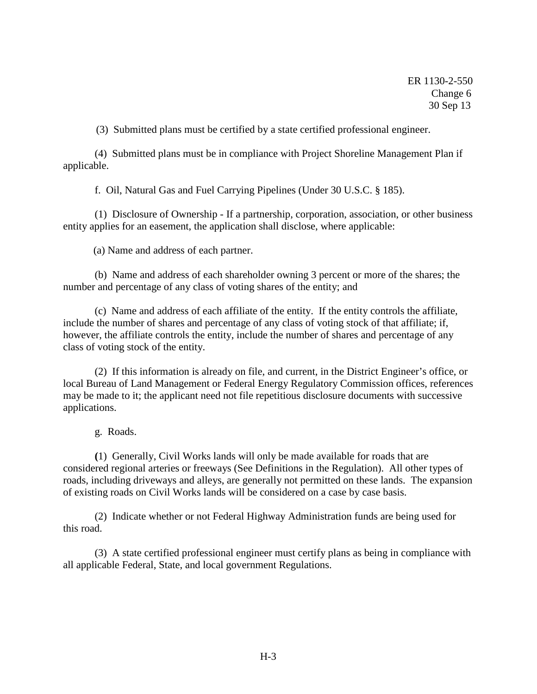(3) Submitted plans must be certified by a state certified professional engineer.

(4) Submitted plans must be in compliance with Project Shoreline Management Plan if applicable.

f. Oil, Natural Gas and Fuel Carrying Pipelines (Under 30 U.S.C. § 185).

(1) Disclosure of Ownership - If a partnership, corporation, association, or other business entity applies for an easement, the application shall disclose, where applicable:

(a) Name and address of each partner.

 (b) Name and address of each shareholder owning 3 percent or more of the shares; the number and percentage of any class of voting shares of the entity; and

 (c) Name and address of each affiliate of the entity. If the entity controls the affiliate, include the number of shares and percentage of any class of voting stock of that affiliate; if, however, the affiliate controls the entity, include the number of shares and percentage of any class of voting stock of the entity.

 (2) If this information is already on file, and current, in the District Engineer's office, or local Bureau of Land Management or Federal Energy Regulatory Commission offices, references may be made to it; the applicant need not file repetitious disclosure documents with successive applications.

g. Roads.

**(**1) Generally, Civil Works lands will only be made available for roads that are considered regional arteries or freeways (See Definitions in the Regulation). All other types of roads, including driveways and alleys, are generally not permitted on these lands. The expansion of existing roads on Civil Works lands will be considered on a case by case basis.

(2) Indicate whether or not Federal Highway Administration funds are being used for this road.

(3) A state certified professional engineer must certify plans as being in compliance with all applicable Federal, State, and local government Regulations.